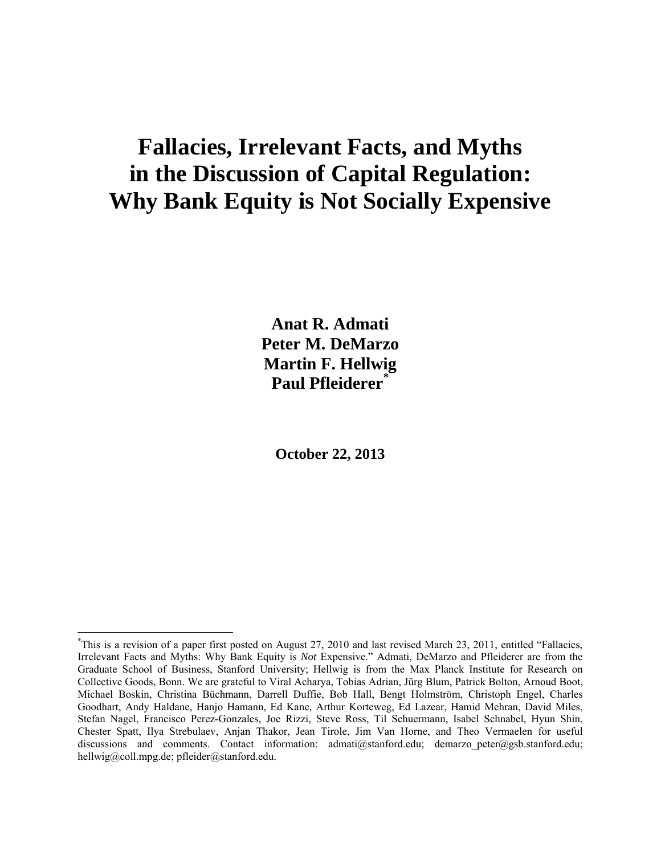# **Fallacies, Irrelevant Facts, and Myths in the Discussion of Capital Regulation: Why Bank Equity is Not Socially Expensive**

**Anat R. Admati Peter M. DeMarzo Martin F. Hellwig Paul Pfleiderer\***

**October 22, 2013** 

<sup>\*</sup> This is a revision of a paper first posted on August 27, 2010 and last revised March 23, 2011, entitled "Fallacies, Irrelevant Facts and Myths: Why Bank Equity is *Not* Expensive." Admati, DeMarzo and Pfleiderer are from the Graduate School of Business, Stanford University; Hellwig is from the Max Planck Institute for Research on Collective Goods, Bonn. We are grateful to Viral Acharya, Tobias Adrian, Jürg Blum, Patrick Bolton, Arnoud Boot, Michael Boskin, Christina Büchmann, Darrell Duffie, Bob Hall, Bengt Holmström, Christoph Engel, Charles Goodhart, Andy Haldane, Hanjo Hamann, Ed Kane, Arthur Korteweg, Ed Lazear, Hamid Mehran, David Miles, Stefan Nagel, Francisco Perez-Gonzales, Joe Rizzi, Steve Ross, Til Schuermann, Isabel Schnabel, Hyun Shin, Chester Spatt, Ilya Strebulaev, Anjan Thakor, Jean Tirole, Jim Van Horne, and Theo Vermaelen for useful discussions and comments. Contact information: admati@stanford.edu; demarzo peter@gsb.stanford.edu; hellwig@coll.mpg.de; pfleider@stanford.edu.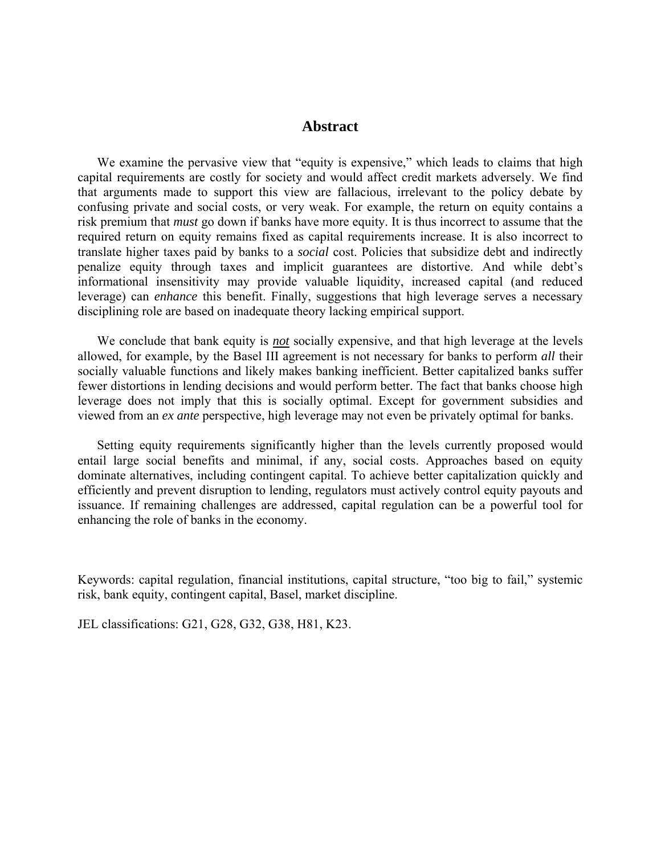#### **Abstract**

We examine the pervasive view that "equity is expensive," which leads to claims that high capital requirements are costly for society and would affect credit markets adversely. We find that arguments made to support this view are fallacious, irrelevant to the policy debate by confusing private and social costs, or very weak. For example, the return on equity contains a risk premium that *must* go down if banks have more equity. It is thus incorrect to assume that the required return on equity remains fixed as capital requirements increase. It is also incorrect to translate higher taxes paid by banks to a *social* cost. Policies that subsidize debt and indirectly penalize equity through taxes and implicit guarantees are distortive. And while debt's informational insensitivity may provide valuable liquidity, increased capital (and reduced leverage) can *enhance* this benefit. Finally, suggestions that high leverage serves a necessary disciplining role are based on inadequate theory lacking empirical support.

We conclude that bank equity is *not* socially expensive, and that high leverage at the levels allowed, for example, by the Basel III agreement is not necessary for banks to perform *all* their socially valuable functions and likely makes banking inefficient. Better capitalized banks suffer fewer distortions in lending decisions and would perform better. The fact that banks choose high leverage does not imply that this is socially optimal. Except for government subsidies and viewed from an *ex ante* perspective, high leverage may not even be privately optimal for banks.

Setting equity requirements significantly higher than the levels currently proposed would entail large social benefits and minimal, if any, social costs. Approaches based on equity dominate alternatives, including contingent capital. To achieve better capitalization quickly and efficiently and prevent disruption to lending, regulators must actively control equity payouts and issuance. If remaining challenges are addressed, capital regulation can be a powerful tool for enhancing the role of banks in the economy.

Keywords: capital regulation, financial institutions, capital structure, "too big to fail," systemic risk, bank equity, contingent capital, Basel, market discipline.

JEL classifications: G21, G28, G32, G38, H81, K23.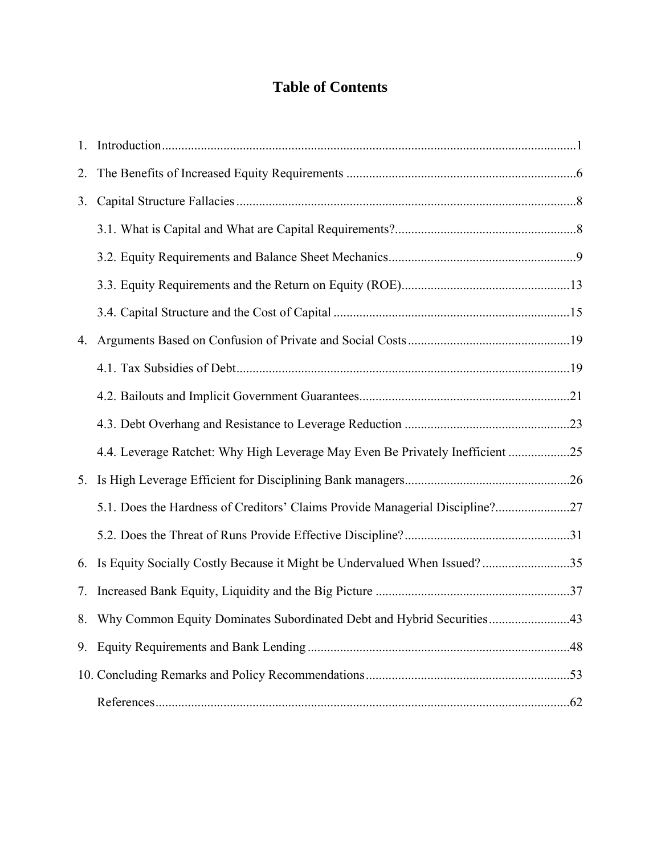## **Table of Contents**

| 2. |                                                                               |  |
|----|-------------------------------------------------------------------------------|--|
| 3. |                                                                               |  |
|    |                                                                               |  |
|    |                                                                               |  |
|    |                                                                               |  |
|    |                                                                               |  |
| 4. |                                                                               |  |
|    |                                                                               |  |
|    |                                                                               |  |
|    |                                                                               |  |
|    | 4.4. Leverage Ratchet: Why High Leverage May Even Be Privately Inefficient 25 |  |
| 5. |                                                                               |  |
|    | 5.1. Does the Hardness of Creditors' Claims Provide Managerial Discipline?27  |  |
|    |                                                                               |  |
| 6. | Is Equity Socially Costly Because it Might be Undervalued When Issued?35      |  |
| 7. |                                                                               |  |
|    | 8. Why Common Equity Dominates Subordinated Debt and Hybrid Securities43      |  |
|    |                                                                               |  |
|    |                                                                               |  |
|    |                                                                               |  |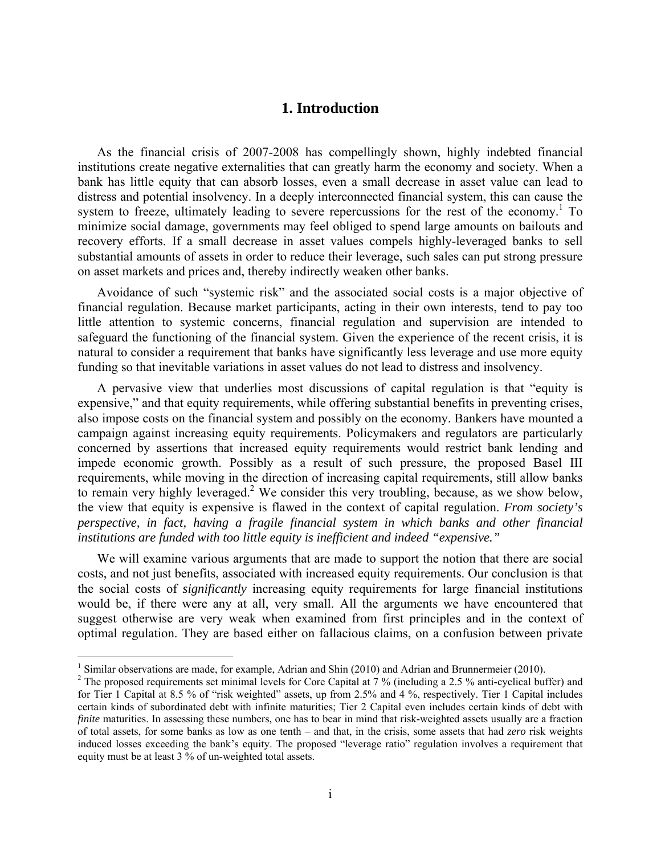## **1. Introduction**

As the financial crisis of 2007-2008 has compellingly shown, highly indebted financial institutions create negative externalities that can greatly harm the economy and society. When a bank has little equity that can absorb losses, even a small decrease in asset value can lead to distress and potential insolvency. In a deeply interconnected financial system, this can cause the system to freeze, ultimately leading to severe repercussions for the rest of the economy.<sup>1</sup> To minimize social damage, governments may feel obliged to spend large amounts on bailouts and recovery efforts. If a small decrease in asset values compels highly-leveraged banks to sell substantial amounts of assets in order to reduce their leverage, such sales can put strong pressure on asset markets and prices and, thereby indirectly weaken other banks.

Avoidance of such "systemic risk" and the associated social costs is a major objective of financial regulation. Because market participants, acting in their own interests, tend to pay too little attention to systemic concerns, financial regulation and supervision are intended to safeguard the functioning of the financial system. Given the experience of the recent crisis, it is natural to consider a requirement that banks have significantly less leverage and use more equity funding so that inevitable variations in asset values do not lead to distress and insolvency.

A pervasive view that underlies most discussions of capital regulation is that "equity is expensive," and that equity requirements, while offering substantial benefits in preventing crises, also impose costs on the financial system and possibly on the economy. Bankers have mounted a campaign against increasing equity requirements. Policymakers and regulators are particularly concerned by assertions that increased equity requirements would restrict bank lending and impede economic growth. Possibly as a result of such pressure, the proposed Basel III requirements, while moving in the direction of increasing capital requirements, still allow banks to remain very highly leveraged.<sup>2</sup> We consider this very troubling, because, as we show below, the view that equity is expensive is flawed in the context of capital regulation. *From society's perspective, in fact, having a fragile financial system in which banks and other financial institutions are funded with too little equity is inefficient and indeed "expensive."*

We will examine various arguments that are made to support the notion that there are social costs, and not just benefits, associated with increased equity requirements. Our conclusion is that the social costs of *significantly* increasing equity requirements for large financial institutions would be, if there were any at all, very small. All the arguments we have encountered that suggest otherwise are very weak when examined from first principles and in the context of optimal regulation. They are based either on fallacious claims, on a confusion between private

<sup>&</sup>lt;sup>1</sup> Similar observations are made, for example, Adrian and Shin (2010) and Adrian and Brunnermeier (2010).

<sup>&</sup>lt;sup>2</sup> The proposed requirements set minimal levels for Core Capital at  $7\%$  (including a 2.5 % anti-cyclical buffer) and for Tier 1 Capital at 8.5 % of "risk weighted" assets, up from 2.5% and 4 %, respectively. Tier 1 Capital includes certain kinds of subordinated debt with infinite maturities; Tier 2 Capital even includes certain kinds of debt with *finite* maturities. In assessing these numbers, one has to bear in mind that risk-weighted assets usually are a fraction of total assets, for some banks as low as one tenth – and that, in the crisis, some assets that had *zero* risk weights induced losses exceeding the bank's equity. The proposed "leverage ratio" regulation involves a requirement that equity must be at least 3 % of un-weighted total assets.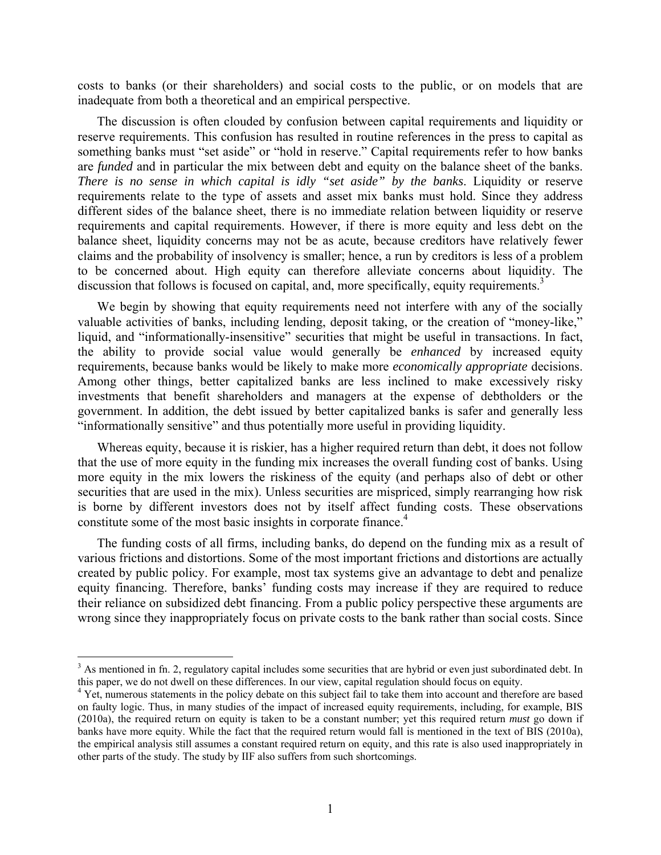costs to banks (or their shareholders) and social costs to the public, or on models that are inadequate from both a theoretical and an empirical perspective.

The discussion is often clouded by confusion between capital requirements and liquidity or reserve requirements. This confusion has resulted in routine references in the press to capital as something banks must "set aside" or "hold in reserve." Capital requirements refer to how banks are *funded* and in particular the mix between debt and equity on the balance sheet of the banks. *There is no sense in which capital is idly "set aside" by the banks*. Liquidity or reserve requirements relate to the type of assets and asset mix banks must hold. Since they address different sides of the balance sheet, there is no immediate relation between liquidity or reserve requirements and capital requirements. However, if there is more equity and less debt on the balance sheet, liquidity concerns may not be as acute, because creditors have relatively fewer claims and the probability of insolvency is smaller; hence, a run by creditors is less of a problem to be concerned about. High equity can therefore alleviate concerns about liquidity. The discussion that follows is focused on capital, and, more specifically, equity requirements.<sup>3</sup>

We begin by showing that equity requirements need not interfere with any of the socially valuable activities of banks, including lending, deposit taking, or the creation of "money-like," liquid, and "informationally-insensitive" securities that might be useful in transactions. In fact, the ability to provide social value would generally be *enhanced* by increased equity requirements, because banks would be likely to make more *economically appropriate* decisions. Among other things, better capitalized banks are less inclined to make excessively risky investments that benefit shareholders and managers at the expense of debtholders or the government. In addition, the debt issued by better capitalized banks is safer and generally less "informationally sensitive" and thus potentially more useful in providing liquidity.

Whereas equity, because it is riskier, has a higher required return than debt, it does not follow that the use of more equity in the funding mix increases the overall funding cost of banks. Using more equity in the mix lowers the riskiness of the equity (and perhaps also of debt or other securities that are used in the mix). Unless securities are mispriced, simply rearranging how risk is borne by different investors does not by itself affect funding costs. These observations constitute some of the most basic insights in corporate finance.<sup>4</sup>

The funding costs of all firms, including banks, do depend on the funding mix as a result of various frictions and distortions. Some of the most important frictions and distortions are actually created by public policy. For example, most tax systems give an advantage to debt and penalize equity financing. Therefore, banks' funding costs may increase if they are required to reduce their reliance on subsidized debt financing. From a public policy perspective these arguments are wrong since they inappropriately focus on private costs to the bank rather than social costs. Since

 $3$  As mentioned in fn. 2, regulatory capital includes some securities that are hybrid or even just subordinated debt. In this paper, we do not dwell on these differences. In our view, capital regulation should focus on equity. 4

<sup>&</sup>lt;sup>4</sup> Yet, numerous statements in the policy debate on this subject fail to take them into account and therefore are based on faulty logic. Thus, in many studies of the impact of increased equity requirements, including, for example, BIS (2010a), the required return on equity is taken to be a constant number; yet this required return *must* go down if banks have more equity. While the fact that the required return would fall is mentioned in the text of BIS (2010a), the empirical analysis still assumes a constant required return on equity, and this rate is also used inappropriately in other parts of the study. The study by IIF also suffers from such shortcomings.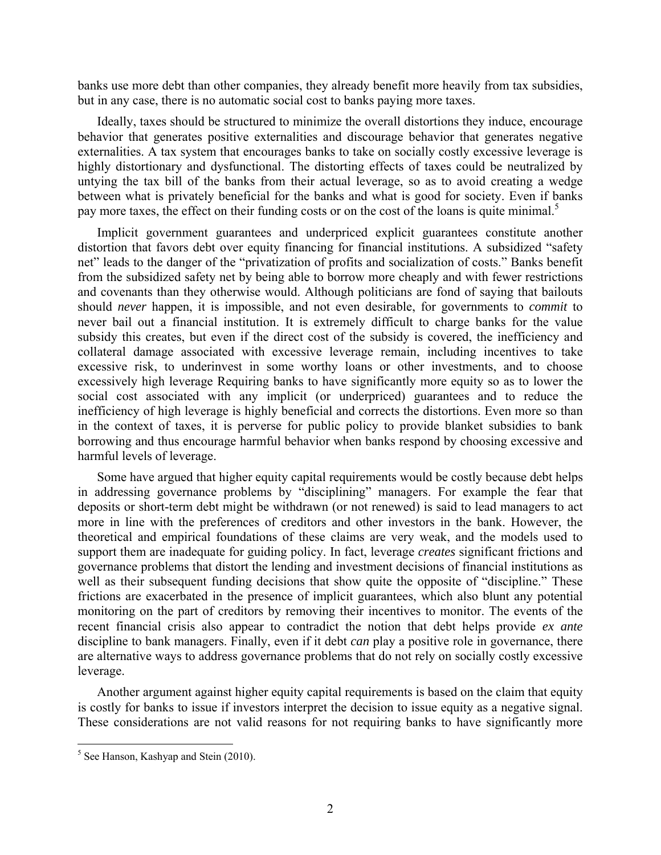banks use more debt than other companies, they already benefit more heavily from tax subsidies, but in any case, there is no automatic social cost to banks paying more taxes.

Ideally, taxes should be structured to minimize the overall distortions they induce, encourage behavior that generates positive externalities and discourage behavior that generates negative externalities. A tax system that encourages banks to take on socially costly excessive leverage is highly distortionary and dysfunctional. The distorting effects of taxes could be neutralized by untying the tax bill of the banks from their actual leverage, so as to avoid creating a wedge between what is privately beneficial for the banks and what is good for society. Even if banks pay more taxes, the effect on their funding costs or on the cost of the loans is quite minimal.<sup>5</sup>

Implicit government guarantees and underpriced explicit guarantees constitute another distortion that favors debt over equity financing for financial institutions. A subsidized "safety net" leads to the danger of the "privatization of profits and socialization of costs." Banks benefit from the subsidized safety net by being able to borrow more cheaply and with fewer restrictions and covenants than they otherwise would. Although politicians are fond of saying that bailouts should *never* happen, it is impossible, and not even desirable, for governments to *commit* to never bail out a financial institution. It is extremely difficult to charge banks for the value subsidy this creates, but even if the direct cost of the subsidy is covered, the inefficiency and collateral damage associated with excessive leverage remain, including incentives to take excessive risk, to underinvest in some worthy loans or other investments, and to choose excessively high leverage Requiring banks to have significantly more equity so as to lower the social cost associated with any implicit (or underpriced) guarantees and to reduce the inefficiency of high leverage is highly beneficial and corrects the distortions. Even more so than in the context of taxes, it is perverse for public policy to provide blanket subsidies to bank borrowing and thus encourage harmful behavior when banks respond by choosing excessive and harmful levels of leverage.

Some have argued that higher equity capital requirements would be costly because debt helps in addressing governance problems by "disciplining" managers. For example the fear that deposits or short-term debt might be withdrawn (or not renewed) is said to lead managers to act more in line with the preferences of creditors and other investors in the bank. However, the theoretical and empirical foundations of these claims are very weak, and the models used to support them are inadequate for guiding policy. In fact, leverage *creates* significant frictions and governance problems that distort the lending and investment decisions of financial institutions as well as their subsequent funding decisions that show quite the opposite of "discipline." These frictions are exacerbated in the presence of implicit guarantees, which also blunt any potential monitoring on the part of creditors by removing their incentives to monitor. The events of the recent financial crisis also appear to contradict the notion that debt helps provide *ex ante* discipline to bank managers. Finally, even if it debt *can* play a positive role in governance, there are alternative ways to address governance problems that do not rely on socially costly excessive leverage.

Another argument against higher equity capital requirements is based on the claim that equity is costly for banks to issue if investors interpret the decision to issue equity as a negative signal. These considerations are not valid reasons for not requiring banks to have significantly more

<sup>&</sup>lt;sup>5</sup> See Hanson, Kashyap and Stein (2010).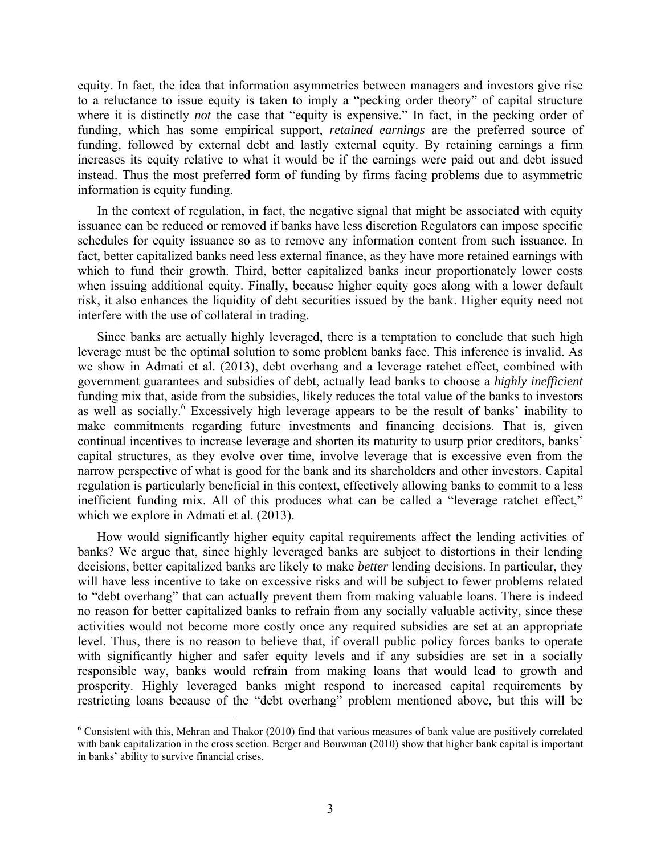equity. In fact, the idea that information asymmetries between managers and investors give rise to a reluctance to issue equity is taken to imply a "pecking order theory" of capital structure where it is distinctly *not* the case that "equity is expensive." In fact, in the pecking order of funding, which has some empirical support, *retained earnings* are the preferred source of funding, followed by external debt and lastly external equity. By retaining earnings a firm increases its equity relative to what it would be if the earnings were paid out and debt issued instead. Thus the most preferred form of funding by firms facing problems due to asymmetric information is equity funding.

In the context of regulation, in fact, the negative signal that might be associated with equity issuance can be reduced or removed if banks have less discretion Regulators can impose specific schedules for equity issuance so as to remove any information content from such issuance. In fact, better capitalized banks need less external finance, as they have more retained earnings with which to fund their growth. Third, better capitalized banks incur proportionately lower costs when issuing additional equity. Finally, because higher equity goes along with a lower default risk, it also enhances the liquidity of debt securities issued by the bank. Higher equity need not interfere with the use of collateral in trading.

Since banks are actually highly leveraged, there is a temptation to conclude that such high leverage must be the optimal solution to some problem banks face. This inference is invalid. As we show in Admati et al. (2013), debt overhang and a leverage ratchet effect, combined with government guarantees and subsidies of debt, actually lead banks to choose a *highly inefficient* funding mix that, aside from the subsidies, likely reduces the total value of the banks to investors as well as socially.<sup>6</sup> Excessively high leverage appears to be the result of banks' inability to make commitments regarding future investments and financing decisions. That is, given continual incentives to increase leverage and shorten its maturity to usurp prior creditors, banks' capital structures, as they evolve over time, involve leverage that is excessive even from the narrow perspective of what is good for the bank and its shareholders and other investors. Capital regulation is particularly beneficial in this context, effectively allowing banks to commit to a less inefficient funding mix. All of this produces what can be called a "leverage ratchet effect," which we explore in Admati et al.  $(2013)$ .

How would significantly higher equity capital requirements affect the lending activities of banks? We argue that, since highly leveraged banks are subject to distortions in their lending decisions, better capitalized banks are likely to make *better* lending decisions. In particular, they will have less incentive to take on excessive risks and will be subject to fewer problems related to "debt overhang" that can actually prevent them from making valuable loans. There is indeed no reason for better capitalized banks to refrain from any socially valuable activity, since these activities would not become more costly once any required subsidies are set at an appropriate level. Thus, there is no reason to believe that, if overall public policy forces banks to operate with significantly higher and safer equity levels and if any subsidies are set in a socially responsible way, banks would refrain from making loans that would lead to growth and prosperity. Highly leveraged banks might respond to increased capital requirements by restricting loans because of the "debt overhang" problem mentioned above, but this will be

 $6$  Consistent with this, Mehran and Thakor (2010) find that various measures of bank value are positively correlated with bank capitalization in the cross section. Berger and Bouwman (2010) show that higher bank capital is important in banks' ability to survive financial crises.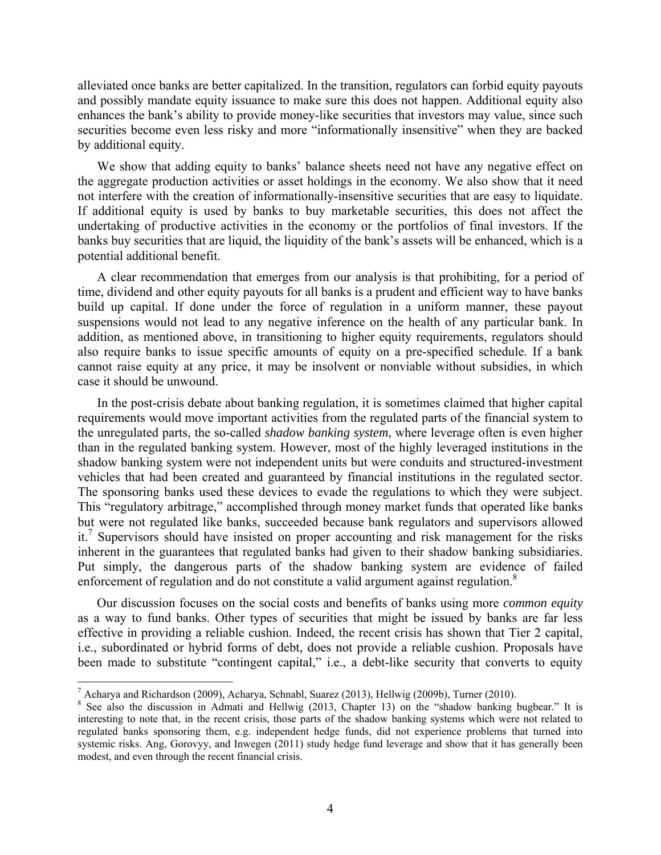alleviated once banks are better capitalized. In the transition, regulators can forbid equity payouts and possibly mandate equity issuance to make sure this does not happen. Additional equity also enhances the bank's ability to provide money-like securities that investors may value, since such securities become even less risky and more "informationally insensitive" when they are backed by additional equity.

We show that adding equity to banks' balance sheets need not have any negative effect on the aggregate production activities or asset holdings in the economy. We also show that it need not interfere with the creation of informationally-insensitive securities that are easy to liquidate. If additional equity is used by banks to buy marketable securities, this does not affect the undertaking of productive activities in the economy or the portfolios of final investors. If the banks buy securities that are liquid, the liquidity of the bank's assets will be enhanced, which is a potential additional benefit.

A clear recommendation that emerges from our analysis is that prohibiting, for a period of time, dividend and other equity payouts for all banks is a prudent and efficient way to have banks build up capital. If done under the force of regulation in a uniform manner, these payout suspensions would not lead to any negative inference on the health of any particular bank. In addition, as mentioned above, in transitioning to higher equity requirements, regulators should also require banks to issue specific amounts of equity on a pre-specified schedule. If a bank cannot raise equity at any price, it may be insolvent or nonviable without subsidies, in which case it should be unwound.

In the post-crisis debate about banking regulation, it is sometimes claimed that higher capital requirements would move important activities from the regulated parts of the financial system to the unregulated parts, the so-called *shadow banking system*, where leverage often is even higher than in the regulated banking system. However, most of the highly leveraged institutions in the shadow banking system were not independent units but were conduits and structured-investment vehicles that had been created and guaranteed by financial institutions in the regulated sector. The sponsoring banks used these devices to evade the regulations to which they were subject. This "regulatory arbitrage," accomplished through money market funds that operated like banks but were not regulated like banks, succeeded because bank regulators and supervisors allowed it.<sup>7</sup> Supervisors should have insisted on proper accounting and risk management for the risks inherent in the guarantees that regulated banks had given to their shadow banking subsidiaries. Put simply, the dangerous parts of the shadow banking system are evidence of failed enforcement of regulation and do not constitute a valid argument against regulation.<sup>8</sup>

Our discussion focuses on the social costs and benefits of banks using more *common equity* as a way to fund banks. Other types of securities that might be issued by banks are far less effective in providing a reliable cushion. Indeed, the recent crisis has shown that Tier 2 capital, i.e., subordinated or hybrid forms of debt, does not provide a reliable cushion. Proposals have been made to substitute "contingent capital," i.e., a debt-like security that converts to equity

<u>.</u>

<sup>&</sup>lt;sup>7</sup> Acharya and Richardson (2009), Acharya, Schnabl, Suarez (2013), Hellwig (2009b), Turner (2010).

<sup>&</sup>lt;sup>8</sup> See also the discussion in Admati and Hellwig (2013, Chapter 13) on the "shadow banking bugbear." It is interesting to note that, in the recent crisis, those parts of the shadow banking systems which were not related to regulated banks sponsoring them, e.g. independent hedge funds, did not experience problems that turned into systemic risks. Ang, Gorovyy, and Inwegen (2011) study hedge fund leverage and show that it has generally been modest, and even through the recent financial crisis.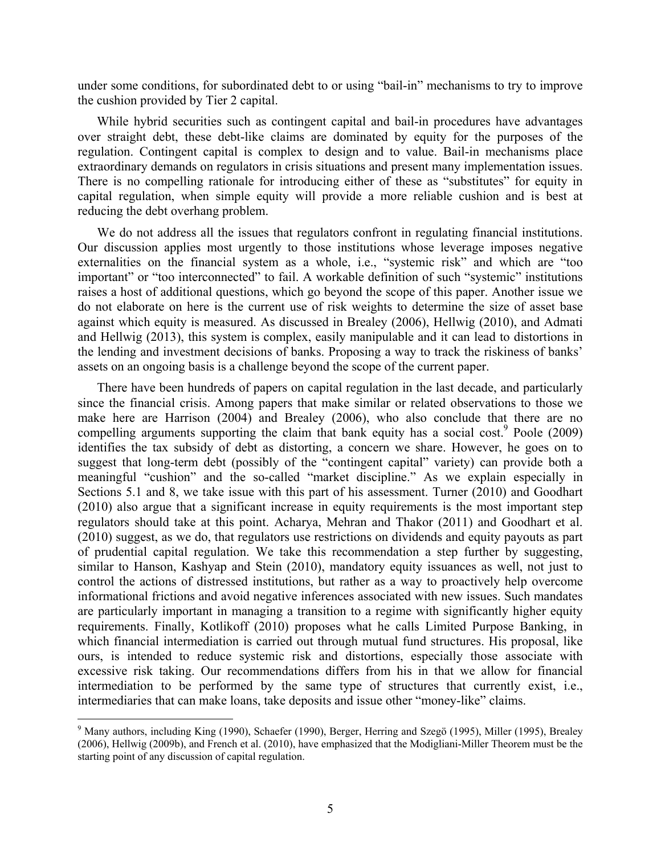under some conditions, for subordinated debt to or using "bail-in" mechanisms to try to improve the cushion provided by Tier 2 capital.

While hybrid securities such as contingent capital and bail-in procedures have advantages over straight debt, these debt-like claims are dominated by equity for the purposes of the regulation. Contingent capital is complex to design and to value. Bail-in mechanisms place extraordinary demands on regulators in crisis situations and present many implementation issues. There is no compelling rationale for introducing either of these as "substitutes" for equity in capital regulation, when simple equity will provide a more reliable cushion and is best at reducing the debt overhang problem.

We do not address all the issues that regulators confront in regulating financial institutions. Our discussion applies most urgently to those institutions whose leverage imposes negative externalities on the financial system as a whole, i.e., "systemic risk" and which are "too important" or "too interconnected" to fail. A workable definition of such "systemic" institutions raises a host of additional questions, which go beyond the scope of this paper. Another issue we do not elaborate on here is the current use of risk weights to determine the size of asset base against which equity is measured. As discussed in Brealey (2006), Hellwig (2010), and Admati and Hellwig (2013), this system is complex, easily manipulable and it can lead to distortions in the lending and investment decisions of banks. Proposing a way to track the riskiness of banks' assets on an ongoing basis is a challenge beyond the scope of the current paper.

There have been hundreds of papers on capital regulation in the last decade, and particularly since the financial crisis. Among papers that make similar or related observations to those we make here are Harrison (2004) and Brealey (2006), who also conclude that there are no compelling arguments supporting the claim that bank equity has a social cost. Poole  $(2009)$ identifies the tax subsidy of debt as distorting, a concern we share. However, he goes on to suggest that long-term debt (possibly of the "contingent capital" variety) can provide both a meaningful "cushion" and the so-called "market discipline." As we explain especially in Sections 5.1 and 8, we take issue with this part of his assessment. Turner (2010) and Goodhart (2010) also argue that a significant increase in equity requirements is the most important step regulators should take at this point. Acharya, Mehran and Thakor (2011) and Goodhart et al. (2010) suggest, as we do, that regulators use restrictions on dividends and equity payouts as part of prudential capital regulation. We take this recommendation a step further by suggesting, similar to Hanson, Kashyap and Stein (2010), mandatory equity issuances as well, not just to control the actions of distressed institutions, but rather as a way to proactively help overcome informational frictions and avoid negative inferences associated with new issues. Such mandates are particularly important in managing a transition to a regime with significantly higher equity requirements. Finally, Kotlikoff (2010) proposes what he calls Limited Purpose Banking, in which financial intermediation is carried out through mutual fund structures. His proposal, like ours, is intended to reduce systemic risk and distortions, especially those associate with excessive risk taking. Our recommendations differs from his in that we allow for financial intermediation to be performed by the same type of structures that currently exist, i.e., intermediaries that can make loans, take deposits and issue other "money-like" claims.

<sup>&</sup>lt;sup>9</sup> Many authors, including King (1990), Schaefer (1990), Berger, Herring and Szegö (1995), Miller (1995), Brealey (2006), Hellwig (2009b), and French et al. (2010), have emphasized that the Modigliani-Miller Theorem must be the starting point of any discussion of capital regulation.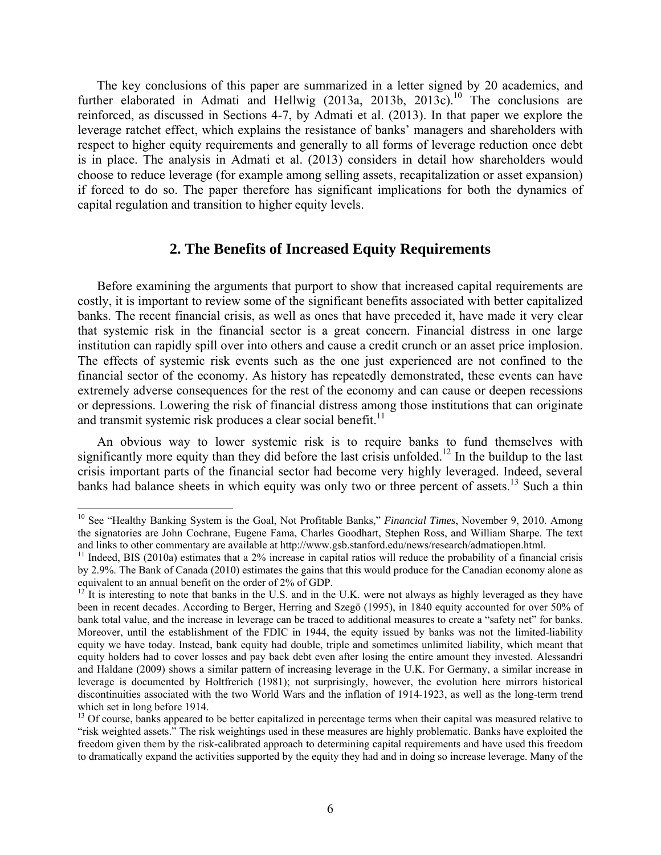The key conclusions of this paper are summarized in a letter signed by 20 academics, and further elaborated in Admati and Hellwig  $(2013a, 2013b, 2013c).$ <sup>10</sup> The conclusions are reinforced, as discussed in Sections 4-7, by Admati et al. (2013). In that paper we explore the leverage ratchet effect, which explains the resistance of banks' managers and shareholders with respect to higher equity requirements and generally to all forms of leverage reduction once debt is in place. The analysis in Admati et al. (2013) considers in detail how shareholders would choose to reduce leverage (for example among selling assets, recapitalization or asset expansion) if forced to do so. The paper therefore has significant implications for both the dynamics of capital regulation and transition to higher equity levels.

## **2. The Benefits of Increased Equity Requirements**

Before examining the arguments that purport to show that increased capital requirements are costly, it is important to review some of the significant benefits associated with better capitalized banks. The recent financial crisis, as well as ones that have preceded it, have made it very clear that systemic risk in the financial sector is a great concern. Financial distress in one large institution can rapidly spill over into others and cause a credit crunch or an asset price implosion. The effects of systemic risk events such as the one just experienced are not confined to the financial sector of the economy. As history has repeatedly demonstrated, these events can have extremely adverse consequences for the rest of the economy and can cause or deepen recessions or depressions. Lowering the risk of financial distress among those institutions that can originate and transmit systemic risk produces a clear social benefit.<sup>11</sup>

An obvious way to lower systemic risk is to require banks to fund themselves with significantly more equity than they did before the last crisis unfolded.<sup>12</sup> In the buildup to the last crisis important parts of the financial sector had become very highly leveraged. Indeed, several banks had balance sheets in which equity was only two or three percent of assets.<sup>13</sup> Such a thin

1

<sup>&</sup>lt;sup>10</sup> See "Healthy Banking System is the Goal, Not Profitable Banks," *Financial Times*, November 9, 2010. Among the signatories are John Cochrane, Eugene Fama, Charles Goodhart, Stephen Ross, and William Sharpe. The text and links to other commentary are available at http://www.gsb.stanford.edu/news/research/admatiopen.html.

 $11$  Indeed, BIS (2010a) estimates that a 2% increase in capital ratios will reduce the probability of a financial crisis by 2.9%. The Bank of Canada (2010) estimates the gains that this would produce for the Canadian economy alone as equivalent to an annual benefit on the order of 2% of GDP.

 $12^{12}$  It is interesting to note that banks in the U.S. and in the U.K. were not always as highly leveraged as they have been in recent decades. According to Berger, Herring and Szegö (1995), in 1840 equity accounted for over 50% of bank total value, and the increase in leverage can be traced to additional measures to create a "safety net" for banks. Moreover, until the establishment of the FDIC in 1944, the equity issued by banks was not the limited-liability equity we have today. Instead, bank equity had double, triple and sometimes unlimited liability, which meant that equity holders had to cover losses and pay back debt even after losing the entire amount they invested. Alessandri and Haldane (2009) shows a similar pattern of increasing leverage in the U.K. For Germany, a similar increase in leverage is documented by Holtfrerich (1981); not surprisingly, however, the evolution here mirrors historical discontinuities associated with the two World Wars and the inflation of 1914-1923, as well as the long-term trend which set in long before 1914.

<sup>&</sup>lt;sup>13</sup> Of course, banks appeared to be better capitalized in percentage terms when their capital was measured relative to "risk weighted assets." The risk weightings used in these measures are highly problematic. Banks have exploited the freedom given them by the risk-calibrated approach to determining capital requirements and have used this freedom to dramatically expand the activities supported by the equity they had and in doing so increase leverage. Many of the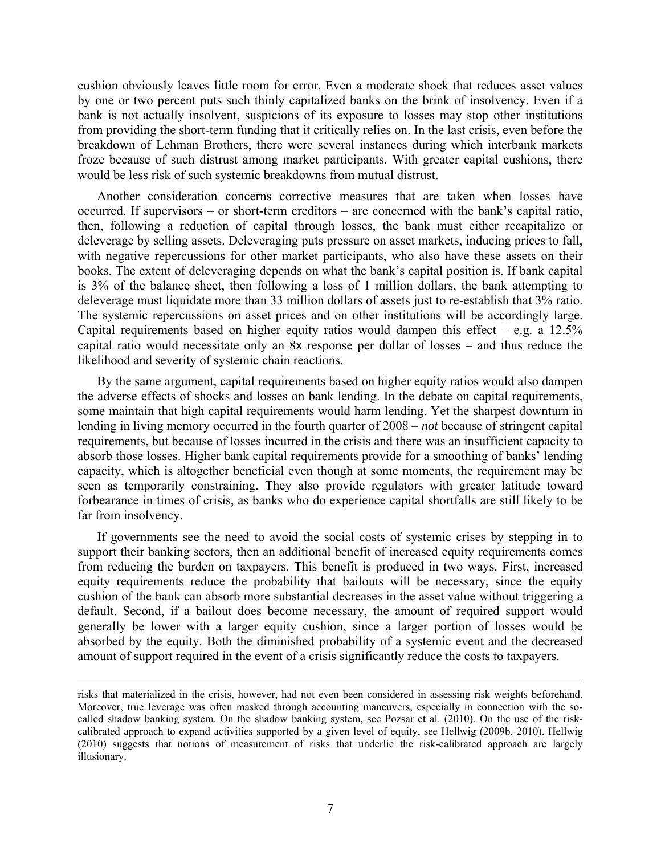cushion obviously leaves little room for error. Even a moderate shock that reduces asset values by one or two percent puts such thinly capitalized banks on the brink of insolvency. Even if a bank is not actually insolvent, suspicions of its exposure to losses may stop other institutions from providing the short-term funding that it critically relies on. In the last crisis, even before the breakdown of Lehman Brothers, there were several instances during which interbank markets froze because of such distrust among market participants. With greater capital cushions, there would be less risk of such systemic breakdowns from mutual distrust.

Another consideration concerns corrective measures that are taken when losses have occurred. If supervisors – or short-term creditors – are concerned with the bank's capital ratio, then, following a reduction of capital through losses, the bank must either recapitalize or deleverage by selling assets. Deleveraging puts pressure on asset markets, inducing prices to fall, with negative repercussions for other market participants, who also have these assets on their books. The extent of deleveraging depends on what the bank's capital position is. If bank capital is 3% of the balance sheet, then following a loss of 1 million dollars, the bank attempting to deleverage must liquidate more than 33 million dollars of assets just to re-establish that 3% ratio. The systemic repercussions on asset prices and on other institutions will be accordingly large. Capital requirements based on higher equity ratios would dampen this effect – e.g. a  $12.5\%$ capital ratio would necessitate only an 8x response per dollar of losses – and thus reduce the likelihood and severity of systemic chain reactions.

By the same argument, capital requirements based on higher equity ratios would also dampen the adverse effects of shocks and losses on bank lending. In the debate on capital requirements, some maintain that high capital requirements would harm lending. Yet the sharpest downturn in lending in living memory occurred in the fourth quarter of 2008 – *not* because of stringent capital requirements, but because of losses incurred in the crisis and there was an insufficient capacity to absorb those losses. Higher bank capital requirements provide for a smoothing of banks' lending capacity, which is altogether beneficial even though at some moments, the requirement may be seen as temporarily constraining. They also provide regulators with greater latitude toward forbearance in times of crisis, as banks who do experience capital shortfalls are still likely to be far from insolvency.

If governments see the need to avoid the social costs of systemic crises by stepping in to support their banking sectors, then an additional benefit of increased equity requirements comes from reducing the burden on taxpayers. This benefit is produced in two ways. First, increased equity requirements reduce the probability that bailouts will be necessary, since the equity cushion of the bank can absorb more substantial decreases in the asset value without triggering a default. Second, if a bailout does become necessary, the amount of required support would generally be lower with a larger equity cushion, since a larger portion of losses would be absorbed by the equity. Both the diminished probability of a systemic event and the decreased amount of support required in the event of a crisis significantly reduce the costs to taxpayers.

risks that materialized in the crisis, however, had not even been considered in assessing risk weights beforehand. Moreover, true leverage was often masked through accounting maneuvers, especially in connection with the socalled shadow banking system. On the shadow banking system, see Pozsar et al. (2010). On the use of the riskcalibrated approach to expand activities supported by a given level of equity, see Hellwig (2009b, 2010). Hellwig (2010) suggests that notions of measurement of risks that underlie the risk-calibrated approach are largely illusionary.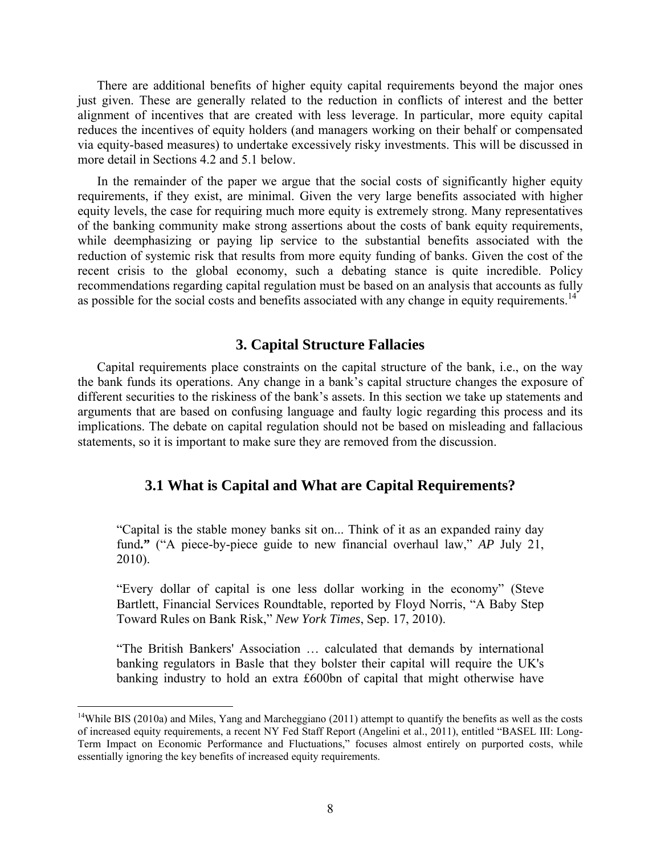There are additional benefits of higher equity capital requirements beyond the major ones just given. These are generally related to the reduction in conflicts of interest and the better alignment of incentives that are created with less leverage. In particular, more equity capital reduces the incentives of equity holders (and managers working on their behalf or compensated via equity-based measures) to undertake excessively risky investments. This will be discussed in more detail in Sections 4.2 and 5.1 below.

In the remainder of the paper we argue that the social costs of significantly higher equity requirements, if they exist, are minimal. Given the very large benefits associated with higher equity levels, the case for requiring much more equity is extremely strong. Many representatives of the banking community make strong assertions about the costs of bank equity requirements, while deemphasizing or paying lip service to the substantial benefits associated with the reduction of systemic risk that results from more equity funding of banks. Given the cost of the recent crisis to the global economy, such a debating stance is quite incredible. Policy recommendations regarding capital regulation must be based on an analysis that accounts as fully as possible for the social costs and benefits associated with any change in equity requirements.<sup>14</sup>

### **3. Capital Structure Fallacies**

Capital requirements place constraints on the capital structure of the bank, i.e., on the way the bank funds its operations. Any change in a bank's capital structure changes the exposure of different securities to the riskiness of the bank's assets. In this section we take up statements and arguments that are based on confusing language and faulty logic regarding this process and its implications. The debate on capital regulation should not be based on misleading and fallacious statements, so it is important to make sure they are removed from the discussion.

#### **3.1 What is Capital and What are Capital Requirements?**

"Capital is the stable money banks sit on... Think of it as an expanded rainy day fund**."** ("A piece-by-piece guide to new financial overhaul law," *AP* July 21, 2010).

"Every dollar of capital is one less dollar working in the economy" (Steve Bartlett, Financial Services Roundtable, reported by Floyd Norris, "A Baby Step Toward Rules on Bank Risk," *New York Times*, Sep. 17, 2010).

"The British Bankers' Association … calculated that demands by international banking regulators in Basle that they bolster their capital will require the UK's banking industry to hold an extra £600bn of capital that might otherwise have

1

<sup>&</sup>lt;sup>14</sup>While BIS (2010a) and Miles, Yang and Marcheggiano (2011) attempt to quantify the benefits as well as the costs of increased equity requirements, a recent NY Fed Staff Report (Angelini et al., 2011), entitled "BASEL III: Long-Term Impact on Economic Performance and Fluctuations," focuses almost entirely on purported costs, while essentially ignoring the key benefits of increased equity requirements.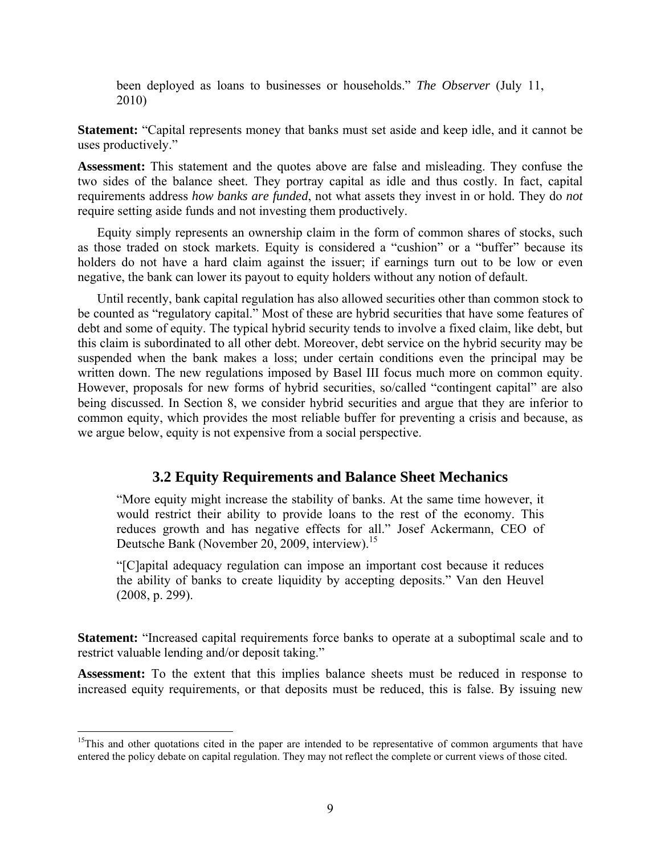been deployed as loans to businesses or households." *The Observer* (July 11, 2010)

**Statement:** "Capital represents money that banks must set aside and keep idle, and it cannot be uses productively."

**Assessment:** This statement and the quotes above are false and misleading. They confuse the two sides of the balance sheet. They portray capital as idle and thus costly. In fact, capital requirements address *how banks are funded*, not what assets they invest in or hold. They do *not*  require setting aside funds and not investing them productively.

Equity simply represents an ownership claim in the form of common shares of stocks, such as those traded on stock markets. Equity is considered a "cushion" or a "buffer" because its holders do not have a hard claim against the issuer; if earnings turn out to be low or even negative, the bank can lower its payout to equity holders without any notion of default.

Until recently, bank capital regulation has also allowed securities other than common stock to be counted as "regulatory capital." Most of these are hybrid securities that have some features of debt and some of equity. The typical hybrid security tends to involve a fixed claim, like debt, but this claim is subordinated to all other debt. Moreover, debt service on the hybrid security may be suspended when the bank makes a loss; under certain conditions even the principal may be written down. The new regulations imposed by Basel III focus much more on common equity. However, proposals for new forms of hybrid securities, so/called "contingent capital" are also being discussed. In Section 8, we consider hybrid securities and argue that they are inferior to common equity, which provides the most reliable buffer for preventing a crisis and because, as we argue below, equity is not expensive from a social perspective.

## **3.2 Equity Requirements and Balance Sheet Mechanics**

"More equity might increase the stability of banks. At the same time however, it would restrict their ability to provide loans to the rest of the economy. This reduces growth and has negative effects for all." Josef Ackermann, CEO of Deutsche Bank (November 20, 2009, interview).<sup>15</sup>

"[C]apital adequacy regulation can impose an important cost because it reduces the ability of banks to create liquidity by accepting deposits." Van den Heuvel (2008, p. 299).

**Statement:** "Increased capital requirements force banks to operate at a suboptimal scale and to restrict valuable lending and/or deposit taking."

**Assessment:** To the extent that this implies balance sheets must be reduced in response to increased equity requirements, or that deposits must be reduced, this is false. By issuing new

<sup>&</sup>lt;sup>15</sup>This and other quotations cited in the paper are intended to be representative of common arguments that have entered the policy debate on capital regulation. They may not reflect the complete or current views of those cited.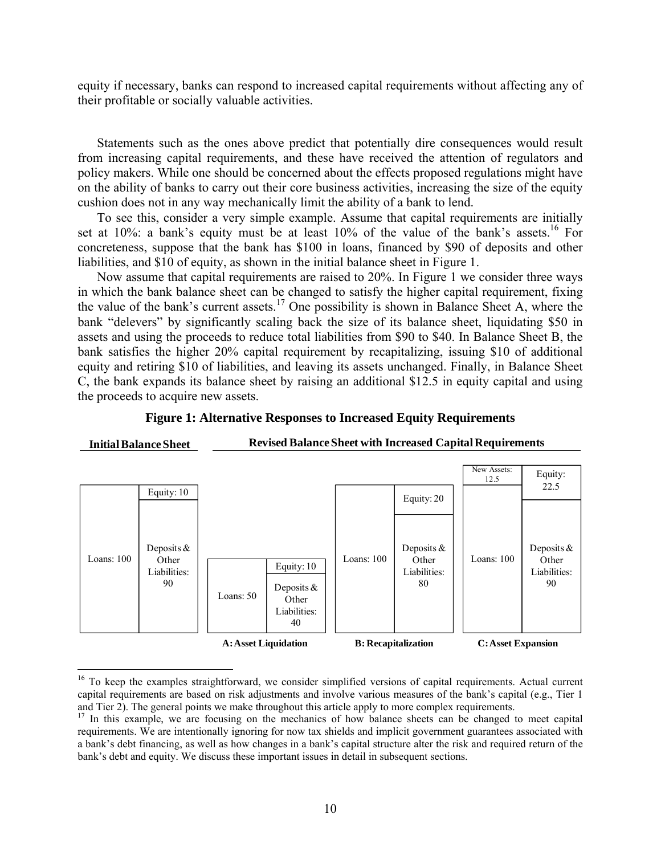equity if necessary, banks can respond to increased capital requirements without affecting any of their profitable or socially valuable activities.

Statements such as the ones above predict that potentially dire consequences would result from increasing capital requirements, and these have received the attention of regulators and policy makers. While one should be concerned about the effects proposed regulations might have on the ability of banks to carry out their core business activities, increasing the size of the equity cushion does not in any way mechanically limit the ability of a bank to lend.

To see this, consider a very simple example. Assume that capital requirements are initially set at  $10\%$ : a bank's equity must be at least  $10\%$  of the value of the bank's assets.<sup>16</sup> For concreteness, suppose that the bank has \$100 in loans, financed by \$90 of deposits and other liabilities, and \$10 of equity, as shown in the initial balance sheet in Figure 1.

Now assume that capital requirements are raised to 20%. In Figure 1 we consider three ways in which the bank balance sheet can be changed to satisfy the higher capital requirement, fixing the value of the bank's current assets.<sup>17</sup> One possibility is shown in Balance Sheet A, where the bank "delevers" by significantly scaling back the size of its balance sheet, liquidating \$50 in assets and using the proceeds to reduce total liabilities from \$90 to \$40. In Balance Sheet B, the bank satisfies the higher 20% capital requirement by recapitalizing, issuing \$10 of additional equity and retiring \$10 of liabilities, and leaving its assets unchanged. Finally, in Balance Sheet C, the bank expands its balance sheet by raising an additional \$12.5 in equity capital and using the proceeds to acquire new assets.





#### <sup>16</sup> To keep the examples straightforward, we consider simplified versions of capital requirements. Actual current capital requirements are based on risk adjustments and involve various measures of the bank's capital (e.g., Tier 1 and Tier 2). The general points we make throughout this article apply to more complex requirements.

<sup>&</sup>lt;sup>17</sup> In this example, we are focusing on the mechanics of how balance sheets can be changed to meet capital requirements. We are intentionally ignoring for now tax shields and implicit government guarantees associated with a bank's debt financing, as well as how changes in a bank's capital structure alter the risk and required return of the bank's debt and equity. We discuss these important issues in detail in subsequent sections.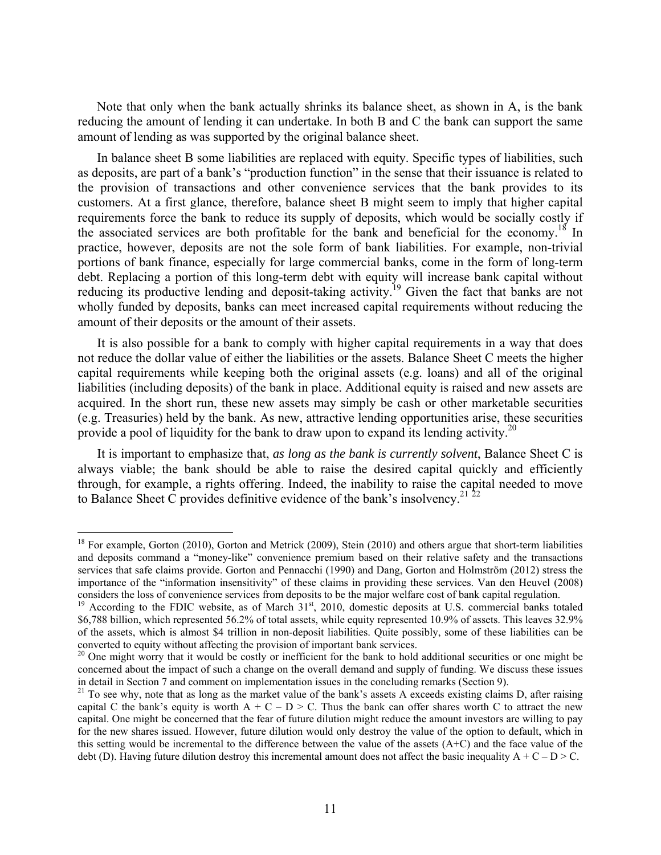Note that only when the bank actually shrinks its balance sheet, as shown in A, is the bank reducing the amount of lending it can undertake. In both B and C the bank can support the same amount of lending as was supported by the original balance sheet.

In balance sheet B some liabilities are replaced with equity. Specific types of liabilities, such as deposits, are part of a bank's "production function" in the sense that their issuance is related to the provision of transactions and other convenience services that the bank provides to its customers. At a first glance, therefore, balance sheet B might seem to imply that higher capital requirements force the bank to reduce its supply of deposits, which would be socially costly if the associated services are both profitable for the bank and beneficial for the economy.<sup>18</sup> In practice, however, deposits are not the sole form of bank liabilities. For example, non-trivial portions of bank finance, especially for large commercial banks, come in the form of long-term debt. Replacing a portion of this long-term debt with equity will increase bank capital without reducing its productive lending and deposit-taking activity.<sup>19</sup> Given the fact that banks are not wholly funded by deposits, banks can meet increased capital requirements without reducing the amount of their deposits or the amount of their assets.

It is also possible for a bank to comply with higher capital requirements in a way that does not reduce the dollar value of either the liabilities or the assets. Balance Sheet C meets the higher capital requirements while keeping both the original assets (e.g. loans) and all of the original liabilities (including deposits) of the bank in place. Additional equity is raised and new assets are acquired. In the short run, these new assets may simply be cash or other marketable securities (e.g. Treasuries) held by the bank. As new, attractive lending opportunities arise, these securities provide a pool of liquidity for the bank to draw upon to expand its lending activity.<sup>20</sup>

It is important to emphasize that, *as long as the bank is currently solvent*, Balance Sheet C is always viable; the bank should be able to raise the desired capital quickly and efficiently through, for example, a rights offering. Indeed, the inability to raise the capital needed to move to Balance Sheet C provides definitive evidence of the bank's insolvency.<sup>21</sup>  $^{22}$ 

 $18$  For example, Gorton (2010), Gorton and Metrick (2009), Stein (2010) and others argue that short-term liabilities and deposits command a "money-like" convenience premium based on their relative safety and the transactions services that safe claims provide. Gorton and Pennacchi (1990) and Dang, Gorton and Holmström (2012) stress the importance of the "information insensitivity" of these claims in providing these services. Van den Heuvel (2008) considers the loss of convenience services from deposits to be the major welfare cost of bank capital regulat

<sup>&</sup>lt;sup>19</sup> According to the FDIC website, as of March 31<sup>st</sup>, 2010, domestic deposits at U.S. commercial banks totaled \$6,788 billion, which represented 56.2% of total assets, while equity represented 10.9% of assets. This leaves 32.9% of the assets, which is almost \$4 trillion in non-deposit liabilities. Quite possibly, some of these liabilities can be converted to equity without affecting the provision of important bank services.

<sup>&</sup>lt;sup>20</sup> One might worry that it would be costly or inefficient for the bank to hold additional securities or one might be concerned about the impact of such a change on the overall demand and supply of funding. We discuss these issues in detail in Section 7 and comment on implementation issues in the concluding remarks (Section 9).

<sup>&</sup>lt;sup>21</sup> To see why, note that as long as the market value of the bank's assets A exceeds existing claims D, after raising capital C the bank's equity is worth  $A + C - D > C$ . Thus the bank can offer shares worth C to attract the new capital. One might be concerned that the fear of future dilution might reduce the amount investors are willing to pay for the new shares issued. However, future dilution would only destroy the value of the option to default, which in this setting would be incremental to the difference between the value of the assets  $(A+C)$  and the face value of the debt (D). Having future dilution destroy this incremental amount does not affect the basic inequality  $A + C - D > C$ .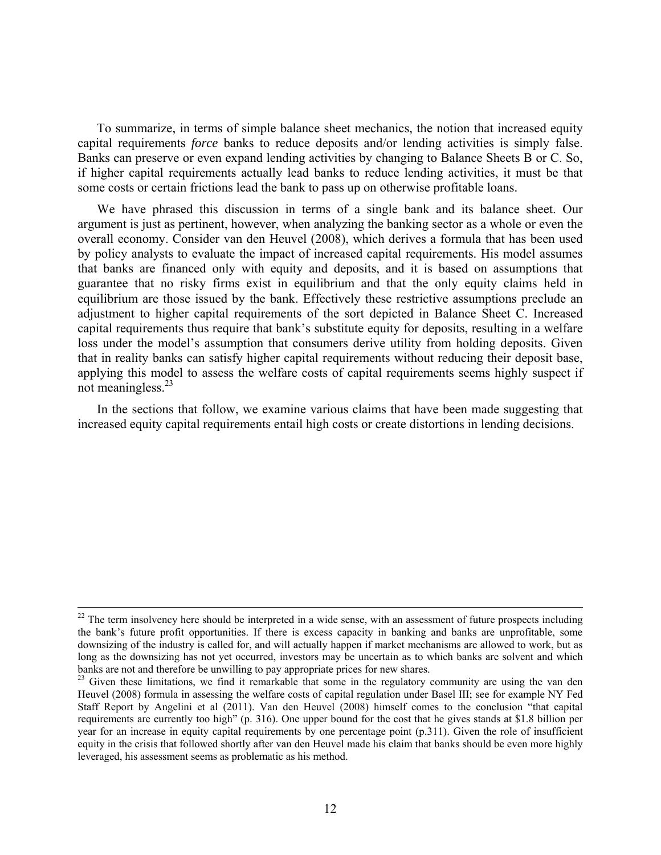To summarize, in terms of simple balance sheet mechanics, the notion that increased equity capital requirements *force* banks to reduce deposits and/or lending activities is simply false. Banks can preserve or even expand lending activities by changing to Balance Sheets B or C. So, if higher capital requirements actually lead banks to reduce lending activities, it must be that some costs or certain frictions lead the bank to pass up on otherwise profitable loans.

We have phrased this discussion in terms of a single bank and its balance sheet. Our argument is just as pertinent, however, when analyzing the banking sector as a whole or even the overall economy. Consider van den Heuvel (2008), which derives a formula that has been used by policy analysts to evaluate the impact of increased capital requirements. His model assumes that banks are financed only with equity and deposits, and it is based on assumptions that guarantee that no risky firms exist in equilibrium and that the only equity claims held in equilibrium are those issued by the bank. Effectively these restrictive assumptions preclude an adjustment to higher capital requirements of the sort depicted in Balance Sheet C. Increased capital requirements thus require that bank's substitute equity for deposits, resulting in a welfare loss under the model's assumption that consumers derive utility from holding deposits. Given that in reality banks can satisfy higher capital requirements without reducing their deposit base, applying this model to assess the welfare costs of capital requirements seems highly suspect if not meaningless. $^{23}$ 

In the sections that follow, we examine various claims that have been made suggesting that increased equity capital requirements entail high costs or create distortions in lending decisions.

 $22$  The term insolvency here should be interpreted in a wide sense, with an assessment of future prospects including the bank's future profit opportunities. If there is excess capacity in banking and banks are unprofitable, some downsizing of the industry is called for, and will actually happen if market mechanisms are allowed to work, but as long as the downsizing has not yet occurred, investors may be uncertain as to which banks are solvent and which banks are not and therefore be unwilling to pay appropriate prices for new shares.<br><sup>23</sup> Given these limitations, we find it remarkable that some in the regulatory community are using the van den

Heuvel (2008) formula in assessing the welfare costs of capital regulation under Basel III; see for example NY Fed Staff Report by Angelini et al (2011). Van den Heuvel (2008) himself comes to the conclusion "that capital requirements are currently too high" (p. 316). One upper bound for the cost that he gives stands at \$1.8 billion per year for an increase in equity capital requirements by one percentage point (p.311). Given the role of insufficient equity in the crisis that followed shortly after van den Heuvel made his claim that banks should be even more highly leveraged, his assessment seems as problematic as his method.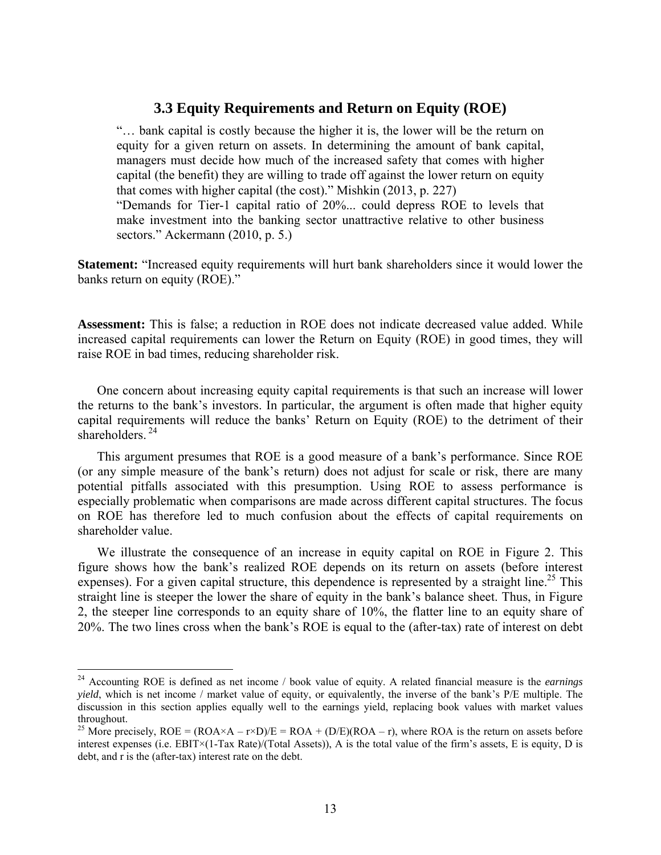## **3.3 Equity Requirements and Return on Equity (ROE)**

"… bank capital is costly because the higher it is, the lower will be the return on equity for a given return on assets. In determining the amount of bank capital, managers must decide how much of the increased safety that comes with higher capital (the benefit) they are willing to trade off against the lower return on equity that comes with higher capital (the cost)." Mishkin (2013, p. 227)

"Demands for Tier-1 capital ratio of 20%... could depress ROE to levels that make investment into the banking sector unattractive relative to other business sectors." Ackermann (2010, p. 5.)

**Statement:** "Increased equity requirements will hurt bank shareholders since it would lower the banks return on equity (ROE)."

**Assessment:** This is false; a reduction in ROE does not indicate decreased value added. While increased capital requirements can lower the Return on Equity (ROE) in good times, they will raise ROE in bad times, reducing shareholder risk.

One concern about increasing equity capital requirements is that such an increase will lower the returns to the bank's investors. In particular, the argument is often made that higher equity capital requirements will reduce the banks' Return on Equity (ROE) to the detriment of their shareholders.<sup>24</sup>

This argument presumes that ROE is a good measure of a bank's performance. Since ROE (or any simple measure of the bank's return) does not adjust for scale or risk, there are many potential pitfalls associated with this presumption. Using ROE to assess performance is especially problematic when comparisons are made across different capital structures. The focus on ROE has therefore led to much confusion about the effects of capital requirements on shareholder value.

We illustrate the consequence of an increase in equity capital on ROE in Figure 2. This figure shows how the bank's realized ROE depends on its return on assets (before interest expenses). For a given capital structure, this dependence is represented by a straight line.<sup>25</sup> This straight line is steeper the lower the share of equity in the bank's balance sheet. Thus, in Figure 2, the steeper line corresponds to an equity share of 10%, the flatter line to an equity share of 20%. The two lines cross when the bank's ROE is equal to the (after-tax) rate of interest on debt

1

<sup>24</sup> Accounting ROE is defined as net income / book value of equity. A related financial measure is the *earnings yield*, which is net income / market value of equity, or equivalently, the inverse of the bank's P/E multiple. The discussion in this section applies equally well to the earnings yield, replacing book values with market values throughout.

<sup>&</sup>lt;sup>25</sup> More precisely, ROE = (ROA×A – r×D)/E = ROA + (D/E)(ROA – r), where ROA is the return on assets before interest expenses (i.e. EBIT×(1-Tax Rate)/(Total Assets)), A is the total value of the firm's assets, E is equity, D is debt, and r is the (after-tax) interest rate on the debt.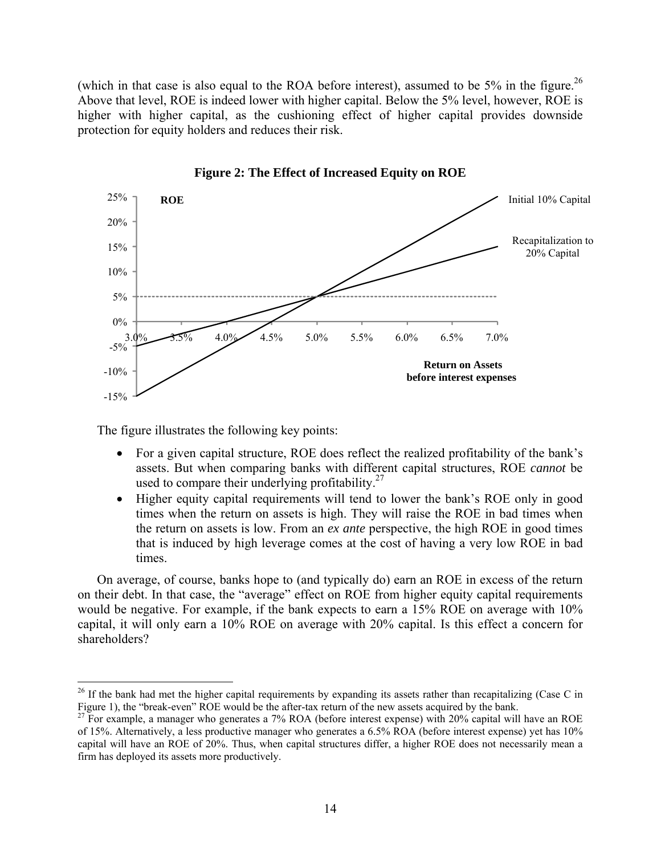(which in that case is also equal to the ROA before interest), assumed to be  $5\%$  in the figure.<sup>26</sup> Above that level, ROE is indeed lower with higher capital. Below the 5% level, however, ROE is higher with higher capital, as the cushioning effect of higher capital provides downside protection for equity holders and reduces their risk.



**Figure 2: The Effect of Increased Equity on ROE** 

The figure illustrates the following key points:

 $\overline{a}$ 

- For a given capital structure, ROE does reflect the realized profitability of the bank's assets. But when comparing banks with different capital structures, ROE *cannot* be used to compare their underlying profitability. $27$
- Higher equity capital requirements will tend to lower the bank's ROE only in good times when the return on assets is high. They will raise the ROE in bad times when the return on assets is low. From an *ex ante* perspective, the high ROE in good times that is induced by high leverage comes at the cost of having a very low ROE in bad times.

On average, of course, banks hope to (and typically do) earn an ROE in excess of the return on their debt. In that case, the "average" effect on ROE from higher equity capital requirements would be negative. For example, if the bank expects to earn a 15% ROE on average with 10% capital, it will only earn a 10% ROE on average with 20% capital. Is this effect a concern for shareholders?

 $26$  If the bank had met the higher capital requirements by expanding its assets rather than recapitalizing (Case C in Figure 1), the "break-even" ROE would be the after-tax return of the new assets acquired by the bank.

<sup>&</sup>lt;sup>27</sup> For example, a manager who generates a 7% ROA (before interest expense) with 20% capital will have an ROE of 15%. Alternatively, a less productive manager who generates a 6.5% ROA (before interest expense) yet has 10% capital will have an ROE of 20%. Thus, when capital structures differ, a higher ROE does not necessarily mean a firm has deployed its assets more productively.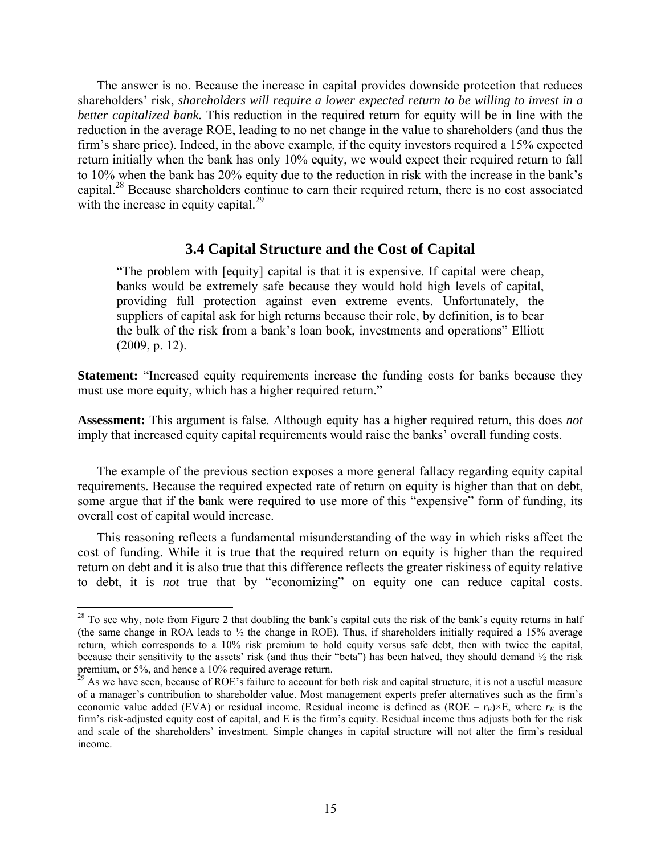The answer is no. Because the increase in capital provides downside protection that reduces shareholders' risk, *shareholders will require a lower expected return to be willing to invest in a better capitalized bank.* This reduction in the required return for equity will be in line with the reduction in the average ROE, leading to no net change in the value to shareholders (and thus the firm's share price). Indeed, in the above example, if the equity investors required a 15% expected return initially when the bank has only 10% equity, we would expect their required return to fall to 10% when the bank has 20% equity due to the reduction in risk with the increase in the bank's capital.<sup>28</sup> Because shareholders continue to earn their required return, there is no cost associated with the increase in equity capital. $^{29}$ 

#### **3.4 Capital Structure and the Cost of Capital**

"The problem with [equity] capital is that it is expensive. If capital were cheap, banks would be extremely safe because they would hold high levels of capital, providing full protection against even extreme events. Unfortunately, the suppliers of capital ask for high returns because their role, by definition, is to bear the bulk of the risk from a bank's loan book, investments and operations" Elliott (2009, p. 12).

**Statement:** "Increased equity requirements increase the funding costs for banks because they must use more equity, which has a higher required return."

**Assessment:** This argument is false. Although equity has a higher required return, this does *not*  imply that increased equity capital requirements would raise the banks' overall funding costs.

The example of the previous section exposes a more general fallacy regarding equity capital requirements. Because the required expected rate of return on equity is higher than that on debt, some argue that if the bank were required to use more of this "expensive" form of funding, its overall cost of capital would increase.

This reasoning reflects a fundamental misunderstanding of the way in which risks affect the cost of funding. While it is true that the required return on equity is higher than the required return on debt and it is also true that this difference reflects the greater riskiness of equity relative to debt, it is *not* true that by "economizing" on equity one can reduce capital costs.

<sup>&</sup>lt;sup>28</sup> To see why, note from Figure 2 that doubling the bank's capital cuts the risk of the bank's equity returns in half (the same change in ROA leads to  $\frac{1}{2}$  the change in ROE). Thus, if shareholders initially required a 15% average return, which corresponds to a 10% risk premium to hold equity versus safe debt, then with twice the capital, because their sensitivity to the assets' risk (and thus their "beta") has been halved, they should demand  $\frac{1}{2}$  the risk premium, or 5%, and hence a 10% required average return.<br><sup>29</sup> As we have seen, because of ROE's failure to account for both risk and capital structure, it is not a useful measure

of a manager's contribution to shareholder value. Most management experts prefer alternatives such as the firm's economic value added (EVA) or residual income. Residual income is defined as (ROE –  $r_F$ )×E, where  $r_F$  is the firm's risk-adjusted equity cost of capital, and E is the firm's equity. Residual income thus adjusts both for the risk and scale of the shareholders' investment. Simple changes in capital structure will not alter the firm's residual income.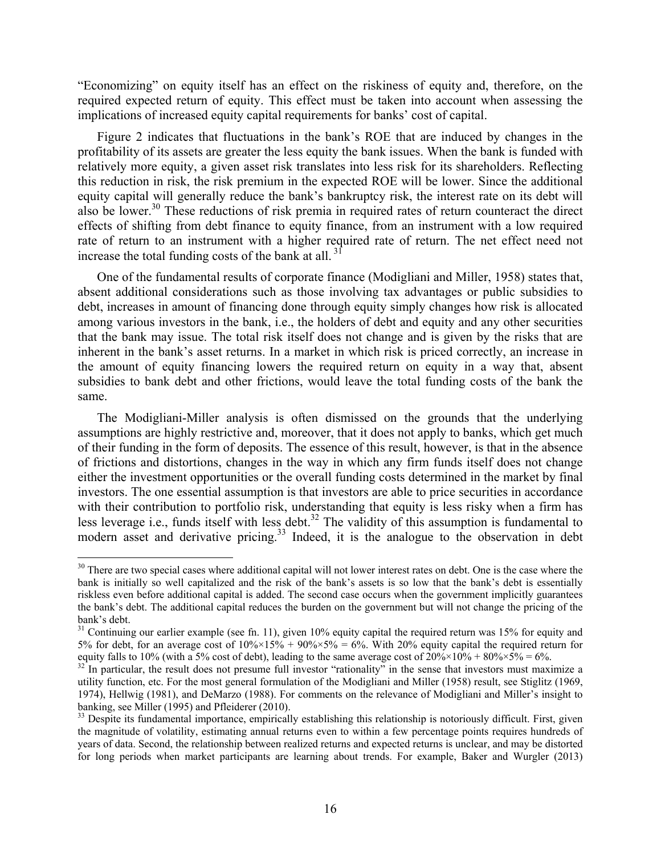"Economizing" on equity itself has an effect on the riskiness of equity and, therefore, on the required expected return of equity. This effect must be taken into account when assessing the implications of increased equity capital requirements for banks' cost of capital.

Figure 2 indicates that fluctuations in the bank's ROE that are induced by changes in the profitability of its assets are greater the less equity the bank issues. When the bank is funded with relatively more equity, a given asset risk translates into less risk for its shareholders. Reflecting this reduction in risk, the risk premium in the expected ROE will be lower. Since the additional equity capital will generally reduce the bank's bankruptcy risk, the interest rate on its debt will also be lower.<sup>30</sup> These reductions of risk premia in required rates of return counteract the direct effects of shifting from debt finance to equity finance, from an instrument with a low required rate of return to an instrument with a higher required rate of return. The net effect need not increase the total funding costs of the bank at all.<sup>31</sup>

One of the fundamental results of corporate finance (Modigliani and Miller, 1958) states that, absent additional considerations such as those involving tax advantages or public subsidies to debt, increases in amount of financing done through equity simply changes how risk is allocated among various investors in the bank, i.e., the holders of debt and equity and any other securities that the bank may issue. The total risk itself does not change and is given by the risks that are inherent in the bank's asset returns. In a market in which risk is priced correctly, an increase in the amount of equity financing lowers the required return on equity in a way that, absent subsidies to bank debt and other frictions, would leave the total funding costs of the bank the same.

The Modigliani-Miller analysis is often dismissed on the grounds that the underlying assumptions are highly restrictive and, moreover, that it does not apply to banks, which get much of their funding in the form of deposits. The essence of this result, however, is that in the absence of frictions and distortions, changes in the way in which any firm funds itself does not change either the investment opportunities or the overall funding costs determined in the market by final investors. The one essential assumption is that investors are able to price securities in accordance with their contribution to portfolio risk, understanding that equity is less risky when a firm has less leverage i.e., funds itself with less debt.<sup>32</sup> The validity of this assumption is fundamental to modern asset and derivative pricing.<sup>33</sup> Indeed, it is the analogue to the observation in debt

<sup>&</sup>lt;sup>30</sup> There are two special cases where additional capital will not lower interest rates on debt. One is the case where the bank is initially so well capitalized and the risk of the bank's assets is so low that the bank's debt is essentially riskless even before additional capital is added. The second case occurs when the government implicitly guarantees the bank's debt. The additional capital reduces the burden on the government but will not change the pricing of the bank's debt.

<sup>&</sup>lt;sup>31</sup> Continuing our earlier example (see fn. 11), given 10% equity capital the required return was 15% for equity and 5% for debt, for an average cost of  $10\% \times 15\% + 90\% \times 5\% = 6\%$ . With 20% equity capital the required return for equity falls to 10% (with a 5% cost of debt), leading to the same average cost of  $20\% \times 10\% + 80\% \times 5\% = 6\%$ .<br><sup>32</sup> In particular, the result does not presume full investor "rationality" in the sense that investors mus

utility function, etc. For the most general formulation of the Modigliani and Miller (1958) result, see Stiglitz (1969, 1974), Hellwig (1981), and DeMarzo (1988). For comments on the relevance of Modigliani and Miller's insight to banking, see Miller (1995) and Pfleiderer (2010).

<sup>&</sup>lt;sup>33</sup> Despite its fundamental importance, empirically establishing this relationship is notoriously difficult. First, given the magnitude of volatility, estimating annual returns even to within a few percentage points requires hundreds of years of data. Second, the relationship between realized returns and expected returns is unclear, and may be distorted for long periods when market participants are learning about trends. For example, Baker and Wurgler (2013)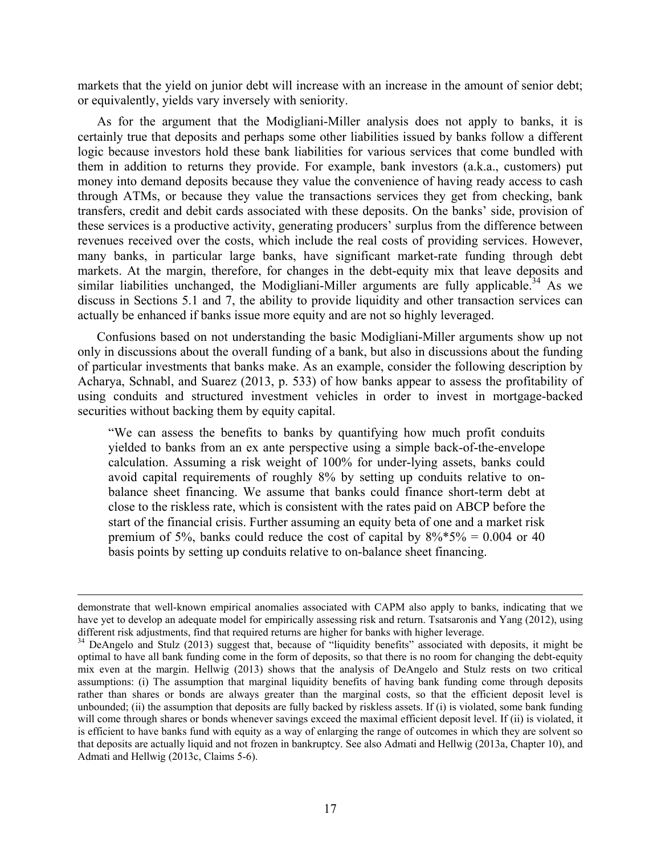markets that the yield on junior debt will increase with an increase in the amount of senior debt; or equivalently, yields vary inversely with seniority.

As for the argument that the Modigliani-Miller analysis does not apply to banks, it is certainly true that deposits and perhaps some other liabilities issued by banks follow a different logic because investors hold these bank liabilities for various services that come bundled with them in addition to returns they provide. For example, bank investors (a.k.a., customers) put money into demand deposits because they value the convenience of having ready access to cash through ATMs, or because they value the transactions services they get from checking, bank transfers, credit and debit cards associated with these deposits. On the banks' side, provision of these services is a productive activity, generating producers' surplus from the difference between revenues received over the costs, which include the real costs of providing services. However, many banks, in particular large banks, have significant market-rate funding through debt markets. At the margin, therefore, for changes in the debt-equity mix that leave deposits and similar liabilities unchanged, the Modigliani-Miller arguments are fully applicable.<sup>34</sup> As we discuss in Sections 5.1 and 7, the ability to provide liquidity and other transaction services can actually be enhanced if banks issue more equity and are not so highly leveraged.

Confusions based on not understanding the basic Modigliani-Miller arguments show up not only in discussions about the overall funding of a bank, but also in discussions about the funding of particular investments that banks make. As an example, consider the following description by Acharya, Schnabl, and Suarez (2013, p. 533) of how banks appear to assess the profitability of using conduits and structured investment vehicles in order to invest in mortgage-backed securities without backing them by equity capital.

"We can assess the benefits to banks by quantifying how much profit conduits yielded to banks from an ex ante perspective using a simple back-of-the-envelope calculation. Assuming a risk weight of 100% for under-lying assets, banks could avoid capital requirements of roughly 8% by setting up conduits relative to onbalance sheet financing. We assume that banks could finance short-term debt at close to the riskless rate, which is consistent with the rates paid on ABCP before the start of the financial crisis. Further assuming an equity beta of one and a market risk premium of 5%, banks could reduce the cost of capital by  $8\frac{6*}{5}\% = 0.004$  or 40 basis points by setting up conduits relative to on-balance sheet financing.

demonstrate that well-known empirical anomalies associated with CAPM also apply to banks, indicating that we have yet to develop an adequate model for empirically assessing risk and return. Tsatsaronis and Yang (2012), using different risk adjustments, find that required returns are higher for banks with higher leverage.

<sup>&</sup>lt;sup>34</sup> DeAngelo and Stulz (2013) suggest that, because of "liquidity benefits" associated with deposits, it might be optimal to have all bank funding come in the form of deposits, so that there is no room for changing the debt-equity mix even at the margin. Hellwig (2013) shows that the analysis of DeAngelo and Stulz rests on two critical assumptions: (i) The assumption that marginal liquidity benefits of having bank funding come through deposits rather than shares or bonds are always greater than the marginal costs, so that the efficient deposit level is unbounded; (ii) the assumption that deposits are fully backed by riskless assets. If (i) is violated, some bank funding will come through shares or bonds whenever savings exceed the maximal efficient deposit level. If (ii) is violated, it is efficient to have banks fund with equity as a way of enlarging the range of outcomes in which they are solvent so that deposits are actually liquid and not frozen in bankruptcy. See also Admati and Hellwig (2013a, Chapter 10), and Admati and Hellwig (2013c, Claims 5-6).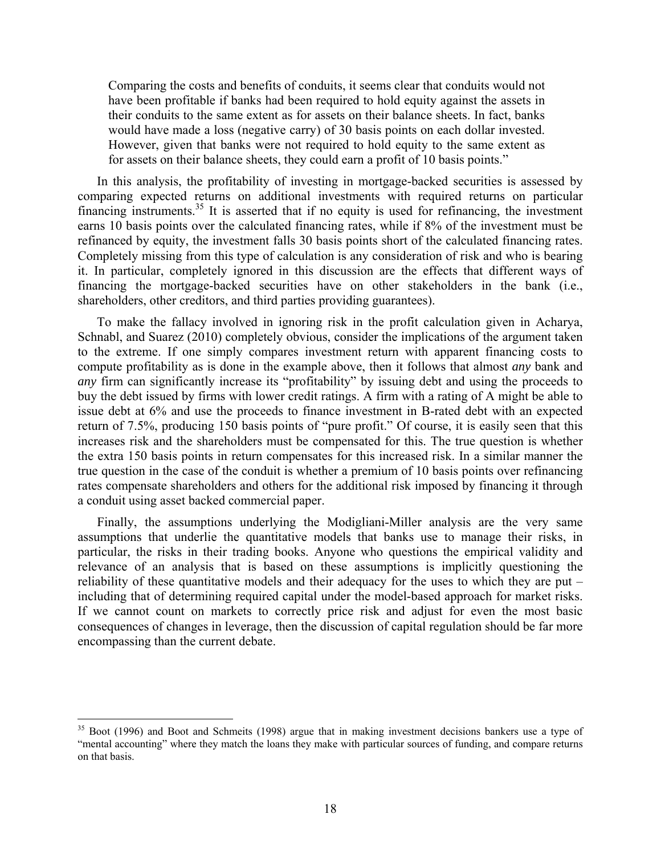Comparing the costs and benefits of conduits, it seems clear that conduits would not have been profitable if banks had been required to hold equity against the assets in their conduits to the same extent as for assets on their balance sheets. In fact, banks would have made a loss (negative carry) of 30 basis points on each dollar invested. However, given that banks were not required to hold equity to the same extent as for assets on their balance sheets, they could earn a profit of 10 basis points."

In this analysis, the profitability of investing in mortgage-backed securities is assessed by comparing expected returns on additional investments with required returns on particular financing instruments.<sup>35</sup> It is asserted that if no equity is used for refinancing, the investment earns 10 basis points over the calculated financing rates, while if 8% of the investment must be refinanced by equity, the investment falls 30 basis points short of the calculated financing rates. Completely missing from this type of calculation is any consideration of risk and who is bearing it. In particular, completely ignored in this discussion are the effects that different ways of financing the mortgage-backed securities have on other stakeholders in the bank (i.e., shareholders, other creditors, and third parties providing guarantees).

To make the fallacy involved in ignoring risk in the profit calculation given in Acharya, Schnabl, and Suarez (2010) completely obvious, consider the implications of the argument taken to the extreme. If one simply compares investment return with apparent financing costs to compute profitability as is done in the example above, then it follows that almost *any* bank and *any* firm can significantly increase its "profitability" by issuing debt and using the proceeds to buy the debt issued by firms with lower credit ratings. A firm with a rating of A might be able to issue debt at 6% and use the proceeds to finance investment in B-rated debt with an expected return of 7.5%, producing 150 basis points of "pure profit." Of course, it is easily seen that this increases risk and the shareholders must be compensated for this. The true question is whether the extra 150 basis points in return compensates for this increased risk. In a similar manner the true question in the case of the conduit is whether a premium of 10 basis points over refinancing rates compensate shareholders and others for the additional risk imposed by financing it through a conduit using asset backed commercial paper.

Finally, the assumptions underlying the Modigliani-Miller analysis are the very same assumptions that underlie the quantitative models that banks use to manage their risks, in particular, the risks in their trading books. Anyone who questions the empirical validity and relevance of an analysis that is based on these assumptions is implicitly questioning the reliability of these quantitative models and their adequacy for the uses to which they are put – including that of determining required capital under the model-based approach for market risks. If we cannot count on markets to correctly price risk and adjust for even the most basic consequences of changes in leverage, then the discussion of capital regulation should be far more encompassing than the current debate.

<u>.</u>

<sup>&</sup>lt;sup>35</sup> Boot (1996) and Boot and Schmeits (1998) argue that in making investment decisions bankers use a type of "mental accounting" where they match the loans they make with particular sources of funding, and compare returns on that basis.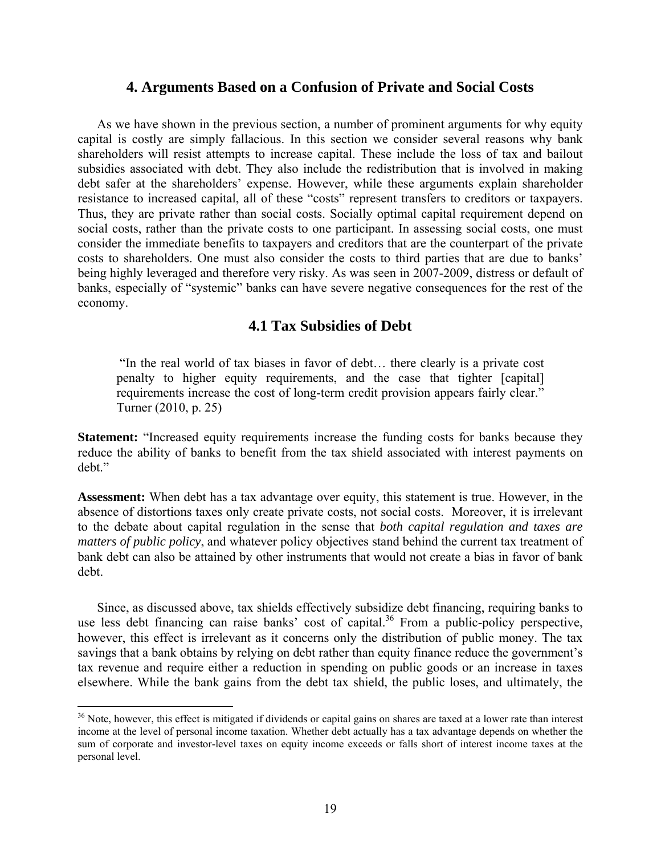#### **4. Arguments Based on a Confusion of Private and Social Costs**

As we have shown in the previous section, a number of prominent arguments for why equity capital is costly are simply fallacious. In this section we consider several reasons why bank shareholders will resist attempts to increase capital. These include the loss of tax and bailout subsidies associated with debt. They also include the redistribution that is involved in making debt safer at the shareholders' expense. However, while these arguments explain shareholder resistance to increased capital, all of these "costs" represent transfers to creditors or taxpayers. Thus, they are private rather than social costs. Socially optimal capital requirement depend on social costs, rather than the private costs to one participant. In assessing social costs, one must consider the immediate benefits to taxpayers and creditors that are the counterpart of the private costs to shareholders. One must also consider the costs to third parties that are due to banks' being highly leveraged and therefore very risky. As was seen in 2007-2009, distress or default of banks, especially of "systemic" banks can have severe negative consequences for the rest of the economy.

## **4.1 Tax Subsidies of Debt**

 "In the real world of tax biases in favor of debt… there clearly is a private cost penalty to higher equity requirements, and the case that tighter [capital] requirements increase the cost of long-term credit provision appears fairly clear." Turner (2010, p. 25)

**Statement:** "Increased equity requirements increase the funding costs for banks because they reduce the ability of banks to benefit from the tax shield associated with interest payments on debt<sup>"</sup>

**Assessment:** When debt has a tax advantage over equity, this statement is true. However, in the absence of distortions taxes only create private costs, not social costs. Moreover, it is irrelevant to the debate about capital regulation in the sense that *both capital regulation and taxes are matters of public policy*, and whatever policy objectives stand behind the current tax treatment of bank debt can also be attained by other instruments that would not create a bias in favor of bank debt.

Since, as discussed above, tax shields effectively subsidize debt financing, requiring banks to use less debt financing can raise banks' cost of capital.<sup>36</sup> From a public-policy perspective, however, this effect is irrelevant as it concerns only the distribution of public money. The tax savings that a bank obtains by relying on debt rather than equity finance reduce the government's tax revenue and require either a reduction in spending on public goods or an increase in taxes elsewhere. While the bank gains from the debt tax shield, the public loses, and ultimately, the

 $36$  Note, however, this effect is mitigated if dividends or capital gains on shares are taxed at a lower rate than interest income at the level of personal income taxation. Whether debt actually has a tax advantage depends on whether the sum of corporate and investor-level taxes on equity income exceeds or falls short of interest income taxes at the personal level.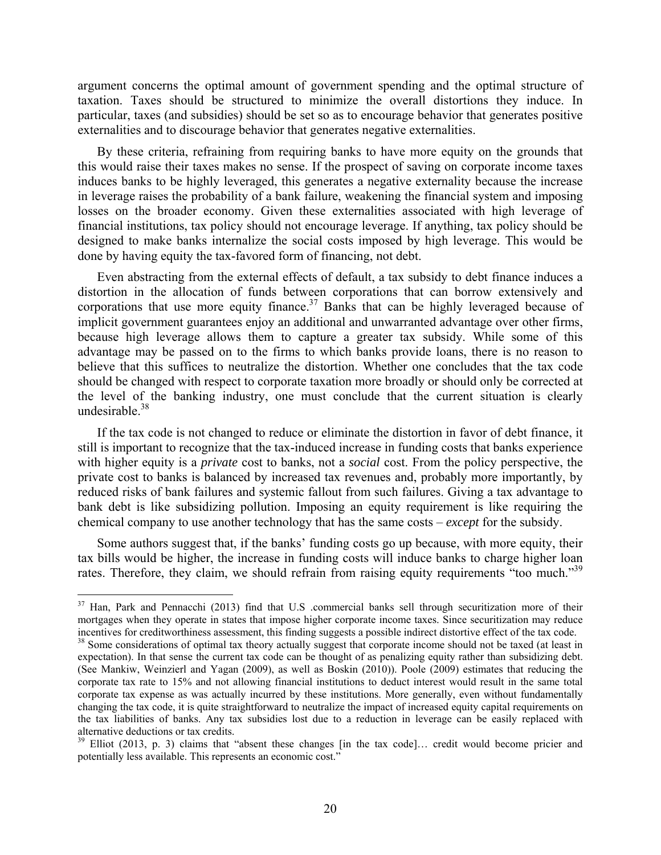argument concerns the optimal amount of government spending and the optimal structure of taxation. Taxes should be structured to minimize the overall distortions they induce. In particular, taxes (and subsidies) should be set so as to encourage behavior that generates positive externalities and to discourage behavior that generates negative externalities.

By these criteria, refraining from requiring banks to have more equity on the grounds that this would raise their taxes makes no sense. If the prospect of saving on corporate income taxes induces banks to be highly leveraged, this generates a negative externality because the increase in leverage raises the probability of a bank failure, weakening the financial system and imposing losses on the broader economy. Given these externalities associated with high leverage of financial institutions, tax policy should not encourage leverage. If anything, tax policy should be designed to make banks internalize the social costs imposed by high leverage. This would be done by having equity the tax-favored form of financing, not debt.

Even abstracting from the external effects of default, a tax subsidy to debt finance induces a distortion in the allocation of funds between corporations that can borrow extensively and corporations that use more equity finance.<sup>37</sup> Banks that can be highly leveraged because of implicit government guarantees enjoy an additional and unwarranted advantage over other firms, because high leverage allows them to capture a greater tax subsidy. While some of this advantage may be passed on to the firms to which banks provide loans, there is no reason to believe that this suffices to neutralize the distortion. Whether one concludes that the tax code should be changed with respect to corporate taxation more broadly or should only be corrected at the level of the banking industry, one must conclude that the current situation is clearly undesirable. $38$ 

If the tax code is not changed to reduce or eliminate the distortion in favor of debt finance, it still is important to recognize that the tax-induced increase in funding costs that banks experience with higher equity is a *private* cost to banks, not a *social* cost. From the policy perspective, the private cost to banks is balanced by increased tax revenues and, probably more importantly, by reduced risks of bank failures and systemic fallout from such failures. Giving a tax advantage to bank debt is like subsidizing pollution. Imposing an equity requirement is like requiring the chemical company to use another technology that has the same costs – *except* for the subsidy.

Some authors suggest that, if the banks' funding costs go up because, with more equity, their tax bills would be higher, the increase in funding costs will induce banks to charge higher loan rates. Therefore, they claim, we should refrain from raising equity requirements "too much."<sup>39</sup>

1

<sup>&</sup>lt;sup>37</sup> Han, Park and Pennacchi (2013) find that U.S .commercial banks sell through securitization more of their mortgages when they operate in states that impose higher corporate income taxes. Since securitization may reduce incentives for creditworthiness assessment, this finding suggests a possible indirect distortive effect of the tax code.<br><sup>38</sup> Some considerations of optimal tax theory actually suggest that corporate income should not be t

expectation). In that sense the current tax code can be thought of as penalizing equity rather than subsidizing debt. (See Mankiw, Weinzierl and Yagan (2009), as well as Boskin (2010)). Poole (2009) estimates that reducing the corporate tax rate to 15% and not allowing financial institutions to deduct interest would result in the same total corporate tax expense as was actually incurred by these institutions. More generally, even without fundamentally changing the tax code, it is quite straightforward to neutralize the impact of increased equity capital requirements on the tax liabilities of banks. Any tax subsidies lost due to a reduction in leverage can be easily replaced with alternative deductions or tax credits.

 $39$  Elliot (2013, p. 3) claims that "absent these changes [in the tax code]... credit would become pricier and potentially less available. This represents an economic cost."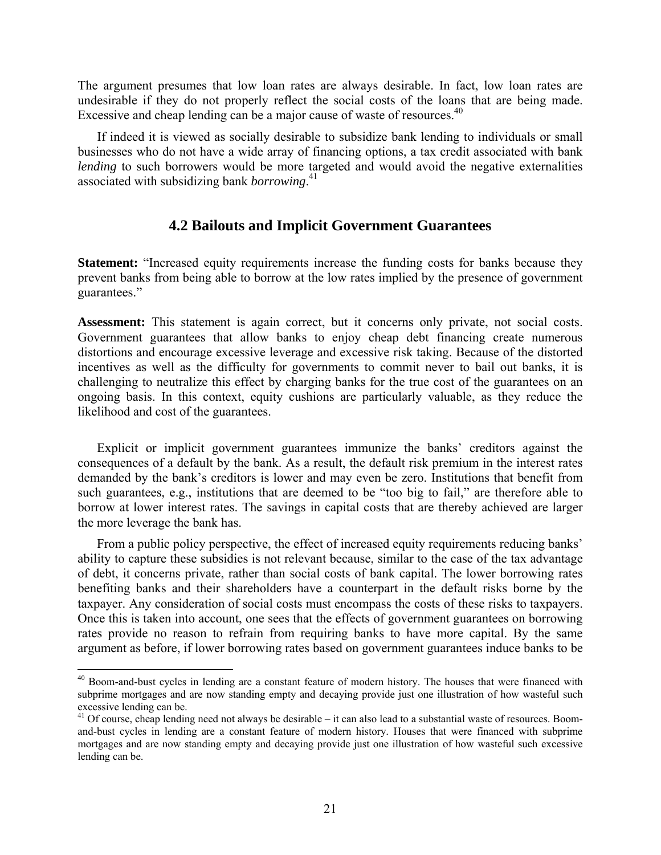The argument presumes that low loan rates are always desirable. In fact, low loan rates are undesirable if they do not properly reflect the social costs of the loans that are being made. Excessive and cheap lending can be a major cause of waste of resources.<sup>40</sup>

If indeed it is viewed as socially desirable to subsidize bank lending to individuals or small businesses who do not have a wide array of financing options, a tax credit associated with bank *lending* to such borrowers would be more targeted and would avoid the negative externalities associated with subsidizing bank *borrowing*. 41

#### **4.2 Bailouts and Implicit Government Guarantees**

**Statement:** "Increased equity requirements increase the funding costs for banks because they prevent banks from being able to borrow at the low rates implied by the presence of government guarantees."

**Assessment:** This statement is again correct, but it concerns only private, not social costs. Government guarantees that allow banks to enjoy cheap debt financing create numerous distortions and encourage excessive leverage and excessive risk taking. Because of the distorted incentives as well as the difficulty for governments to commit never to bail out banks, it is challenging to neutralize this effect by charging banks for the true cost of the guarantees on an ongoing basis. In this context, equity cushions are particularly valuable, as they reduce the likelihood and cost of the guarantees.

Explicit or implicit government guarantees immunize the banks' creditors against the consequences of a default by the bank. As a result, the default risk premium in the interest rates demanded by the bank's creditors is lower and may even be zero. Institutions that benefit from such guarantees, e.g., institutions that are deemed to be "too big to fail," are therefore able to borrow at lower interest rates. The savings in capital costs that are thereby achieved are larger the more leverage the bank has.

From a public policy perspective, the effect of increased equity requirements reducing banks' ability to capture these subsidies is not relevant because, similar to the case of the tax advantage of debt, it concerns private, rather than social costs of bank capital. The lower borrowing rates benefiting banks and their shareholders have a counterpart in the default risks borne by the taxpayer. Any consideration of social costs must encompass the costs of these risks to taxpayers. Once this is taken into account, one sees that the effects of government guarantees on borrowing rates provide no reason to refrain from requiring banks to have more capital. By the same argument as before, if lower borrowing rates based on government guarantees induce banks to be

1

<sup>&</sup>lt;sup>40</sup> Boom-and-bust cycles in lending are a constant feature of modern history. The houses that were financed with subprime mortgages and are now standing empty and decaying provide just one illustration of how wasteful such excessive lending can be.

<sup>&</sup>lt;sup>41</sup> Of course, cheap lending need not always be desirable – it can also lead to a substantial waste of resources. Boomand-bust cycles in lending are a constant feature of modern history. Houses that were financed with subprime mortgages and are now standing empty and decaying provide just one illustration of how wasteful such excessive lending can be.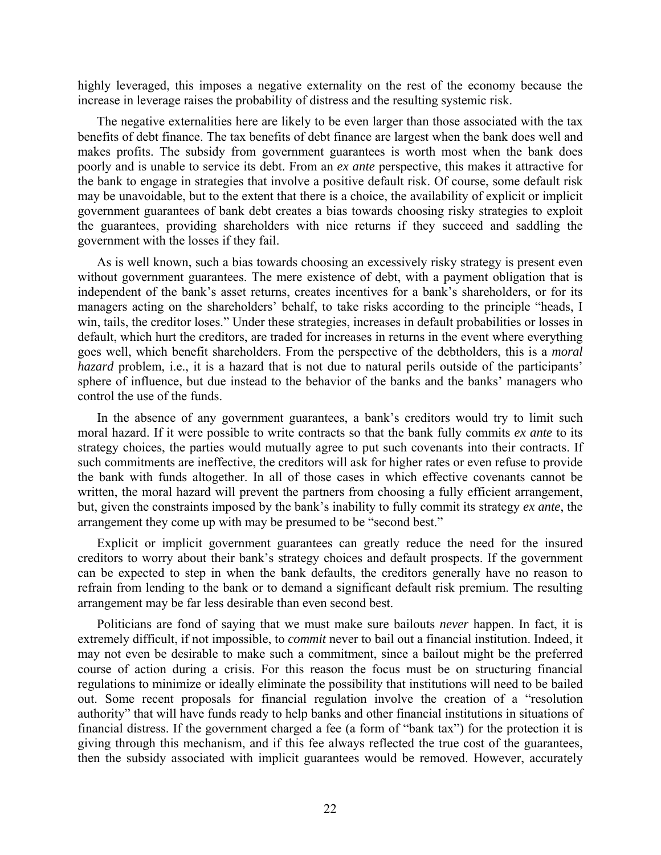highly leveraged, this imposes a negative externality on the rest of the economy because the increase in leverage raises the probability of distress and the resulting systemic risk.

The negative externalities here are likely to be even larger than those associated with the tax benefits of debt finance. The tax benefits of debt finance are largest when the bank does well and makes profits. The subsidy from government guarantees is worth most when the bank does poorly and is unable to service its debt. From an *ex ante* perspective, this makes it attractive for the bank to engage in strategies that involve a positive default risk. Of course, some default risk may be unavoidable, but to the extent that there is a choice, the availability of explicit or implicit government guarantees of bank debt creates a bias towards choosing risky strategies to exploit the guarantees, providing shareholders with nice returns if they succeed and saddling the government with the losses if they fail.

As is well known, such a bias towards choosing an excessively risky strategy is present even without government guarantees. The mere existence of debt, with a payment obligation that is independent of the bank's asset returns, creates incentives for a bank's shareholders, or for its managers acting on the shareholders' behalf, to take risks according to the principle "heads, I win, tails, the creditor loses." Under these strategies, increases in default probabilities or losses in default, which hurt the creditors, are traded for increases in returns in the event where everything goes well, which benefit shareholders. From the perspective of the debtholders, this is a *moral hazard* problem, i.e., it is a hazard that is not due to natural perils outside of the participants' sphere of influence, but due instead to the behavior of the banks and the banks' managers who control the use of the funds.

In the absence of any government guarantees, a bank's creditors would try to limit such moral hazard. If it were possible to write contracts so that the bank fully commits *ex ante* to its strategy choices, the parties would mutually agree to put such covenants into their contracts. If such commitments are ineffective, the creditors will ask for higher rates or even refuse to provide the bank with funds altogether. In all of those cases in which effective covenants cannot be written, the moral hazard will prevent the partners from choosing a fully efficient arrangement, but, given the constraints imposed by the bank's inability to fully commit its strategy *ex ante*, the arrangement they come up with may be presumed to be "second best."

Explicit or implicit government guarantees can greatly reduce the need for the insured creditors to worry about their bank's strategy choices and default prospects. If the government can be expected to step in when the bank defaults, the creditors generally have no reason to refrain from lending to the bank or to demand a significant default risk premium. The resulting arrangement may be far less desirable than even second best.

Politicians are fond of saying that we must make sure bailouts *never* happen. In fact, it is extremely difficult, if not impossible, to *commit* never to bail out a financial institution. Indeed, it may not even be desirable to make such a commitment, since a bailout might be the preferred course of action during a crisis. For this reason the focus must be on structuring financial regulations to minimize or ideally eliminate the possibility that institutions will need to be bailed out. Some recent proposals for financial regulation involve the creation of a "resolution authority" that will have funds ready to help banks and other financial institutions in situations of financial distress. If the government charged a fee (a form of "bank tax") for the protection it is giving through this mechanism, and if this fee always reflected the true cost of the guarantees, then the subsidy associated with implicit guarantees would be removed. However, accurately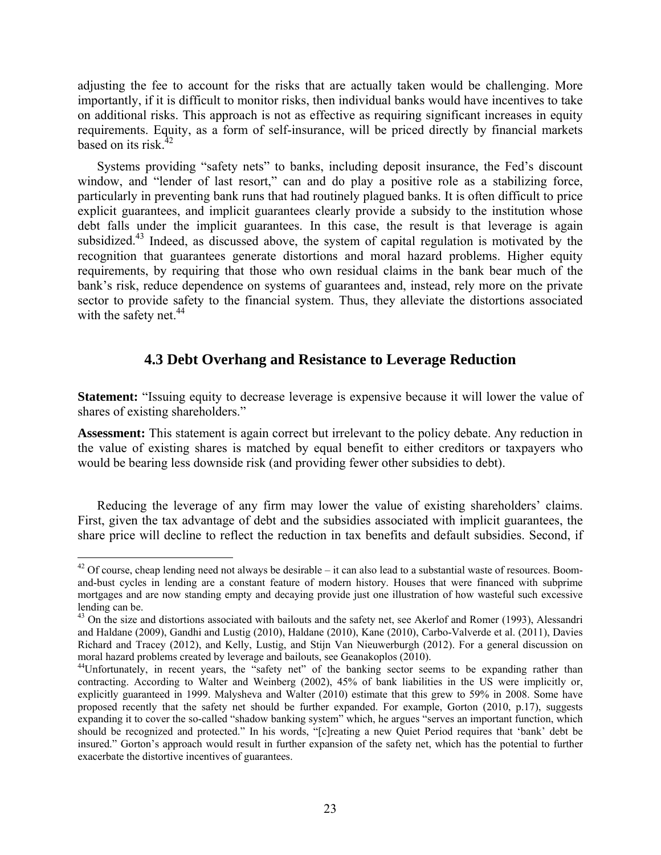adjusting the fee to account for the risks that are actually taken would be challenging. More importantly, if it is difficult to monitor risks, then individual banks would have incentives to take on additional risks. This approach is not as effective as requiring significant increases in equity requirements. Equity, as a form of self-insurance, will be priced directly by financial markets based on its risk. $42$ 

Systems providing "safety nets" to banks, including deposit insurance, the Fed's discount window, and "lender of last resort," can and do play a positive role as a stabilizing force, particularly in preventing bank runs that had routinely plagued banks. It is often difficult to price explicit guarantees, and implicit guarantees clearly provide a subsidy to the institution whose debt falls under the implicit guarantees. In this case, the result is that leverage is again subsidized.<sup>43</sup> Indeed, as discussed above, the system of capital regulation is motivated by the recognition that guarantees generate distortions and moral hazard problems. Higher equity requirements, by requiring that those who own residual claims in the bank bear much of the bank's risk, reduce dependence on systems of guarantees and, instead, rely more on the private sector to provide safety to the financial system. Thus, they alleviate the distortions associated with the safety net.<sup>44</sup>

## **4.3 Debt Overhang and Resistance to Leverage Reduction**

**Statement:** "Issuing equity to decrease leverage is expensive because it will lower the value of shares of existing shareholders."

**Assessment:** This statement is again correct but irrelevant to the policy debate. Any reduction in the value of existing shares is matched by equal benefit to either creditors or taxpayers who would be bearing less downside risk (and providing fewer other subsidies to debt).

Reducing the leverage of any firm may lower the value of existing shareholders' claims. First, given the tax advantage of debt and the subsidies associated with implicit guarantees, the share price will decline to reflect the reduction in tax benefits and default subsidies. Second, if

 $42$  Of course, cheap lending need not always be desirable – it can also lead to a substantial waste of resources. Boomand-bust cycles in lending are a constant feature of modern history. Houses that were financed with subprime mortgages and are now standing empty and decaying provide just one illustration of how wasteful such excessive lending can be.

<sup>&</sup>lt;sup>43</sup> On the size and distortions associated with bailouts and the safety net, see Akerlof and Romer (1993), Alessandri and Haldane (2009), Gandhi and Lustig (2010), Haldane (2010), Kane (2010), Carbo-Valverde et al. (2011), Davies Richard and Tracey (2012), and Kelly, Lustig, and Stijn Van Nieuwerburgh (2012). For a general discussion on moral hazard problems created by leverage and bailouts, see Geanakoplos (2010).<br><sup>44</sup>Unfortunately, in recent years, the "safety net" of the banking sector seems to be expanding rather than

contracting. According to Walter and Weinberg (2002), 45% of bank liabilities in the US were implicitly or, explicitly guaranteed in 1999. Malysheva and Walter (2010) estimate that this grew to 59% in 2008. Some have proposed recently that the safety net should be further expanded. For example, Gorton (2010, p.17), suggests expanding it to cover the so-called "shadow banking system" which, he argues "serves an important function, which should be recognized and protected." In his words, "[c]reating a new Quiet Period requires that 'bank' debt be insured." Gorton's approach would result in further expansion of the safety net, which has the potential to further exacerbate the distortive incentives of guarantees.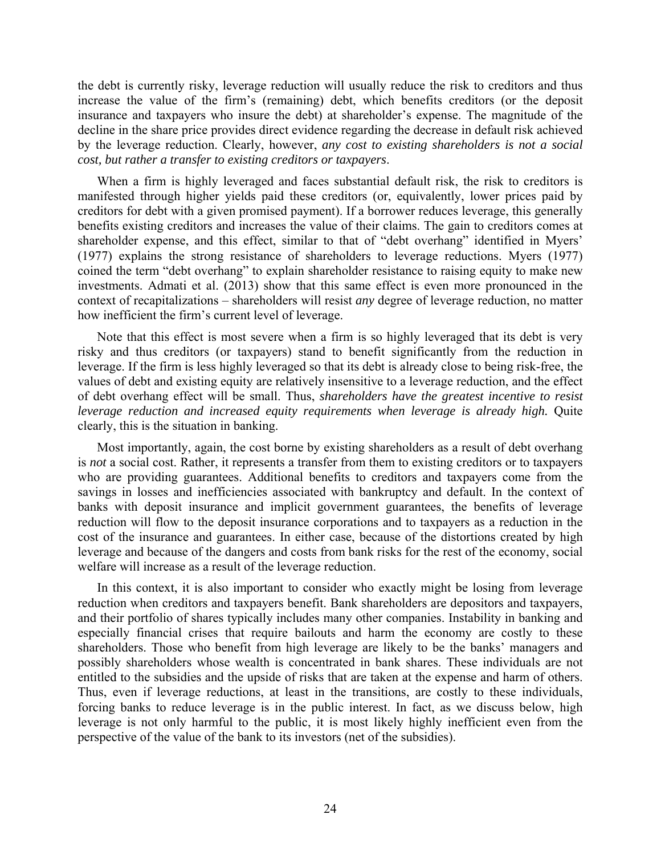the debt is currently risky, leverage reduction will usually reduce the risk to creditors and thus increase the value of the firm's (remaining) debt, which benefits creditors (or the deposit insurance and taxpayers who insure the debt) at shareholder's expense. The magnitude of the decline in the share price provides direct evidence regarding the decrease in default risk achieved by the leverage reduction. Clearly, however, *any cost to existing shareholders is not a social cost, but rather a transfer to existing creditors or taxpayers*.

When a firm is highly leveraged and faces substantial default risk, the risk to creditors is manifested through higher yields paid these creditors (or, equivalently, lower prices paid by creditors for debt with a given promised payment). If a borrower reduces leverage, this generally benefits existing creditors and increases the value of their claims. The gain to creditors comes at shareholder expense, and this effect, similar to that of "debt overhang" identified in Myers' (1977) explains the strong resistance of shareholders to leverage reductions. Myers (1977) coined the term "debt overhang" to explain shareholder resistance to raising equity to make new investments. Admati et al. (2013) show that this same effect is even more pronounced in the context of recapitalizations – shareholders will resist *any* degree of leverage reduction, no matter how inefficient the firm's current level of leverage.

Note that this effect is most severe when a firm is so highly leveraged that its debt is very risky and thus creditors (or taxpayers) stand to benefit significantly from the reduction in leverage. If the firm is less highly leveraged so that its debt is already close to being risk-free, the values of debt and existing equity are relatively insensitive to a leverage reduction, and the effect of debt overhang effect will be small. Thus, *shareholders have the greatest incentive to resist leverage reduction and increased equity requirements when leverage is already high.* Quite clearly, this is the situation in banking.

Most importantly, again, the cost borne by existing shareholders as a result of debt overhang is *not* a social cost. Rather, it represents a transfer from them to existing creditors or to taxpayers who are providing guarantees. Additional benefits to creditors and taxpayers come from the savings in losses and inefficiencies associated with bankruptcy and default. In the context of banks with deposit insurance and implicit government guarantees, the benefits of leverage reduction will flow to the deposit insurance corporations and to taxpayers as a reduction in the cost of the insurance and guarantees. In either case, because of the distortions created by high leverage and because of the dangers and costs from bank risks for the rest of the economy, social welfare will increase as a result of the leverage reduction.

In this context, it is also important to consider who exactly might be losing from leverage reduction when creditors and taxpayers benefit. Bank shareholders are depositors and taxpayers, and their portfolio of shares typically includes many other companies. Instability in banking and especially financial crises that require bailouts and harm the economy are costly to these shareholders. Those who benefit from high leverage are likely to be the banks' managers and possibly shareholders whose wealth is concentrated in bank shares. These individuals are not entitled to the subsidies and the upside of risks that are taken at the expense and harm of others. Thus, even if leverage reductions, at least in the transitions, are costly to these individuals, forcing banks to reduce leverage is in the public interest. In fact, as we discuss below, high leverage is not only harmful to the public, it is most likely highly inefficient even from the perspective of the value of the bank to its investors (net of the subsidies).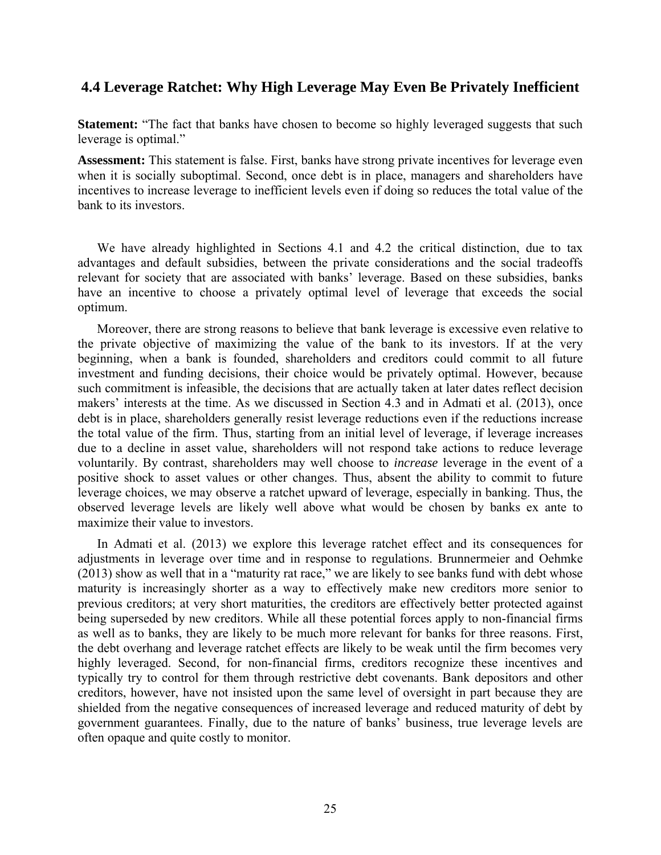## **4.4 Leverage Ratchet: Why High Leverage May Even Be Privately Inefficient**

**Statement:** "The fact that banks have chosen to become so highly leveraged suggests that such leverage is optimal."

**Assessment:** This statement is false. First, banks have strong private incentives for leverage even when it is socially suboptimal. Second, once debt is in place, managers and shareholders have incentives to increase leverage to inefficient levels even if doing so reduces the total value of the bank to its investors.

We have already highlighted in Sections 4.1 and 4.2 the critical distinction, due to tax advantages and default subsidies, between the private considerations and the social tradeoffs relevant for society that are associated with banks' leverage. Based on these subsidies, banks have an incentive to choose a privately optimal level of leverage that exceeds the social optimum.

Moreover, there are strong reasons to believe that bank leverage is excessive even relative to the private objective of maximizing the value of the bank to its investors. If at the very beginning, when a bank is founded, shareholders and creditors could commit to all future investment and funding decisions, their choice would be privately optimal. However, because such commitment is infeasible, the decisions that are actually taken at later dates reflect decision makers' interests at the time. As we discussed in Section 4.3 and in Admati et al. (2013), once debt is in place, shareholders generally resist leverage reductions even if the reductions increase the total value of the firm. Thus, starting from an initial level of leverage, if leverage increases due to a decline in asset value, shareholders will not respond take actions to reduce leverage voluntarily. By contrast, shareholders may well choose to *increase* leverage in the event of a positive shock to asset values or other changes. Thus, absent the ability to commit to future leverage choices, we may observe a ratchet upward of leverage, especially in banking. Thus, the observed leverage levels are likely well above what would be chosen by banks ex ante to maximize their value to investors.

In Admati et al. (2013) we explore this leverage ratchet effect and its consequences for adjustments in leverage over time and in response to regulations. Brunnermeier and Oehmke (2013) show as well that in a "maturity rat race," we are likely to see banks fund with debt whose maturity is increasingly shorter as a way to effectively make new creditors more senior to previous creditors; at very short maturities, the creditors are effectively better protected against being superseded by new creditors. While all these potential forces apply to non-financial firms as well as to banks, they are likely to be much more relevant for banks for three reasons. First, the debt overhang and leverage ratchet effects are likely to be weak until the firm becomes very highly leveraged. Second, for non-financial firms, creditors recognize these incentives and typically try to control for them through restrictive debt covenants. Bank depositors and other creditors, however, have not insisted upon the same level of oversight in part because they are shielded from the negative consequences of increased leverage and reduced maturity of debt by government guarantees. Finally, due to the nature of banks' business, true leverage levels are often opaque and quite costly to monitor.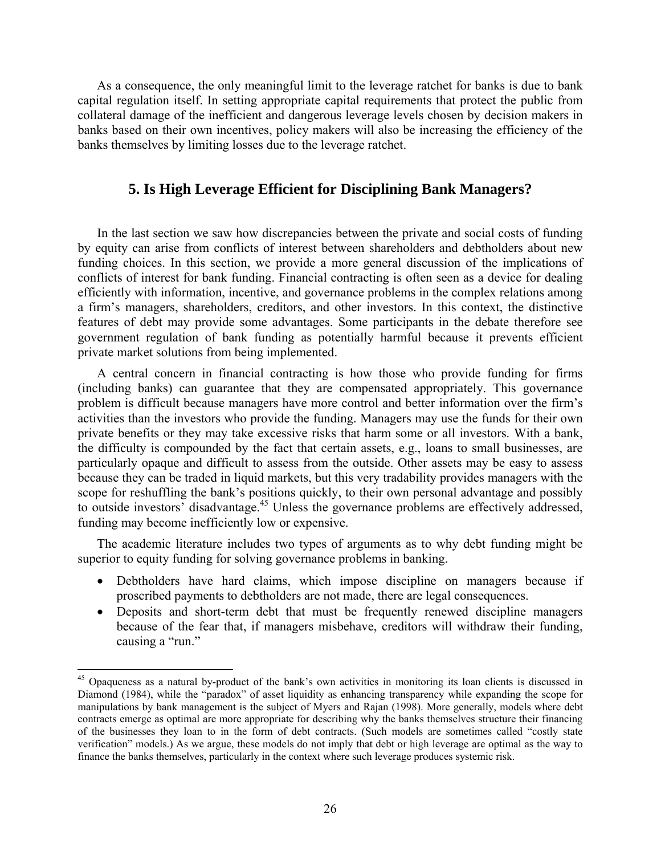As a consequence, the only meaningful limit to the leverage ratchet for banks is due to bank capital regulation itself. In setting appropriate capital requirements that protect the public from collateral damage of the inefficient and dangerous leverage levels chosen by decision makers in banks based on their own incentives, policy makers will also be increasing the efficiency of the banks themselves by limiting losses due to the leverage ratchet.

### **5. Is High Leverage Efficient for Disciplining Bank Managers?**

In the last section we saw how discrepancies between the private and social costs of funding by equity can arise from conflicts of interest between shareholders and debtholders about new funding choices. In this section, we provide a more general discussion of the implications of conflicts of interest for bank funding. Financial contracting is often seen as a device for dealing efficiently with information, incentive, and governance problems in the complex relations among a firm's managers, shareholders, creditors, and other investors. In this context, the distinctive features of debt may provide some advantages. Some participants in the debate therefore see government regulation of bank funding as potentially harmful because it prevents efficient private market solutions from being implemented.

A central concern in financial contracting is how those who provide funding for firms (including banks) can guarantee that they are compensated appropriately. This governance problem is difficult because managers have more control and better information over the firm's activities than the investors who provide the funding. Managers may use the funds for their own private benefits or they may take excessive risks that harm some or all investors. With a bank, the difficulty is compounded by the fact that certain assets, e.g., loans to small businesses, are particularly opaque and difficult to assess from the outside. Other assets may be easy to assess because they can be traded in liquid markets, but this very tradability provides managers with the scope for reshuffling the bank's positions quickly, to their own personal advantage and possibly to outside investors' disadvantage.<sup>45</sup> Unless the governance problems are effectively addressed, funding may become inefficiently low or expensive.

The academic literature includes two types of arguments as to why debt funding might be superior to equity funding for solving governance problems in banking.

- Debtholders have hard claims, which impose discipline on managers because if proscribed payments to debtholders are not made, there are legal consequences.
- Deposits and short-term debt that must be frequently renewed discipline managers because of the fear that, if managers misbehave, creditors will withdraw their funding, causing a "run."

<sup>&</sup>lt;sup>45</sup> Opaqueness as a natural by-product of the bank's own activities in monitoring its loan clients is discussed in Diamond (1984), while the "paradox" of asset liquidity as enhancing transparency while expanding the scope for manipulations by bank management is the subject of Myers and Rajan (1998). More generally, models where debt contracts emerge as optimal are more appropriate for describing why the banks themselves structure their financing of the businesses they loan to in the form of debt contracts. (Such models are sometimes called "costly state verification" models.) As we argue, these models do not imply that debt or high leverage are optimal as the way to finance the banks themselves, particularly in the context where such leverage produces systemic risk.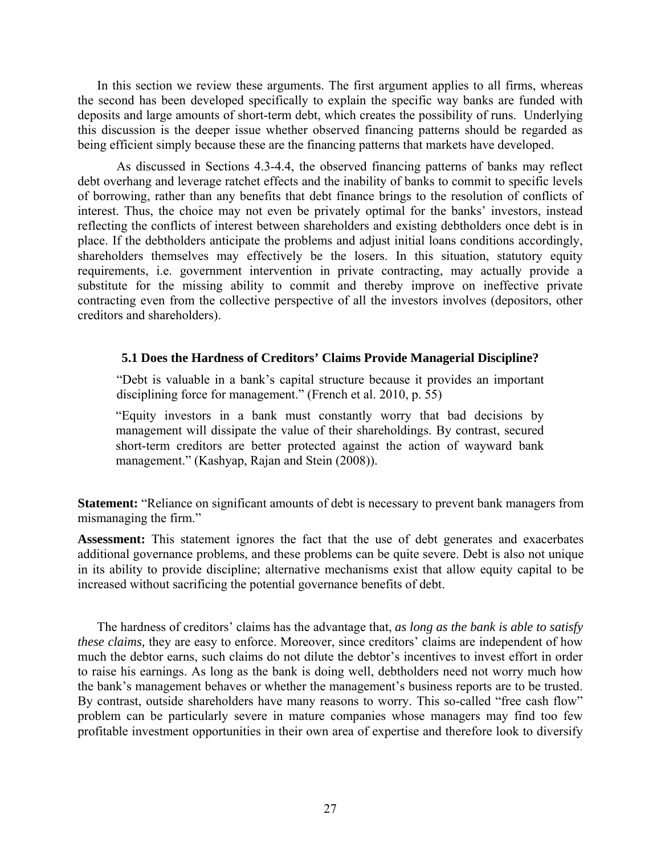In this section we review these arguments. The first argument applies to all firms, whereas the second has been developed specifically to explain the specific way banks are funded with deposits and large amounts of short-term debt, which creates the possibility of runs. Underlying this discussion is the deeper issue whether observed financing patterns should be regarded as being efficient simply because these are the financing patterns that markets have developed.

 As discussed in Sections 4.3-4.4, the observed financing patterns of banks may reflect debt overhang and leverage ratchet effects and the inability of banks to commit to specific levels of borrowing, rather than any benefits that debt finance brings to the resolution of conflicts of interest. Thus, the choice may not even be privately optimal for the banks' investors, instead reflecting the conflicts of interest between shareholders and existing debtholders once debt is in place. If the debtholders anticipate the problems and adjust initial loans conditions accordingly, shareholders themselves may effectively be the losers. In this situation, statutory equity requirements, i.e. government intervention in private contracting, may actually provide a substitute for the missing ability to commit and thereby improve on ineffective private contracting even from the collective perspective of all the investors involves (depositors, other creditors and shareholders).

#### **5.1 Does the Hardness of Creditors' Claims Provide Managerial Discipline?**

"Debt is valuable in a bank's capital structure because it provides an important disciplining force for management." (French et al. 2010, p. 55)

"Equity investors in a bank must constantly worry that bad decisions by management will dissipate the value of their shareholdings. By contrast, secured short-term creditors are better protected against the action of wayward bank management." (Kashyap, Rajan and Stein (2008)).

**Statement:** "Reliance on significant amounts of debt is necessary to prevent bank managers from mismanaging the firm."

**Assessment:** This statement ignores the fact that the use of debt generates and exacerbates additional governance problems, and these problems can be quite severe. Debt is also not unique in its ability to provide discipline; alternative mechanisms exist that allow equity capital to be increased without sacrificing the potential governance benefits of debt.

The hardness of creditors' claims has the advantage that, *as long as the bank is able to satisfy these claims,* they are easy to enforce. Moreover, since creditors' claims are independent of how much the debtor earns, such claims do not dilute the debtor's incentives to invest effort in order to raise his earnings. As long as the bank is doing well, debtholders need not worry much how the bank's management behaves or whether the management's business reports are to be trusted. By contrast, outside shareholders have many reasons to worry. This so-called "free cash flow" problem can be particularly severe in mature companies whose managers may find too few profitable investment opportunities in their own area of expertise and therefore look to diversify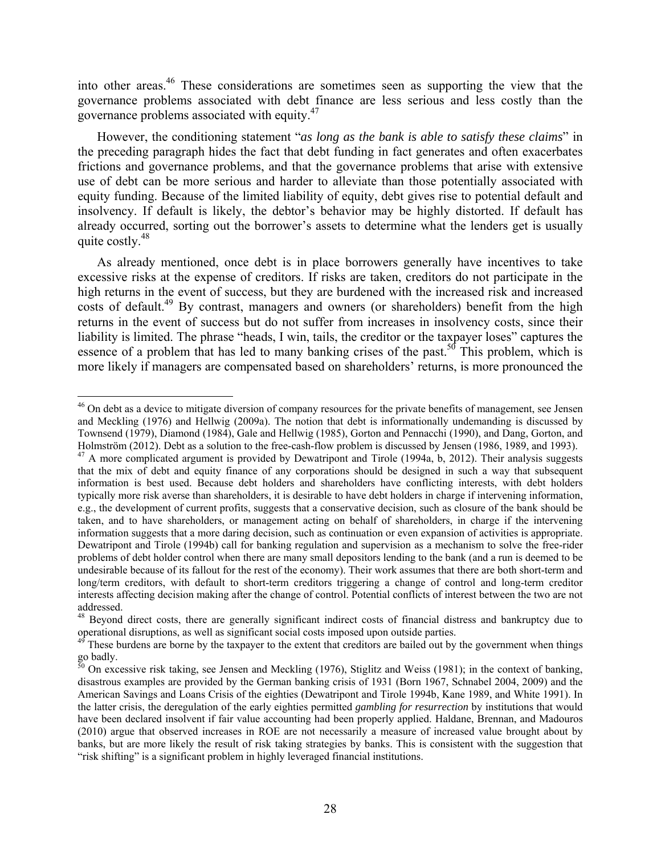into other areas.46 These considerations are sometimes seen as supporting the view that the governance problems associated with debt finance are less serious and less costly than the governance problems associated with equity.47

However, the conditioning statement "*as long as the bank is able to satisfy these claims*" in the preceding paragraph hides the fact that debt funding in fact generates and often exacerbates frictions and governance problems, and that the governance problems that arise with extensive use of debt can be more serious and harder to alleviate than those potentially associated with equity funding. Because of the limited liability of equity, debt gives rise to potential default and insolvency. If default is likely, the debtor's behavior may be highly distorted. If default has already occurred, sorting out the borrower's assets to determine what the lenders get is usually quite costly.48

As already mentioned, once debt is in place borrowers generally have incentives to take excessive risks at the expense of creditors. If risks are taken, creditors do not participate in the high returns in the event of success, but they are burdened with the increased risk and increased costs of default.<sup>49</sup> By contrast, managers and owners (or shareholders) benefit from the high returns in the event of success but do not suffer from increases in insolvency costs, since their liability is limited. The phrase "heads, I win, tails, the creditor or the taxpayer loses" captures the essence of a problem that has led to many banking crises of the past.<sup>50</sup> This problem, which is more likely if managers are compensated based on shareholders' returns, is more pronounced the

 $\overline{a}$ <sup>46</sup> On debt as a device to mitigate diversion of company resources for the private benefits of management, see Jensen and Meckling (1976) and Hellwig (2009a). The notion that debt is informationally undemanding is discussed by Townsend (1979), Diamond (1984), Gale and Hellwig (1985), Gorton and Pennacchi (1990), and Dang, Gorton, and Holmström (2012). Debt as a solution to the free-cash-flow problem is discussed by Jensen (1986, 1989, and 1993).

<sup>&</sup>lt;sup>47</sup> A more complicated argument is provided by Dewatripont and Tirole (1994a, b, 2012). Their analysis suggests that the mix of debt and equity finance of any corporations should be designed in such a way that subsequent information is best used. Because debt holders and shareholders have conflicting interests, with debt holders typically more risk averse than shareholders, it is desirable to have debt holders in charge if intervening information, e.g., the development of current profits, suggests that a conservative decision, such as closure of the bank should be taken, and to have shareholders, or management acting on behalf of shareholders, in charge if the intervening information suggests that a more daring decision, such as continuation or even expansion of activities is appropriate. Dewatripont and Tirole (1994b) call for banking regulation and supervision as a mechanism to solve the free-rider problems of debt holder control when there are many small depositors lending to the bank (and a run is deemed to be undesirable because of its fallout for the rest of the economy). Their work assumes that there are both short-term and long/term creditors, with default to short-term creditors triggering a change of control and long-term creditor interests affecting decision making after the change of control. Potential conflicts of interest between the two are not addressed.

<sup>&</sup>lt;sup>48</sup> Bevond direct costs, there are generally significant indirect costs of financial distress and bankruptcy due to operational disruptions, as well as significant social costs imposed upon outside parties.

<sup>&</sup>lt;sup>49</sup> These burdens are borne by the taxpayer to the extent that creditors are bailed out by the government when things go badly.

 $50$  On excessive risk taking, see Jensen and Meckling (1976), Stiglitz and Weiss (1981); in the context of banking, disastrous examples are provided by the German banking crisis of 1931 (Born 1967, Schnabel 2004, 2009) and the American Savings and Loans Crisis of the eighties (Dewatripont and Tirole 1994b, Kane 1989, and White 1991). In the latter crisis, the deregulation of the early eighties permitted *gambling for resurrection* by institutions that would have been declared insolvent if fair value accounting had been properly applied. Haldane, Brennan, and Madouros (2010) argue that observed increases in ROE are not necessarily a measure of increased value brought about by banks, but are more likely the result of risk taking strategies by banks. This is consistent with the suggestion that "risk shifting" is a significant problem in highly leveraged financial institutions.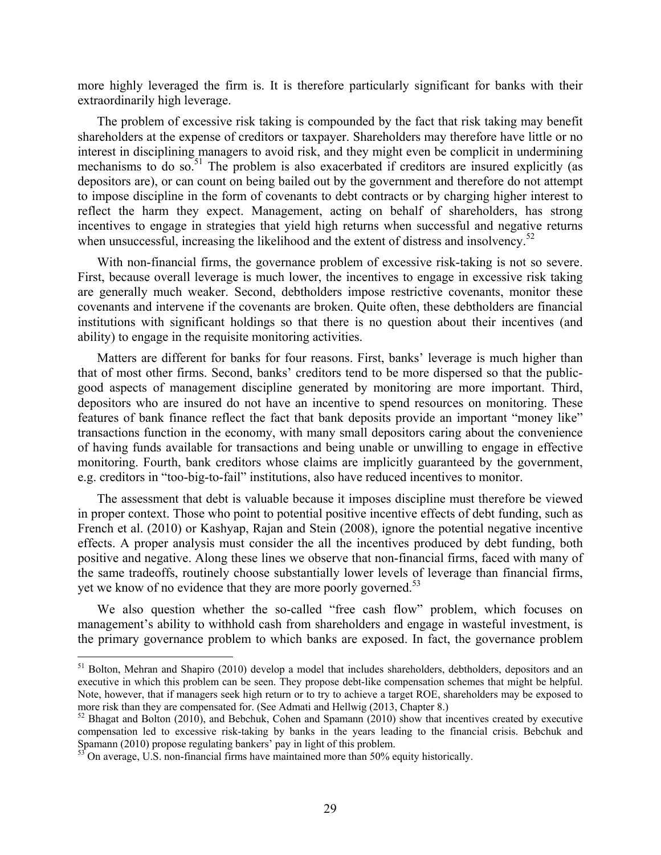more highly leveraged the firm is. It is therefore particularly significant for banks with their extraordinarily high leverage.

The problem of excessive risk taking is compounded by the fact that risk taking may benefit shareholders at the expense of creditors or taxpayer. Shareholders may therefore have little or no interest in disciplining managers to avoid risk, and they might even be complicit in undermining mechanisms to do so.<sup>51</sup> The problem is also exacerbated if creditors are insured explicitly (as depositors are), or can count on being bailed out by the government and therefore do not attempt to impose discipline in the form of covenants to debt contracts or by charging higher interest to reflect the harm they expect. Management, acting on behalf of shareholders, has strong incentives to engage in strategies that yield high returns when successful and negative returns when unsuccessful, increasing the likelihood and the extent of distress and insolvency.<sup>52</sup>

With non-financial firms, the governance problem of excessive risk-taking is not so severe. First, because overall leverage is much lower, the incentives to engage in excessive risk taking are generally much weaker. Second, debtholders impose restrictive covenants, monitor these covenants and intervene if the covenants are broken. Quite often, these debtholders are financial institutions with significant holdings so that there is no question about their incentives (and ability) to engage in the requisite monitoring activities.

Matters are different for banks for four reasons. First, banks' leverage is much higher than that of most other firms. Second, banks' creditors tend to be more dispersed so that the publicgood aspects of management discipline generated by monitoring are more important. Third, depositors who are insured do not have an incentive to spend resources on monitoring. These features of bank finance reflect the fact that bank deposits provide an important "money like" transactions function in the economy, with many small depositors caring about the convenience of having funds available for transactions and being unable or unwilling to engage in effective monitoring. Fourth, bank creditors whose claims are implicitly guaranteed by the government, e.g. creditors in "too-big-to-fail" institutions, also have reduced incentives to monitor.

The assessment that debt is valuable because it imposes discipline must therefore be viewed in proper context. Those who point to potential positive incentive effects of debt funding, such as French et al. (2010) or Kashyap, Rajan and Stein (2008), ignore the potential negative incentive effects. A proper analysis must consider the all the incentives produced by debt funding, both positive and negative. Along these lines we observe that non-financial firms, faced with many of the same tradeoffs, routinely choose substantially lower levels of leverage than financial firms, yet we know of no evidence that they are more poorly governed.<sup>53</sup>

We also question whether the so-called "free cash flow" problem, which focuses on management's ability to withhold cash from shareholders and engage in wasteful investment, is the primary governance problem to which banks are exposed. In fact, the governance problem

<sup>&</sup>lt;sup>51</sup> Bolton, Mehran and Shapiro (2010) develop a model that includes shareholders, debtholders, depositors and an executive in which this problem can be seen. They propose debt-like compensation schemes that might be helpful. Note, however, that if managers seek high return or to try to achieve a target ROE, shareholders may be exposed to more risk than they are compensated for. (See Admati and Hellwig (2013, Chapter 8.)

 $52$  Bhagat and Bolton (2010), and Bebchuk, Cohen and Spamann (2010) show that incentives created by executive compensation led to excessive risk-taking by banks in the years leading to the financial crisis. Bebchuk and Spamann (2010) propose regulating bankers' pay in light of this problem.

 $55$  On average, U.S. non-financial firms have maintained more than 50% equity historically.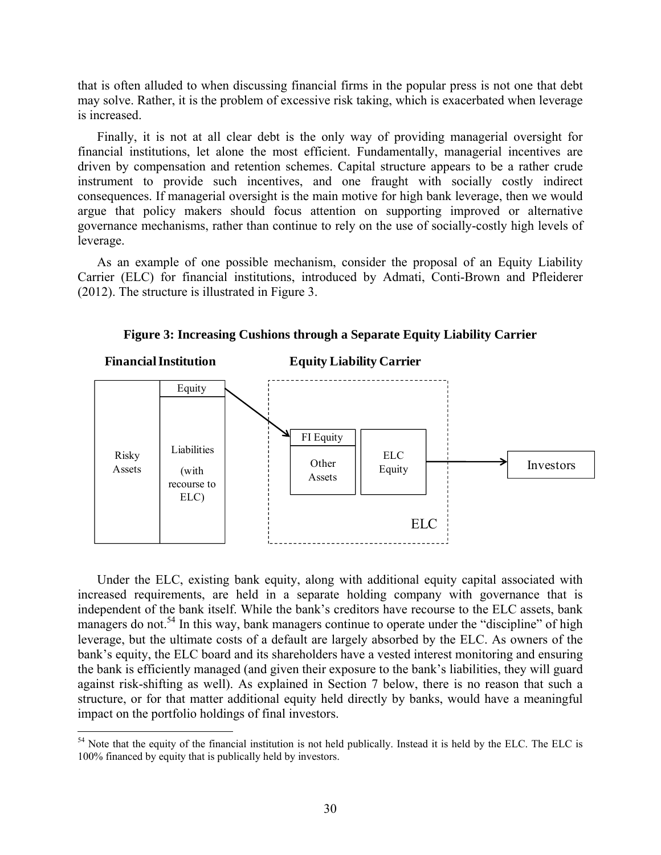that is often alluded to when discussing financial firms in the popular press is not one that debt may solve. Rather, it is the problem of excessive risk taking, which is exacerbated when leverage is increased.

Finally, it is not at all clear debt is the only way of providing managerial oversight for financial institutions, let alone the most efficient. Fundamentally, managerial incentives are driven by compensation and retention schemes. Capital structure appears to be a rather crude instrument to provide such incentives, and one fraught with socially costly indirect consequences. If managerial oversight is the main motive for high bank leverage, then we would argue that policy makers should focus attention on supporting improved or alternative governance mechanisms, rather than continue to rely on the use of socially-costly high levels of leverage.

As an example of one possible mechanism, consider the proposal of an Equity Liability Carrier (ELC) for financial institutions, introduced by Admati, Conti-Brown and Pfleiderer (2012). The structure is illustrated in Figure 3.



**Figure 3: Increasing Cushions through a Separate Equity Liability Carrier** 

Under the ELC, existing bank equity, along with additional equity capital associated with increased requirements, are held in a separate holding company with governance that is independent of the bank itself. While the bank's creditors have recourse to the ELC assets, bank managers do not.<sup>54</sup> In this way, bank managers continue to operate under the "discipline" of high leverage, but the ultimate costs of a default are largely absorbed by the ELC. As owners of the bank's equity, the ELC board and its shareholders have a vested interest monitoring and ensuring the bank is efficiently managed (and given their exposure to the bank's liabilities, they will guard against risk-shifting as well). As explained in Section 7 below, there is no reason that such a structure, or for that matter additional equity held directly by banks, would have a meaningful impact on the portfolio holdings of final investors.

1

<sup>&</sup>lt;sup>54</sup> Note that the equity of the financial institution is not held publically. Instead it is held by the ELC. The ELC is 100% financed by equity that is publically held by investors.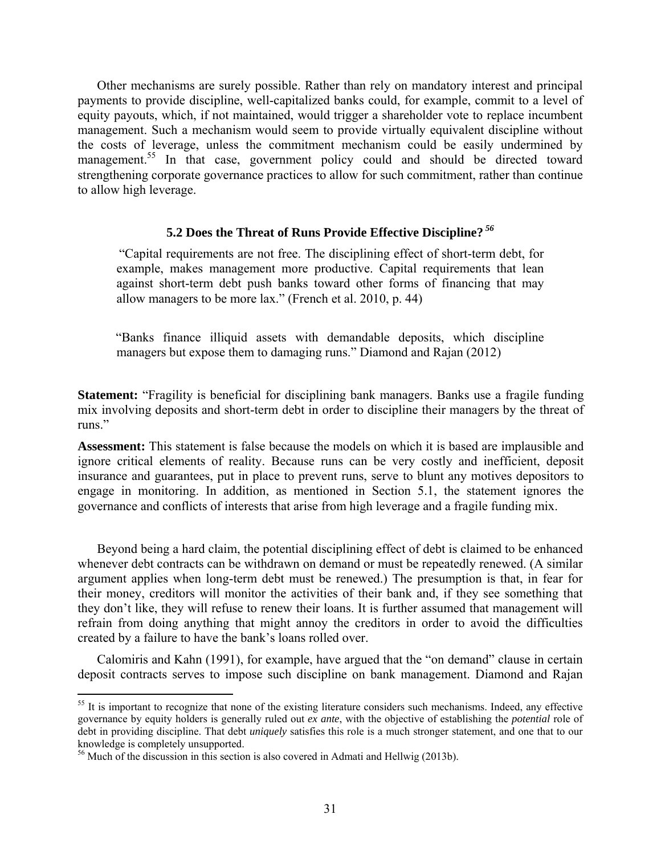Other mechanisms are surely possible. Rather than rely on mandatory interest and principal payments to provide discipline, well-capitalized banks could, for example, commit to a level of equity payouts, which, if not maintained, would trigger a shareholder vote to replace incumbent management. Such a mechanism would seem to provide virtually equivalent discipline without the costs of leverage, unless the commitment mechanism could be easily undermined by management.<sup>55</sup> In that case, government policy could and should be directed toward strengthening corporate governance practices to allow for such commitment, rather than continue to allow high leverage.

#### **5.2 Does the Threat of Runs Provide Effective Discipline?***<sup>56</sup>*

 "Capital requirements are not free. The disciplining effect of short-term debt, for example, makes management more productive. Capital requirements that lean against short-term debt push banks toward other forms of financing that may allow managers to be more lax." (French et al. 2010, p. 44)

"Banks finance illiquid assets with demandable deposits, which discipline managers but expose them to damaging runs." Diamond and Rajan (2012)

**Statement:** "Fragility is beneficial for disciplining bank managers. Banks use a fragile funding mix involving deposits and short-term debt in order to discipline their managers by the threat of runs<sup>"</sup>

**Assessment:** This statement is false because the models on which it is based are implausible and ignore critical elements of reality. Because runs can be very costly and inefficient, deposit insurance and guarantees, put in place to prevent runs, serve to blunt any motives depositors to engage in monitoring. In addition, as mentioned in Section 5.1, the statement ignores the governance and conflicts of interests that arise from high leverage and a fragile funding mix.

Beyond being a hard claim, the potential disciplining effect of debt is claimed to be enhanced whenever debt contracts can be withdrawn on demand or must be repeatedly renewed. (A similar argument applies when long-term debt must be renewed.) The presumption is that, in fear for their money, creditors will monitor the activities of their bank and, if they see something that they don't like, they will refuse to renew their loans. It is further assumed that management will refrain from doing anything that might annoy the creditors in order to avoid the difficulties created by a failure to have the bank's loans rolled over.

Calomiris and Kahn (1991), for example, have argued that the "on demand" clause in certain deposit contracts serves to impose such discipline on bank management. Diamond and Rajan

<sup>&</sup>lt;sup>55</sup> It is important to recognize that none of the existing literature considers such mechanisms. Indeed, any effective governance by equity holders is generally ruled out *ex ante*, with the objective of establishing the *potential* role of debt in providing discipline. That debt *uniquely* satisfies this role is a much stronger statement, and one that to our knowledge is completely unsupported.

<sup>&</sup>lt;sup>56</sup> Much of the discussion in this section is also covered in Admati and Hellwig (2013b).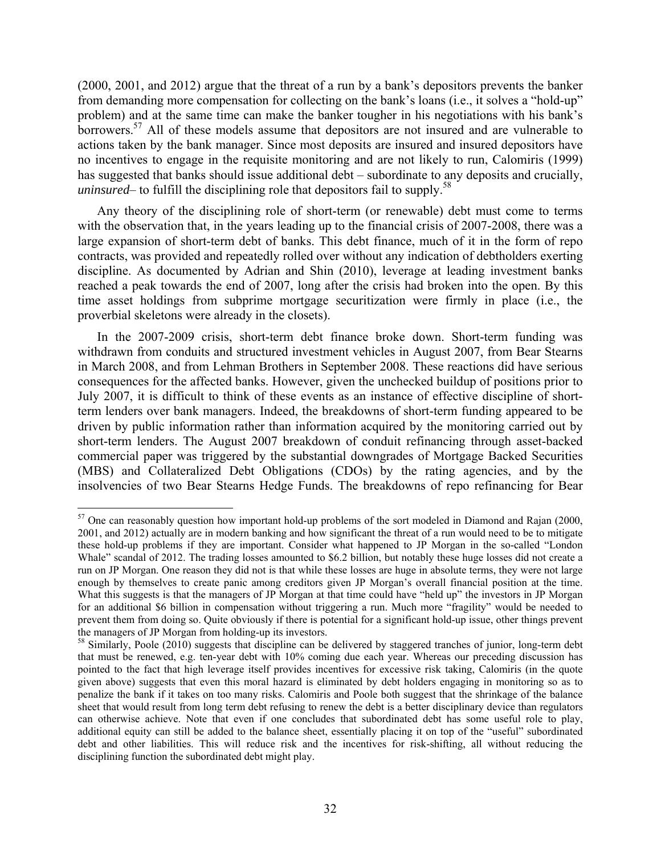(2000, 2001, and 2012) argue that the threat of a run by a bank's depositors prevents the banker from demanding more compensation for collecting on the bank's loans (i.e., it solves a "hold-up" problem) and at the same time can make the banker tougher in his negotiations with his bank's borrowers.<sup>57</sup> All of these models assume that depositors are not insured and are vulnerable to actions taken by the bank manager. Since most deposits are insured and insured depositors have no incentives to engage in the requisite monitoring and are not likely to run, Calomiris (1999) has suggested that banks should issue additional debt – subordinate to any deposits and crucially, *uninsured*— to fulfill the disciplining role that depositors fail to supply.<sup>58</sup>

Any theory of the disciplining role of short-term (or renewable) debt must come to terms with the observation that, in the years leading up to the financial crisis of 2007-2008, there was a large expansion of short-term debt of banks. This debt finance, much of it in the form of repo contracts, was provided and repeatedly rolled over without any indication of debtholders exerting discipline. As documented by Adrian and Shin (2010), leverage at leading investment banks reached a peak towards the end of 2007, long after the crisis had broken into the open. By this time asset holdings from subprime mortgage securitization were firmly in place (i.e., the proverbial skeletons were already in the closets).

In the 2007-2009 crisis, short-term debt finance broke down. Short-term funding was withdrawn from conduits and structured investment vehicles in August 2007, from Bear Stearns in March 2008, and from Lehman Brothers in September 2008. These reactions did have serious consequences for the affected banks. However, given the unchecked buildup of positions prior to July 2007, it is difficult to think of these events as an instance of effective discipline of shortterm lenders over bank managers. Indeed, the breakdowns of short-term funding appeared to be driven by public information rather than information acquired by the monitoring carried out by short-term lenders. The August 2007 breakdown of conduit refinancing through asset-backed commercial paper was triggered by the substantial downgrades of Mortgage Backed Securities (MBS) and Collateralized Debt Obligations (CDOs) by the rating agencies, and by the insolvencies of two Bear Stearns Hedge Funds. The breakdowns of repo refinancing for Bear

<sup>&</sup>lt;sup>57</sup> One can reasonably question how important hold-up problems of the sort modeled in Diamond and Rajan (2000, 2001, and 2012) actually are in modern banking and how significant the threat of a run would need to be to mitigate these hold-up problems if they are important. Consider what happened to JP Morgan in the so-called "London Whale" scandal of 2012. The trading losses amounted to \$6.2 billion, but notably these huge losses did not create a run on JP Morgan. One reason they did not is that while these losses are huge in absolute terms, they were not large enough by themselves to create panic among creditors given JP Morgan's overall financial position at the time. What this suggests is that the managers of JP Morgan at that time could have "held up" the investors in JP Morgan for an additional \$6 billion in compensation without triggering a run. Much more "fragility" would be needed to prevent them from doing so. Quite obviously if there is potential for a significant hold-up issue, other things prevent the managers of JP Morgan from holding-up its investors.

<sup>&</sup>lt;sup>58</sup> Similarly, Poole (2010) suggests that discipline can be delivered by staggered tranches of junior, long-term debt that must be renewed, e.g. ten-year debt with 10% coming due each year. Whereas our preceding discussion has pointed to the fact that high leverage itself provides incentives for excessive risk taking, Calomiris (in the quote given above) suggests that even this moral hazard is eliminated by debt holders engaging in monitoring so as to penalize the bank if it takes on too many risks. Calomiris and Poole both suggest that the shrinkage of the balance sheet that would result from long term debt refusing to renew the debt is a better disciplinary device than regulators can otherwise achieve. Note that even if one concludes that subordinated debt has some useful role to play, additional equity can still be added to the balance sheet, essentially placing it on top of the "useful" subordinated debt and other liabilities. This will reduce risk and the incentives for risk-shifting, all without reducing the disciplining function the subordinated debt might play.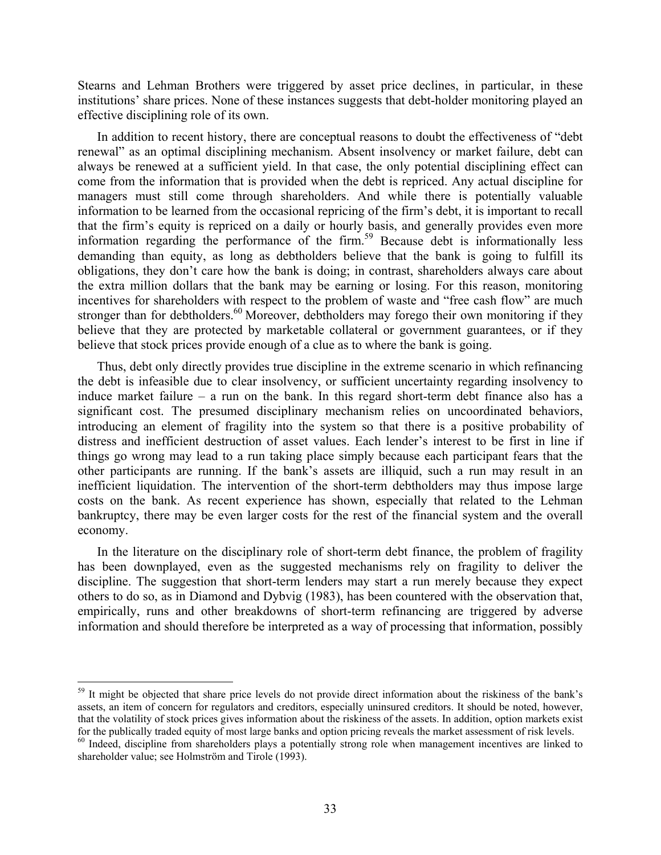Stearns and Lehman Brothers were triggered by asset price declines, in particular, in these institutions' share prices. None of these instances suggests that debt-holder monitoring played an effective disciplining role of its own.

In addition to recent history, there are conceptual reasons to doubt the effectiveness of "debt renewal" as an optimal disciplining mechanism. Absent insolvency or market failure, debt can always be renewed at a sufficient yield. In that case, the only potential disciplining effect can come from the information that is provided when the debt is repriced. Any actual discipline for managers must still come through shareholders. And while there is potentially valuable information to be learned from the occasional repricing of the firm's debt, it is important to recall that the firm's equity is repriced on a daily or hourly basis, and generally provides even more information regarding the performance of the firm.59 Because debt is informationally less demanding than equity, as long as debtholders believe that the bank is going to fulfill its obligations, they don't care how the bank is doing; in contrast, shareholders always care about the extra million dollars that the bank may be earning or losing. For this reason, monitoring incentives for shareholders with respect to the problem of waste and "free cash flow" are much stronger than for debtholders.<sup>60</sup> Moreover, debtholders may forego their own monitoring if they believe that they are protected by marketable collateral or government guarantees, or if they believe that stock prices provide enough of a clue as to where the bank is going.

Thus, debt only directly provides true discipline in the extreme scenario in which refinancing the debt is infeasible due to clear insolvency, or sufficient uncertainty regarding insolvency to induce market failure – a run on the bank. In this regard short-term debt finance also has a significant cost. The presumed disciplinary mechanism relies on uncoordinated behaviors, introducing an element of fragility into the system so that there is a positive probability of distress and inefficient destruction of asset values. Each lender's interest to be first in line if things go wrong may lead to a run taking place simply because each participant fears that the other participants are running. If the bank's assets are illiquid, such a run may result in an inefficient liquidation. The intervention of the short-term debtholders may thus impose large costs on the bank. As recent experience has shown, especially that related to the Lehman bankruptcy, there may be even larger costs for the rest of the financial system and the overall economy.

In the literature on the disciplinary role of short-term debt finance, the problem of fragility has been downplayed, even as the suggested mechanisms rely on fragility to deliver the discipline. The suggestion that short-term lenders may start a run merely because they expect others to do so, as in Diamond and Dybvig (1983), has been countered with the observation that, empirically, runs and other breakdowns of short-term refinancing are triggered by adverse information and should therefore be interpreted as a way of processing that information, possibly

<sup>&</sup>lt;sup>59</sup> It might be objected that share price levels do not provide direct information about the riskiness of the bank's assets, an item of concern for regulators and creditors, especially uninsured creditors. It should be noted, however, that the volatility of stock prices gives information about the riskiness of the assets. In addition, option markets exist for the publically traded equity of most large banks and option pricing reveals the market assessment of risk levels. <sup>60</sup> Indeed, discipline from shareholders plays a potentially strong role when management incentives are linked to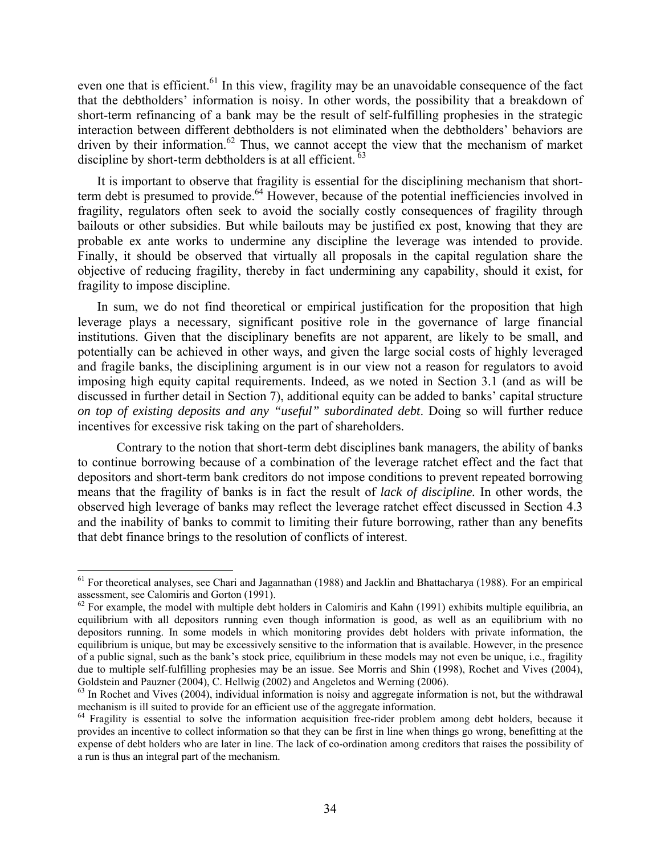even one that is efficient.<sup>61</sup> In this view, fragility may be an unavoidable consequence of the fact that the debtholders' information is noisy. In other words, the possibility that a breakdown of short-term refinancing of a bank may be the result of self-fulfilling prophesies in the strategic interaction between different debtholders is not eliminated when the debtholders' behaviors are driven by their information.<sup>62</sup> Thus, we cannot accept the view that the mechanism of market discipline by short-term debtholders is at all efficient.<sup>63</sup>

It is important to observe that fragility is essential for the disciplining mechanism that shortterm debt is presumed to provide.<sup>64</sup> However, because of the potential inefficiencies involved in fragility, regulators often seek to avoid the socially costly consequences of fragility through bailouts or other subsidies. But while bailouts may be justified ex post, knowing that they are probable ex ante works to undermine any discipline the leverage was intended to provide. Finally, it should be observed that virtually all proposals in the capital regulation share the objective of reducing fragility, thereby in fact undermining any capability, should it exist, for fragility to impose discipline.

In sum, we do not find theoretical or empirical justification for the proposition that high leverage plays a necessary, significant positive role in the governance of large financial institutions. Given that the disciplinary benefits are not apparent, are likely to be small, and potentially can be achieved in other ways, and given the large social costs of highly leveraged and fragile banks, the disciplining argument is in our view not a reason for regulators to avoid imposing high equity capital requirements. Indeed, as we noted in Section 3.1 (and as will be discussed in further detail in Section 7), additional equity can be added to banks' capital structure *on top of existing deposits and any "useful" subordinated debt*. Doing so will further reduce incentives for excessive risk taking on the part of shareholders.

Contrary to the notion that short-term debt disciplines bank managers, the ability of banks to continue borrowing because of a combination of the leverage ratchet effect and the fact that depositors and short-term bank creditors do not impose conditions to prevent repeated borrowing means that the fragility of banks is in fact the result of *lack of discipline.* In other words, the observed high leverage of banks may reflect the leverage ratchet effect discussed in Section 4.3 and the inability of banks to commit to limiting their future borrowing, rather than any benefits that debt finance brings to the resolution of conflicts of interest.

 $61$  For theoretical analyses, see Chari and Jagannathan (1988) and Jacklin and Bhattacharya (1988). For an empirical assessment, see Calomiris and Gorton (1991).

 $62$  For example, the model with multiple debt holders in Calomiris and Kahn (1991) exhibits multiple equilibria, an equilibrium with all depositors running even though information is good, as well as an equilibrium with no depositors running. In some models in which monitoring provides debt holders with private information, the equilibrium is unique, but may be excessively sensitive to the information that is available. However, in the presence of a public signal, such as the bank's stock price, equilibrium in these models may not even be unique, i.e., fragility due to multiple self-fulfilling prophesies may be an issue. See Morris and Shin (1998), Rochet and Vives (2004), Goldstein and Pauzner (2004), C. Hellwig (2002) and Angeletos and Werning (2006).

 $63$  In Rochet and Vives (2004), individual information is noisy and aggregate information is not, but the withdrawal mechanism is ill suited to provide for an efficient use of the aggregate information.

 $<sup>64</sup>$  Fragility is essential to solve the information acquisition free-rider problem among debt holders, because it</sup> provides an incentive to collect information so that they can be first in line when things go wrong, benefitting at the expense of debt holders who are later in line. The lack of co-ordination among creditors that raises the possibility of a run is thus an integral part of the mechanism.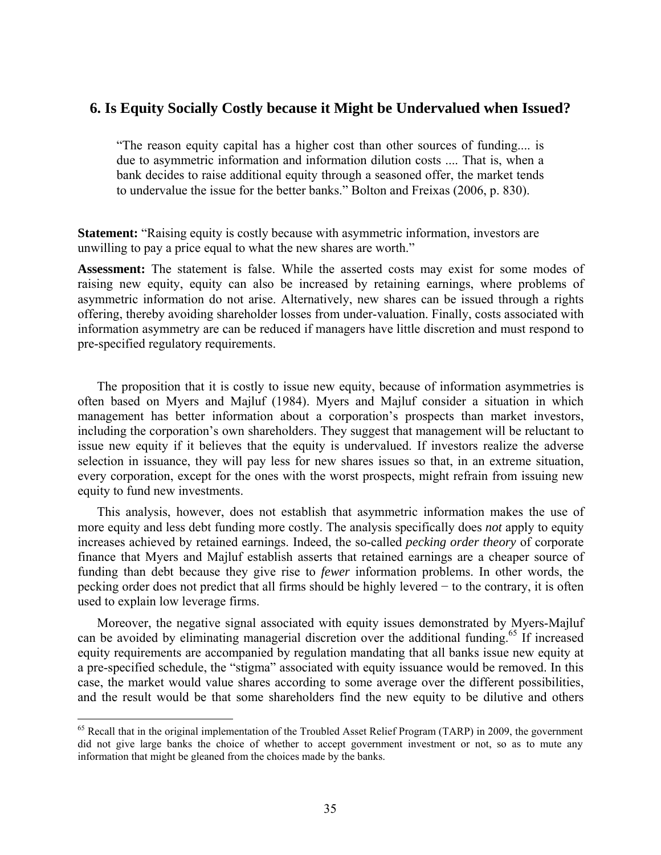## **6. Is Equity Socially Costly because it Might be Undervalued when Issued?**

"The reason equity capital has a higher cost than other sources of funding.... is due to asymmetric information and information dilution costs .... That is, when a bank decides to raise additional equity through a seasoned offer, the market tends to undervalue the issue for the better banks." Bolton and Freixas (2006, p. 830).

**Statement:** "Raising equity is costly because with asymmetric information, investors are unwilling to pay a price equal to what the new shares are worth."

**Assessment:** The statement is false. While the asserted costs may exist for some modes of raising new equity, equity can also be increased by retaining earnings, where problems of asymmetric information do not arise. Alternatively, new shares can be issued through a rights offering, thereby avoiding shareholder losses from under-valuation. Finally, costs associated with information asymmetry are can be reduced if managers have little discretion and must respond to pre-specified regulatory requirements.

The proposition that it is costly to issue new equity, because of information asymmetries is often based on Myers and Majluf (1984). Myers and Majluf consider a situation in which management has better information about a corporation's prospects than market investors, including the corporation's own shareholders. They suggest that management will be reluctant to issue new equity if it believes that the equity is undervalued. If investors realize the adverse selection in issuance, they will pay less for new shares issues so that, in an extreme situation, every corporation, except for the ones with the worst prospects, might refrain from issuing new equity to fund new investments.

This analysis, however, does not establish that asymmetric information makes the use of more equity and less debt funding more costly. The analysis specifically does *not* apply to equity increases achieved by retained earnings. Indeed, the so-called *pecking order theory* of corporate finance that Myers and Majluf establish asserts that retained earnings are a cheaper source of funding than debt because they give rise to *fewer* information problems. In other words, the pecking order does not predict that all firms should be highly levered − to the contrary, it is often used to explain low leverage firms.

Moreover, the negative signal associated with equity issues demonstrated by Myers-Majluf can be avoided by eliminating managerial discretion over the additional funding.<sup>65</sup> If increased equity requirements are accompanied by regulation mandating that all banks issue new equity at a pre-specified schedule, the "stigma" associated with equity issuance would be removed. In this case, the market would value shares according to some average over the different possibilities, and the result would be that some shareholders find the new equity to be dilutive and others

<u>.</u>

 $65$  Recall that in the original implementation of the Troubled Asset Relief Program (TARP) in 2009, the government did not give large banks the choice of whether to accept government investment or not, so as to mute any information that might be gleaned from the choices made by the banks.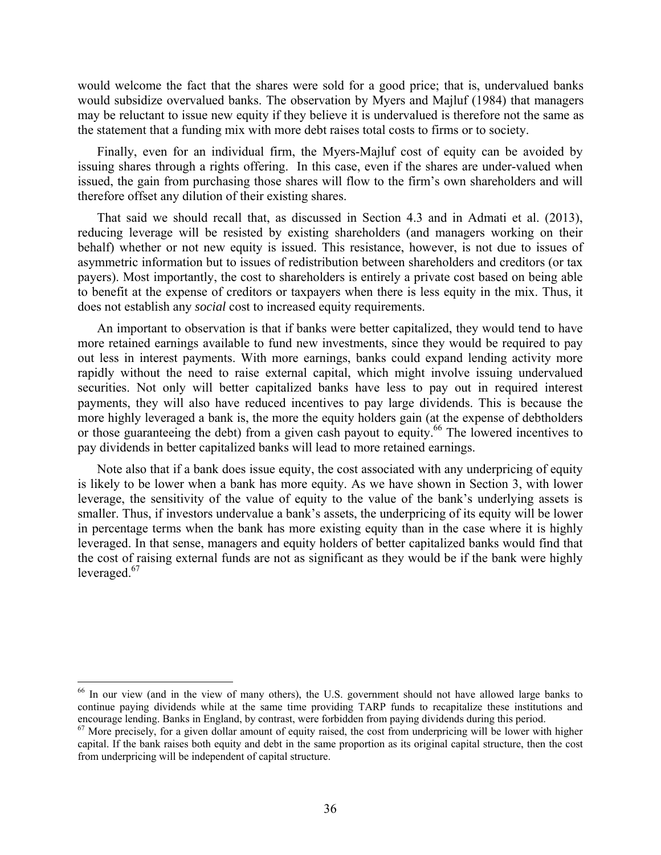would welcome the fact that the shares were sold for a good price; that is, undervalued banks would subsidize overvalued banks. The observation by Myers and Majluf (1984) that managers may be reluctant to issue new equity if they believe it is undervalued is therefore not the same as the statement that a funding mix with more debt raises total costs to firms or to society.

Finally, even for an individual firm, the Myers-Majluf cost of equity can be avoided by issuing shares through a rights offering. In this case, even if the shares are under-valued when issued, the gain from purchasing those shares will flow to the firm's own shareholders and will therefore offset any dilution of their existing shares.

That said we should recall that, as discussed in Section 4.3 and in Admati et al. (2013), reducing leverage will be resisted by existing shareholders (and managers working on their behalf) whether or not new equity is issued. This resistance, however, is not due to issues of asymmetric information but to issues of redistribution between shareholders and creditors (or tax payers). Most importantly, the cost to shareholders is entirely a private cost based on being able to benefit at the expense of creditors or taxpayers when there is less equity in the mix. Thus, it does not establish any *social* cost to increased equity requirements.

An important to observation is that if banks were better capitalized, they would tend to have more retained earnings available to fund new investments, since they would be required to pay out less in interest payments. With more earnings, banks could expand lending activity more rapidly without the need to raise external capital, which might involve issuing undervalued securities. Not only will better capitalized banks have less to pay out in required interest payments, they will also have reduced incentives to pay large dividends. This is because the more highly leveraged a bank is, the more the equity holders gain (at the expense of debtholders or those guaranteeing the debt) from a given cash payout to equity.<sup>66</sup> The lowered incentives to pay dividends in better capitalized banks will lead to more retained earnings.

Note also that if a bank does issue equity, the cost associated with any underpricing of equity is likely to be lower when a bank has more equity. As we have shown in Section 3, with lower leverage, the sensitivity of the value of equity to the value of the bank's underlying assets is smaller. Thus, if investors undervalue a bank's assets, the underpricing of its equity will be lower in percentage terms when the bank has more existing equity than in the case where it is highly leveraged. In that sense, managers and equity holders of better capitalized banks would find that the cost of raising external funds are not as significant as they would be if the bank were highly leveraged. $67$ 

<sup>&</sup>lt;sup>66</sup> In our view (and in the view of many others), the U.S. government should not have allowed large banks to continue paying dividends while at the same time providing TARP funds to recapitalize these institutions and encourage lending. Banks in England, by contrast, were forbidden from paying dividends during this period.

 $67$  More precisely, for a given dollar amount of equity raised, the cost from underpricing will be lower with higher capital. If the bank raises both equity and debt in the same proportion as its original capital structure, then the cost from underpricing will be independent of capital structure.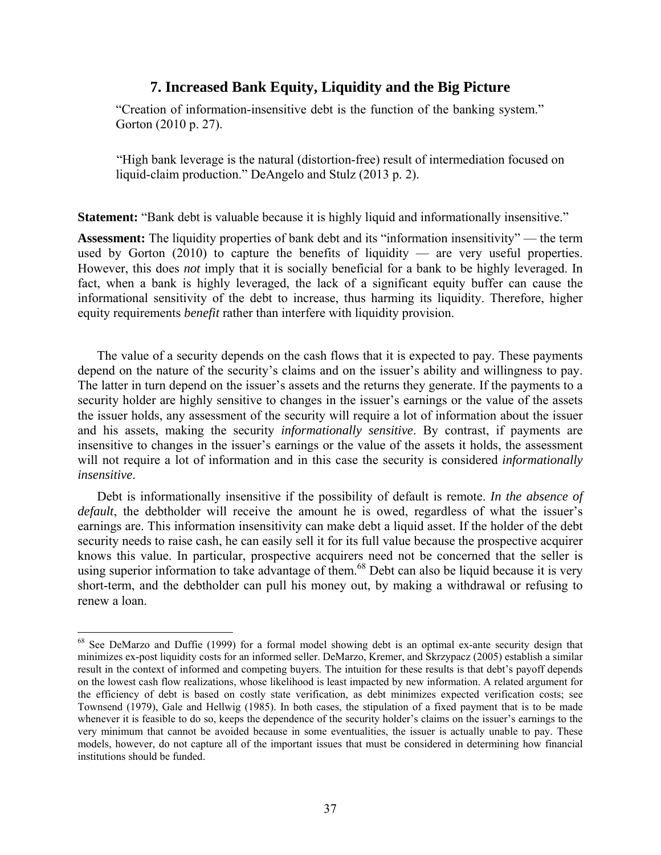## **7. Increased Bank Equity, Liquidity and the Big Picture**

"Creation of information-insensitive debt is the function of the banking system." Gorton (2010 p. 27).

 "High bank leverage is the natural (distortion-free) result of intermediation focused on liquid-claim production." DeAngelo and Stulz (2013 p. 2).

**Statement:** "Bank debt is valuable because it is highly liquid and informationally insensitive."

**Assessment:** The liquidity properties of bank debt and its "information insensitivity" — the term used by Gorton  $(2010)$  to capture the benefits of liquidity — are very useful properties. However, this does *not* imply that it is socially beneficial for a bank to be highly leveraged. In fact, when a bank is highly leveraged, the lack of a significant equity buffer can cause the informational sensitivity of the debt to increase, thus harming its liquidity. Therefore, higher equity requirements *benefit* rather than interfere with liquidity provision.

The value of a security depends on the cash flows that it is expected to pay. These payments depend on the nature of the security's claims and on the issuer's ability and willingness to pay. The latter in turn depend on the issuer's assets and the returns they generate. If the payments to a security holder are highly sensitive to changes in the issuer's earnings or the value of the assets the issuer holds, any assessment of the security will require a lot of information about the issuer and his assets, making the security *informationally sensitive*. By contrast, if payments are insensitive to changes in the issuer's earnings or the value of the assets it holds, the assessment will not require a lot of information and in this case the security is considered *informationally insensitive*.

Debt is informationally insensitive if the possibility of default is remote. *In the absence of default*, the debtholder will receive the amount he is owed, regardless of what the issuer's earnings are. This information insensitivity can make debt a liquid asset. If the holder of the debt security needs to raise cash, he can easily sell it for its full value because the prospective acquirer knows this value. In particular, prospective acquirers need not be concerned that the seller is using superior information to take advantage of them.<sup>68</sup> Debt can also be liquid because it is very short-term, and the debtholder can pull his money out, by making a withdrawal or refusing to renew a loan.

<sup>&</sup>lt;sup>68</sup> See DeMarzo and Duffie (1999) for a formal model showing debt is an optimal ex-ante security design that minimizes ex-post liquidity costs for an informed seller. DeMarzo, Kremer, and Skrzypacz (2005) establish a similar result in the context of informed and competing buyers. The intuition for these results is that debt's payoff depends on the lowest cash flow realizations, whose likelihood is least impacted by new information. A related argument for the efficiency of debt is based on costly state verification, as debt minimizes expected verification costs; see Townsend (1979), Gale and Hellwig (1985). In both cases, the stipulation of a fixed payment that is to be made whenever it is feasible to do so, keeps the dependence of the security holder's claims on the issuer's earnings to the very minimum that cannot be avoided because in some eventualities, the issuer is actually unable to pay. These models, however, do not capture all of the important issues that must be considered in determining how financial institutions should be funded.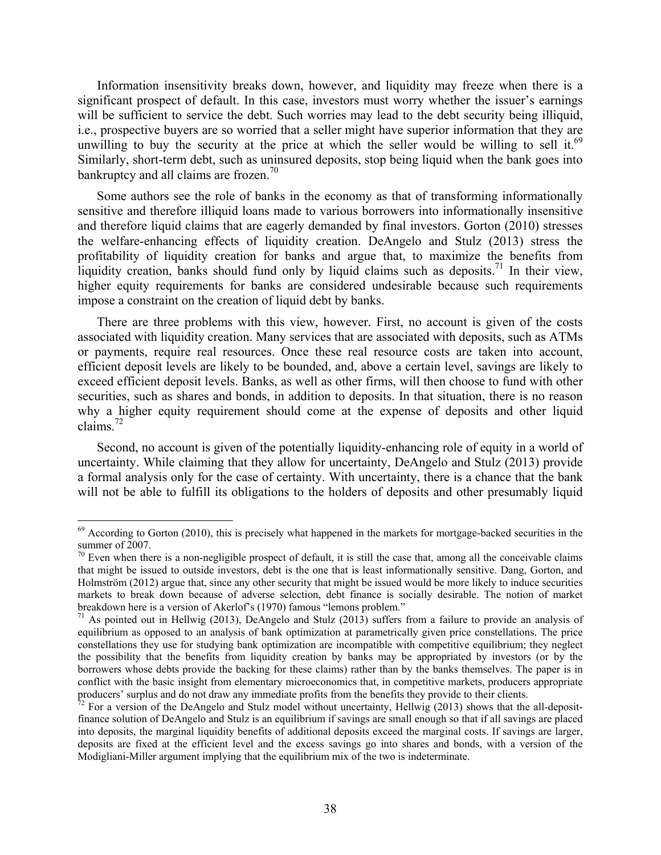Information insensitivity breaks down, however, and liquidity may freeze when there is a significant prospect of default. In this case, investors must worry whether the issuer's earnings will be sufficient to service the debt. Such worries may lead to the debt security being illiquid, i.e., prospective buyers are so worried that a seller might have superior information that they are unwilling to buy the security at the price at which the seller would be willing to sell it.<sup>69</sup> Similarly, short-term debt, such as uninsured deposits, stop being liquid when the bank goes into bankruptcy and all claims are frozen.<sup>70</sup>

Some authors see the role of banks in the economy as that of transforming informationally sensitive and therefore illiquid loans made to various borrowers into informationally insensitive and therefore liquid claims that are eagerly demanded by final investors. Gorton (2010) stresses the welfare-enhancing effects of liquidity creation. DeAngelo and Stulz (2013) stress the profitability of liquidity creation for banks and argue that, to maximize the benefits from liquidity creation, banks should fund only by liquid claims such as deposits.<sup>71</sup> In their view, higher equity requirements for banks are considered undesirable because such requirements impose a constraint on the creation of liquid debt by banks.

There are three problems with this view, however. First, no account is given of the costs associated with liquidity creation. Many services that are associated with deposits, such as ATMs or payments, require real resources. Once these real resource costs are taken into account, efficient deposit levels are likely to be bounded, and, above a certain level, savings are likely to exceed efficient deposit levels. Banks, as well as other firms, will then choose to fund with other securities, such as shares and bonds, in addition to deposits. In that situation, there is no reason why a higher equity requirement should come at the expense of deposits and other liquid claims. $^{72}$ 

Second, no account is given of the potentially liquidity-enhancing role of equity in a world of uncertainty. While claiming that they allow for uncertainty, DeAngelo and Stulz (2013) provide a formal analysis only for the case of certainty. With uncertainty, there is a chance that the bank will not be able to fulfill its obligations to the holders of deposits and other presumably liquid

1

 $69$  According to Gorton (2010), this is precisely what happened in the markets for mortgage-backed securities in the summer of 2007.

 $70$  Even when there is a non-negligible prospect of default, it is still the case that, among all the conceivable claims that might be issued to outside investors, debt is the one that is least informationally sensitive. Dang, Gorton, and Holmström (2012) argue that, since any other security that might be issued would be more likely to induce securities markets to break down because of adverse selection, debt finance is socially desirable. The notion of market breakdown here is a version of Akerlof's (1970) famous "lemons problem."

 $71$  As pointed out in Hellwig (2013), DeAngelo and Stulz (2013) suffers from a failure to provide an analysis of equilibrium as opposed to an analysis of bank optimization at parametrically given price constellations. The price constellations they use for studying bank optimization are incompatible with competitive equilibrium; they neglect the possibility that the benefits from liquidity creation by banks may be appropriated by investors (or by the borrowers whose debts provide the backing for these claims) rather than by the banks themselves. The paper is in conflict with the basic insight from elementary microeconomics that, in competitive markets, producers appropriate producers' surplus and do not draw any immediate profits from the benefits they provide to their clients.

 $72$  For a version of the DeAngelo and Stulz model without uncertainty, Hellwig (2013) shows that the all-depositfinance solution of DeAngelo and Stulz is an equilibrium if savings are small enough so that if all savings are placed into deposits, the marginal liquidity benefits of additional deposits exceed the marginal costs. If savings are larger, deposits are fixed at the efficient level and the excess savings go into shares and bonds, with a version of the Modigliani-Miller argument implying that the equilibrium mix of the two is indeterminate.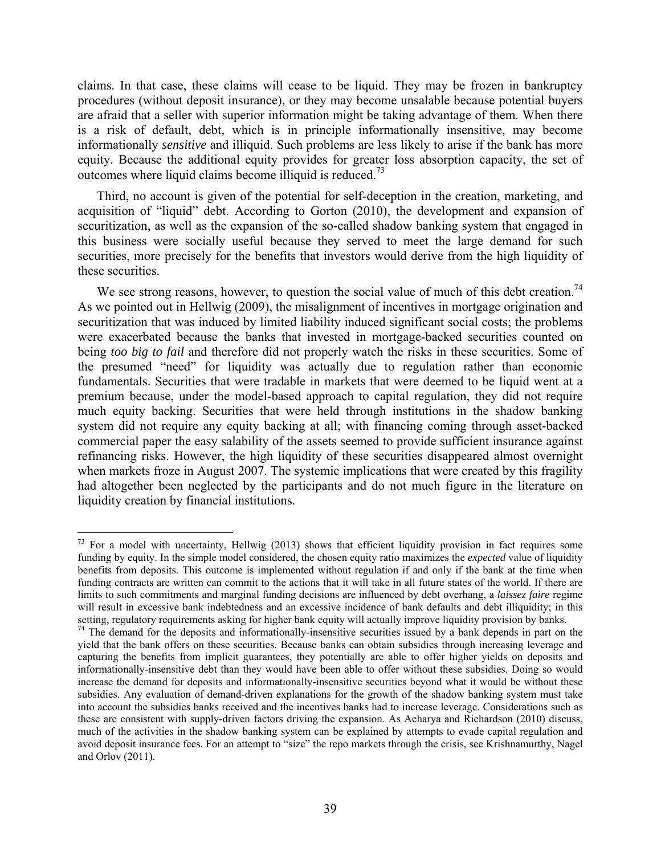claims. In that case, these claims will cease to be liquid. They may be frozen in bankruptcy procedures (without deposit insurance), or they may become unsalable because potential buyers are afraid that a seller with superior information might be taking advantage of them. When there is a risk of default, debt, which is in principle informationally insensitive, may become informationally *sensitive* and illiquid. Such problems are less likely to arise if the bank has more equity. Because the additional equity provides for greater loss absorption capacity, the set of outcomes where liquid claims become illiquid is reduced.73

Third, no account is given of the potential for self-deception in the creation, marketing, and acquisition of "liquid" debt. According to Gorton (2010), the development and expansion of securitization, as well as the expansion of the so-called shadow banking system that engaged in this business were socially useful because they served to meet the large demand for such securities, more precisely for the benefits that investors would derive from the high liquidity of these securities.

We see strong reasons, however, to question the social value of much of this debt creation.<sup>74</sup> As we pointed out in Hellwig (2009), the misalignment of incentives in mortgage origination and securitization that was induced by limited liability induced significant social costs; the problems were exacerbated because the banks that invested in mortgage-backed securities counted on being *too big to fail* and therefore did not properly watch the risks in these securities. Some of the presumed "need" for liquidity was actually due to regulation rather than economic fundamentals. Securities that were tradable in markets that were deemed to be liquid went at a premium because, under the model-based approach to capital regulation, they did not require much equity backing. Securities that were held through institutions in the shadow banking system did not require any equity backing at all; with financing coming through asset-backed commercial paper the easy salability of the assets seemed to provide sufficient insurance against refinancing risks. However, the high liquidity of these securities disappeared almost overnight when markets froze in August 2007. The systemic implications that were created by this fragility had altogether been neglected by the participants and do not much figure in the literature on liquidity creation by financial institutions.

<u>.</u>

 $^{73}$  For a model with uncertainty, Hellwig (2013) shows that efficient liquidity provision in fact requires some funding by equity. In the simple model considered, the chosen equity ratio maximizes the *expected* value of liquidity benefits from deposits. This outcome is implemented without regulation if and only if the bank at the time when funding contracts are written can commit to the actions that it will take in all future states of the world. If there are limits to such commitments and marginal funding decisions are influenced by debt overhang, a *laissez faire* regime will result in excessive bank indebtedness and an excessive incidence of bank defaults and debt illiquidity; in this setting, regulatory requirements asking for higher bank equity will actually improve liquidity provision by banks.

 $74$  The demand for the deposits and informationally-insensitive securities issued by a bank depends in part on the yield that the bank offers on these securities. Because banks can obtain subsidies through increasing leverage and capturing the benefits from implicit guarantees, they potentially are able to offer higher yields on deposits and informationally-insensitive debt than they would have been able to offer without these subsidies. Doing so would increase the demand for deposits and informationally-insensitive securities beyond what it would be without these subsidies. Any evaluation of demand-driven explanations for the growth of the shadow banking system must take into account the subsidies banks received and the incentives banks had to increase leverage. Considerations such as these are consistent with supply-driven factors driving the expansion. As Acharya and Richardson (2010) discuss, much of the activities in the shadow banking system can be explained by attempts to evade capital regulation and avoid deposit insurance fees. For an attempt to "size" the repo markets through the crisis, see Krishnamurthy, Nagel and Orlov (2011).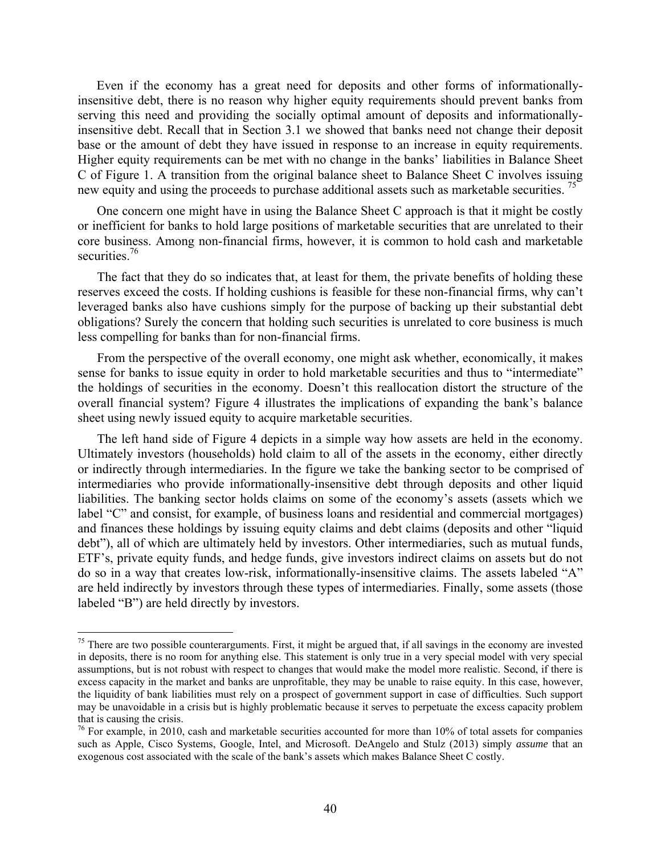Even if the economy has a great need for deposits and other forms of informationallyinsensitive debt, there is no reason why higher equity requirements should prevent banks from serving this need and providing the socially optimal amount of deposits and informationallyinsensitive debt. Recall that in Section 3.1 we showed that banks need not change their deposit base or the amount of debt they have issued in response to an increase in equity requirements. Higher equity requirements can be met with no change in the banks' liabilities in Balance Sheet C of Figure 1. A transition from the original balance sheet to Balance Sheet C involves issuing new equity and using the proceeds to purchase additional assets such as marketable securities.<sup>75</sup>

One concern one might have in using the Balance Sheet C approach is that it might be costly or inefficient for banks to hold large positions of marketable securities that are unrelated to their core business. Among non-financial firms, however, it is common to hold cash and marketable securities.<sup>76</sup>

The fact that they do so indicates that, at least for them, the private benefits of holding these reserves exceed the costs. If holding cushions is feasible for these non-financial firms, why can't leveraged banks also have cushions simply for the purpose of backing up their substantial debt obligations? Surely the concern that holding such securities is unrelated to core business is much less compelling for banks than for non-financial firms.

From the perspective of the overall economy, one might ask whether, economically, it makes sense for banks to issue equity in order to hold marketable securities and thus to "intermediate" the holdings of securities in the economy. Doesn't this reallocation distort the structure of the overall financial system? Figure 4 illustrates the implications of expanding the bank's balance sheet using newly issued equity to acquire marketable securities.

The left hand side of Figure 4 depicts in a simple way how assets are held in the economy. Ultimately investors (households) hold claim to all of the assets in the economy, either directly or indirectly through intermediaries. In the figure we take the banking sector to be comprised of intermediaries who provide informationally-insensitive debt through deposits and other liquid liabilities. The banking sector holds claims on some of the economy's assets (assets which we label "C" and consist, for example, of business loans and residential and commercial mortgages) and finances these holdings by issuing equity claims and debt claims (deposits and other "liquid debt"), all of which are ultimately held by investors. Other intermediaries, such as mutual funds, ETF's, private equity funds, and hedge funds, give investors indirect claims on assets but do not do so in a way that creates low-risk, informationally-insensitive claims. The assets labeled "A" are held indirectly by investors through these types of intermediaries. Finally, some assets (those labeled "B") are held directly by investors.

 $75$  There are two possible counterarguments. First, it might be argued that, if all savings in the economy are invested in deposits, there is no room for anything else. This statement is only true in a very special model with very special assumptions, but is not robust with respect to changes that would make the model more realistic. Second, if there is excess capacity in the market and banks are unprofitable, they may be unable to raise equity. In this case, however, the liquidity of bank liabilities must rely on a prospect of government support in case of difficulties. Such support may be unavoidable in a crisis but is highly problematic because it serves to perpetuate the excess capacity problem that is causing the crisis.

<sup>&</sup>lt;sup>76</sup> For example, in 2010, cash and marketable securities accounted for more than 10% of total assets for companies such as Apple, Cisco Systems, Google, Intel, and Microsoft. DeAngelo and Stulz (2013) simply *assume* that an exogenous cost associated with the scale of the bank's assets which makes Balance Sheet C costly.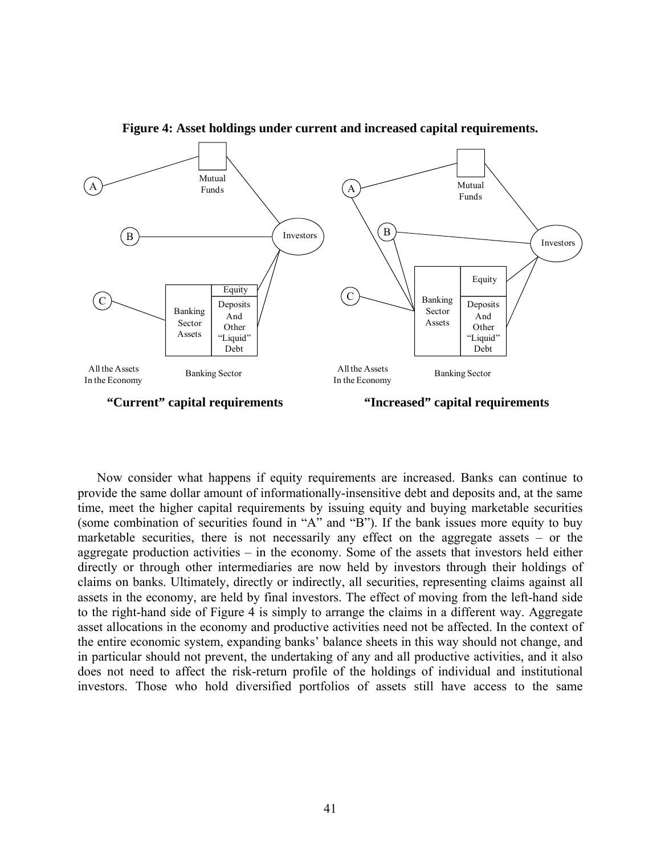

**Figure 4: Asset holdings under current and increased capital requirements.** 

Now consider what happens if equity requirements are increased. Banks can continue to provide the same dollar amount of informationally-insensitive debt and deposits and, at the same time, meet the higher capital requirements by issuing equity and buying marketable securities (some combination of securities found in "A" and "B"). If the bank issues more equity to buy marketable securities, there is not necessarily any effect on the aggregate assets – or the aggregate production activities – in the economy. Some of the assets that investors held either directly or through other intermediaries are now held by investors through their holdings of claims on banks. Ultimately, directly or indirectly, all securities, representing claims against all assets in the economy, are held by final investors. The effect of moving from the left-hand side to the right-hand side of Figure 4 is simply to arrange the claims in a different way. Aggregate asset allocations in the economy and productive activities need not be affected. In the context of the entire economic system, expanding banks' balance sheets in this way should not change, and in particular should not prevent, the undertaking of any and all productive activities, and it also does not need to affect the risk-return profile of the holdings of individual and institutional investors. Those who hold diversified portfolios of assets still have access to the same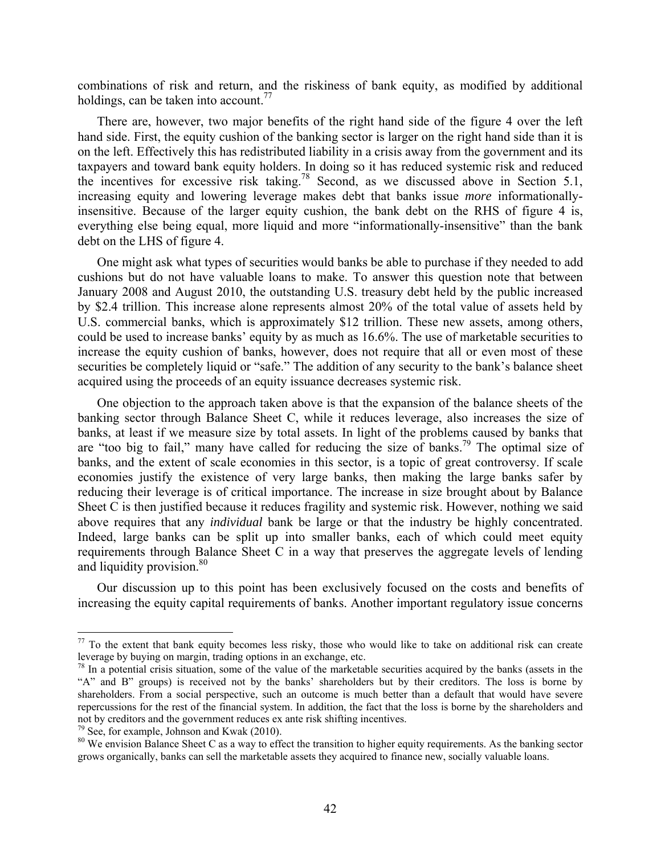combinations of risk and return, and the riskiness of bank equity, as modified by additional holdings, can be taken into account.<sup>77</sup>

There are, however, two major benefits of the right hand side of the figure 4 over the left hand side. First, the equity cushion of the banking sector is larger on the right hand side than it is on the left. Effectively this has redistributed liability in a crisis away from the government and its taxpayers and toward bank equity holders. In doing so it has reduced systemic risk and reduced the incentives for excessive risk taking.78 Second, as we discussed above in Section 5.1, increasing equity and lowering leverage makes debt that banks issue *more* informationallyinsensitive. Because of the larger equity cushion, the bank debt on the RHS of figure 4 is, everything else being equal, more liquid and more "informationally-insensitive" than the bank debt on the LHS of figure 4.

One might ask what types of securities would banks be able to purchase if they needed to add cushions but do not have valuable loans to make. To answer this question note that between January 2008 and August 2010, the outstanding U.S. treasury debt held by the public increased by \$2.4 trillion. This increase alone represents almost 20% of the total value of assets held by U.S. commercial banks, which is approximately \$12 trillion. These new assets, among others, could be used to increase banks' equity by as much as 16.6%. The use of marketable securities to increase the equity cushion of banks, however, does not require that all or even most of these securities be completely liquid or "safe." The addition of any security to the bank's balance sheet acquired using the proceeds of an equity issuance decreases systemic risk.

One objection to the approach taken above is that the expansion of the balance sheets of the banking sector through Balance Sheet C, while it reduces leverage, also increases the size of banks, at least if we measure size by total assets. In light of the problems caused by banks that are "too big to fail," many have called for reducing the size of banks.<sup>79</sup> The optimal size of banks, and the extent of scale economies in this sector, is a topic of great controversy. If scale economies justify the existence of very large banks, then making the large banks safer by reducing their leverage is of critical importance. The increase in size brought about by Balance Sheet C is then justified because it reduces fragility and systemic risk. However, nothing we said above requires that any *individual* bank be large or that the industry be highly concentrated. Indeed, large banks can be split up into smaller banks, each of which could meet equity requirements through Balance Sheet C in a way that preserves the aggregate levels of lending and liquidity provision.<sup>80</sup>

Our discussion up to this point has been exclusively focused on the costs and benefits of increasing the equity capital requirements of banks. Another important regulatory issue concerns

 $77$  To the extent that bank equity becomes less risky, those who would like to take on additional risk can create leverage by buying on margin, trading options in an exchange, etc.

 $78$  In a potential crisis situation, some of the value of the marketable securities acquired by the banks (assets in the "A" and B" groups) is received not by the banks' shareholders but by their creditors. The loss is borne by shareholders. From a social perspective, such an outcome is much better than a default that would have severe repercussions for the rest of the financial system. In addition, the fact that the loss is borne by the shareholders and not by creditors and the government reduces ex ante risk shifting incentives.

 $79$  See, for example, Johnson and Kwak (2010).

<sup>&</sup>lt;sup>80</sup> We envision Balance Sheet C as a way to effect the transition to higher equity requirements. As the banking sector grows organically, banks can sell the marketable assets they acquired to finance new, socially valuable loans.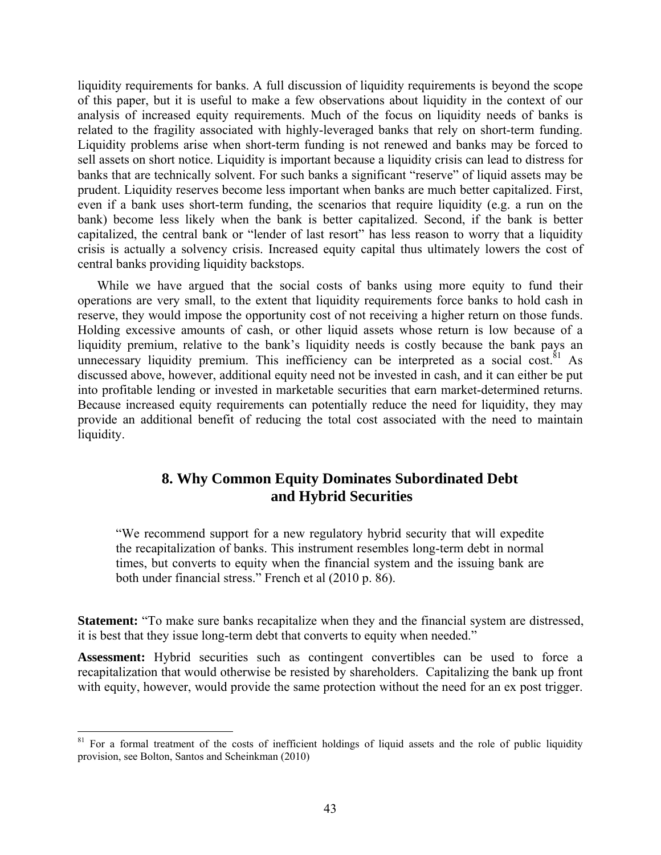liquidity requirements for banks. A full discussion of liquidity requirements is beyond the scope of this paper, but it is useful to make a few observations about liquidity in the context of our analysis of increased equity requirements. Much of the focus on liquidity needs of banks is related to the fragility associated with highly-leveraged banks that rely on short-term funding. Liquidity problems arise when short-term funding is not renewed and banks may be forced to sell assets on short notice. Liquidity is important because a liquidity crisis can lead to distress for banks that are technically solvent. For such banks a significant "reserve" of liquid assets may be prudent. Liquidity reserves become less important when banks are much better capitalized. First, even if a bank uses short-term funding, the scenarios that require liquidity (e.g. a run on the bank) become less likely when the bank is better capitalized. Second, if the bank is better capitalized, the central bank or "lender of last resort" has less reason to worry that a liquidity crisis is actually a solvency crisis. Increased equity capital thus ultimately lowers the cost of central banks providing liquidity backstops.

While we have argued that the social costs of banks using more equity to fund their operations are very small, to the extent that liquidity requirements force banks to hold cash in reserve, they would impose the opportunity cost of not receiving a higher return on those funds. Holding excessive amounts of cash, or other liquid assets whose return is low because of a liquidity premium, relative to the bank's liquidity needs is costly because the bank pays an unnecessary liquidity premium. This inefficiency can be interpreted as a social cost.<sup>81</sup> As discussed above, however, additional equity need not be invested in cash, and it can either be put into profitable lending or invested in marketable securities that earn market-determined returns. Because increased equity requirements can potentially reduce the need for liquidity, they may provide an additional benefit of reducing the total cost associated with the need to maintain liquidity.

# **8. Why Common Equity Dominates Subordinated Debt and Hybrid Securities**

"We recommend support for a new regulatory hybrid security that will expedite the recapitalization of banks. This instrument resembles long-term debt in normal times, but converts to equity when the financial system and the issuing bank are both under financial stress." French et al (2010 p. 86).

**Statement:** "To make sure banks recapitalize when they and the financial system are distressed, it is best that they issue long-term debt that converts to equity when needed."

Assessment: Hybrid securities such as contingent convertibles can be used to force a recapitalization that would otherwise be resisted by shareholders. Capitalizing the bank up front with equity, however, would provide the same protection without the need for an ex post trigger.

<sup>&</sup>lt;sup>81</sup> For a formal treatment of the costs of inefficient holdings of liquid assets and the role of public liquidity provision, see Bolton, Santos and Scheinkman (2010)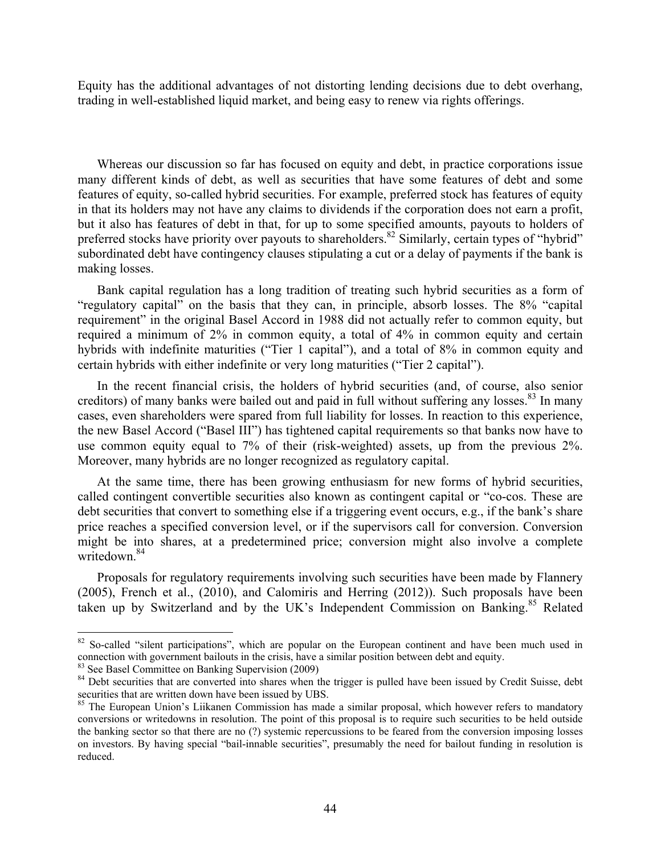Equity has the additional advantages of not distorting lending decisions due to debt overhang, trading in well-established liquid market, and being easy to renew via rights offerings.

Whereas our discussion so far has focused on equity and debt, in practice corporations issue many different kinds of debt, as well as securities that have some features of debt and some features of equity, so-called hybrid securities. For example, preferred stock has features of equity in that its holders may not have any claims to dividends if the corporation does not earn a profit, but it also has features of debt in that, for up to some specified amounts, payouts to holders of preferred stocks have priority over payouts to shareholders.<sup>82</sup> Similarly, certain types of "hybrid" subordinated debt have contingency clauses stipulating a cut or a delay of payments if the bank is making losses.

Bank capital regulation has a long tradition of treating such hybrid securities as a form of "regulatory capital" on the basis that they can, in principle, absorb losses. The 8% "capital requirement" in the original Basel Accord in 1988 did not actually refer to common equity, but required a minimum of 2% in common equity, a total of 4% in common equity and certain hybrids with indefinite maturities ("Tier 1 capital"), and a total of 8% in common equity and certain hybrids with either indefinite or very long maturities ("Tier 2 capital").

In the recent financial crisis, the holders of hybrid securities (and, of course, also senior creditors) of many banks were bailed out and paid in full without suffering any losses.  $83$  In many cases, even shareholders were spared from full liability for losses. In reaction to this experience, the new Basel Accord ("Basel III") has tightened capital requirements so that banks now have to use common equity equal to 7% of their (risk-weighted) assets, up from the previous 2%. Moreover, many hybrids are no longer recognized as regulatory capital.

At the same time, there has been growing enthusiasm for new forms of hybrid securities, called contingent convertible securities also known as contingent capital or "co-cos. These are debt securities that convert to something else if a triggering event occurs, e.g., if the bank's share price reaches a specified conversion level, or if the supervisors call for conversion. Conversion might be into shares, at a predetermined price; conversion might also involve a complete writedown.<sup>84</sup>

Proposals for regulatory requirements involving such securities have been made by Flannery (2005), French et al., (2010), and Calomiris and Herring (2012)). Such proposals have been taken up by Switzerland and by the UK's Independent Commission on Banking.<sup>85</sup> Related

<sup>83</sup> See Basel Committee on Banking Supervision (2009)

1

 $82$  So-called "silent participations", which are popular on the European continent and have been much used in connection with government bailouts in the crisis, have a similar position between debt and equity.

<sup>&</sup>lt;sup>84</sup> Debt securities that are converted into shares when the trigger is pulled have been issued by Credit Suisse, debt securities that are written down have been issued by UBS.

<sup>&</sup>lt;sup>85</sup> The European Union's Liikanen Commission has made a similar proposal, which however refers to mandatory conversions or writedowns in resolution. The point of this proposal is to require such securities to be held outside the banking sector so that there are no (?) systemic repercussions to be feared from the conversion imposing losses on investors. By having special "bail-innable securities", presumably the need for bailout funding in resolution is reduced.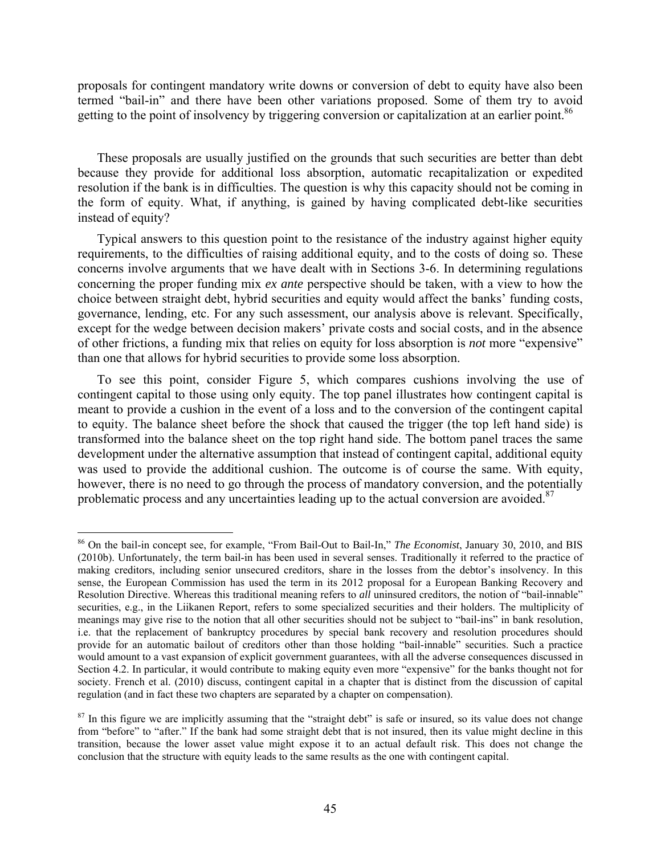proposals for contingent mandatory write downs or conversion of debt to equity have also been termed "bail-in" and there have been other variations proposed. Some of them try to avoid getting to the point of insolvency by triggering conversion or capitalization at an earlier point.<sup>86</sup>

These proposals are usually justified on the grounds that such securities are better than debt because they provide for additional loss absorption, automatic recapitalization or expedited resolution if the bank is in difficulties. The question is why this capacity should not be coming in the form of equity. What, if anything, is gained by having complicated debt-like securities instead of equity?

Typical answers to this question point to the resistance of the industry against higher equity requirements, to the difficulties of raising additional equity, and to the costs of doing so. These concerns involve arguments that we have dealt with in Sections 3-6. In determining regulations concerning the proper funding mix *ex ante* perspective should be taken, with a view to how the choice between straight debt, hybrid securities and equity would affect the banks' funding costs, governance, lending, etc. For any such assessment, our analysis above is relevant. Specifically, except for the wedge between decision makers' private costs and social costs, and in the absence of other frictions, a funding mix that relies on equity for loss absorption is *not* more "expensive" than one that allows for hybrid securities to provide some loss absorption.

To see this point, consider Figure 5, which compares cushions involving the use of contingent capital to those using only equity. The top panel illustrates how contingent capital is meant to provide a cushion in the event of a loss and to the conversion of the contingent capital to equity. The balance sheet before the shock that caused the trigger (the top left hand side) is transformed into the balance sheet on the top right hand side. The bottom panel traces the same development under the alternative assumption that instead of contingent capital, additional equity was used to provide the additional cushion. The outcome is of course the same. With equity, however, there is no need to go through the process of mandatory conversion, and the potentially problematic process and any uncertainties leading up to the actual conversion are avoided. $87$ 

<u>.</u>

<sup>86</sup> On the bail-in concept see, for example, "From Bail-Out to Bail-In," *The Economist*, January 30, 2010, and BIS (2010b). Unfortunately, the term bail-in has been used in several senses. Traditionally it referred to the practice of making creditors, including senior unsecured creditors, share in the losses from the debtor's insolvency. In this sense, the European Commission has used the term in its 2012 proposal for a European Banking Recovery and Resolution Directive. Whereas this traditional meaning refers to *all* uninsured creditors, the notion of "bail-innable" securities, e.g., in the Liikanen Report, refers to some specialized securities and their holders. The multiplicity of meanings may give rise to the notion that all other securities should not be subject to "bail-ins" in bank resolution, i.e. that the replacement of bankruptcy procedures by special bank recovery and resolution procedures should provide for an automatic bailout of creditors other than those holding "bail-innable" securities. Such a practice would amount to a vast expansion of explicit government guarantees, with all the adverse consequences discussed in Section 4.2. In particular, it would contribute to making equity even more "expensive" for the banks thought not for society. French et al. (2010) discuss, contingent capital in a chapter that is distinct from the discussion of capital regulation (and in fact these two chapters are separated by a chapter on compensation).

 $87$  In this figure we are implicitly assuming that the "straight debt" is safe or insured, so its value does not change from "before" to "after." If the bank had some straight debt that is not insured, then its value might decline in this transition, because the lower asset value might expose it to an actual default risk. This does not change the conclusion that the structure with equity leads to the same results as the one with contingent capital.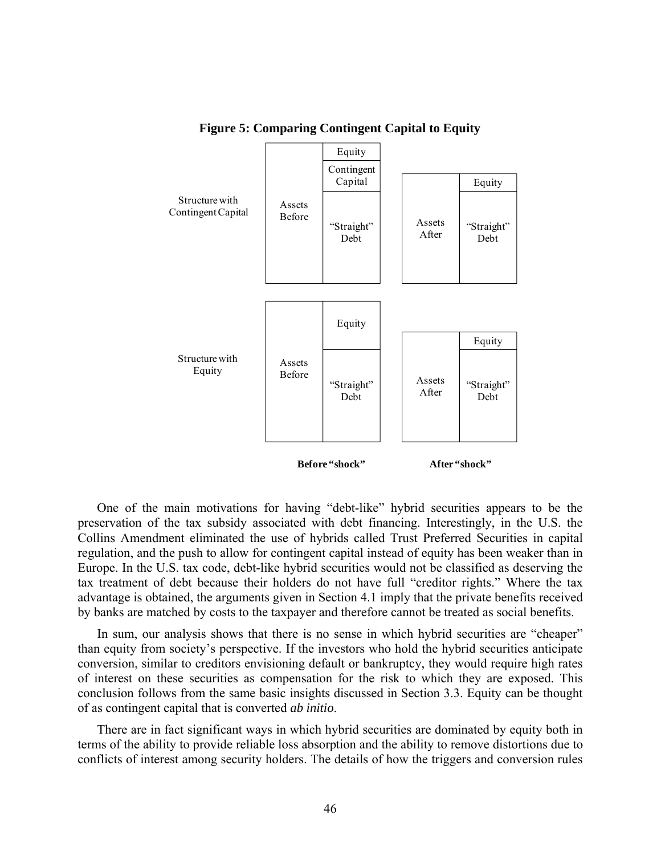

**Figure 5: Comparing Contingent Capital to Equity** 

One of the main motivations for having "debt-like" hybrid securities appears to be the preservation of the tax subsidy associated with debt financing. Interestingly, in the U.S. the Collins Amendment eliminated the use of hybrids called Trust Preferred Securities in capital regulation, and the push to allow for contingent capital instead of equity has been weaker than in Europe. In the U.S. tax code, debt-like hybrid securities would not be classified as deserving the tax treatment of debt because their holders do not have full "creditor rights." Where the tax advantage is obtained, the arguments given in Section 4.1 imply that the private benefits received by banks are matched by costs to the taxpayer and therefore cannot be treated as social benefits.

In sum, our analysis shows that there is no sense in which hybrid securities are "cheaper" than equity from society's perspective. If the investors who hold the hybrid securities anticipate conversion, similar to creditors envisioning default or bankruptcy, they would require high rates of interest on these securities as compensation for the risk to which they are exposed. This conclusion follows from the same basic insights discussed in Section 3.3. Equity can be thought of as contingent capital that is converted *ab initio*.

There are in fact significant ways in which hybrid securities are dominated by equity both in terms of the ability to provide reliable loss absorption and the ability to remove distortions due to conflicts of interest among security holders. The details of how the triggers and conversion rules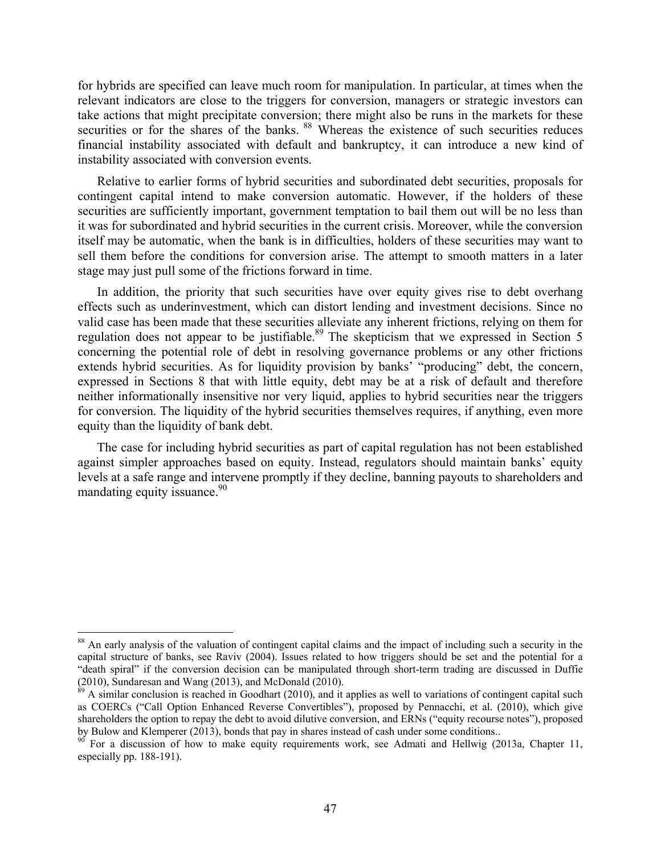for hybrids are specified can leave much room for manipulation. In particular, at times when the relevant indicators are close to the triggers for conversion, managers or strategic investors can take actions that might precipitate conversion; there might also be runs in the markets for these securities or for the shares of the banks. <sup>88</sup> Whereas the existence of such securities reduces financial instability associated with default and bankruptcy, it can introduce a new kind of instability associated with conversion events.

Relative to earlier forms of hybrid securities and subordinated debt securities, proposals for contingent capital intend to make conversion automatic. However, if the holders of these securities are sufficiently important, government temptation to bail them out will be no less than it was for subordinated and hybrid securities in the current crisis. Moreover, while the conversion itself may be automatic, when the bank is in difficulties, holders of these securities may want to sell them before the conditions for conversion arise. The attempt to smooth matters in a later stage may just pull some of the frictions forward in time.

In addition, the priority that such securities have over equity gives rise to debt overhang effects such as underinvestment, which can distort lending and investment decisions. Since no valid case has been made that these securities alleviate any inherent frictions, relying on them for regulation does not appear to be justifiable.<sup>89</sup> The skepticism that we expressed in Section 5 concerning the potential role of debt in resolving governance problems or any other frictions extends hybrid securities. As for liquidity provision by banks' "producing" debt, the concern, expressed in Sections 8 that with little equity, debt may be at a risk of default and therefore neither informationally insensitive nor very liquid, applies to hybrid securities near the triggers for conversion. The liquidity of the hybrid securities themselves requires, if anything, even more equity than the liquidity of bank debt.

The case for including hybrid securities as part of capital regulation has not been established against simpler approaches based on equity. Instead, regulators should maintain banks' equity levels at a safe range and intervene promptly if they decline, banning payouts to shareholders and mandating equity issuance.  $90$ 

<sup>&</sup>lt;sup>88</sup> An early analysis of the valuation of contingent capital claims and the impact of including such a security in the capital structure of banks, see Raviv (2004). Issues related to how triggers should be set and the potential for a "death spiral" if the conversion decision can be manipulated through short-term trading are discussed in Duffie (2010), Sundaresan and Wang (2013), and McDonald (2010).

 $89$  A similar conclusion is reached in Goodhart (2010), and it applies as well to variations of contingent capital such as COERCs ("Call Option Enhanced Reverse Convertibles"), proposed by Pennacchi, et al. (2010), which give shareholders the option to repay the debt to avoid dilutive conversion, and ERNs ("equity recourse notes"), proposed by Bulow and Klemperer (2013), bonds that pay in shares instead of cash under some conditions..

For a discussion of how to make equity requirements work, see Admati and Hellwig (2013a, Chapter 11, especially pp. 188-191).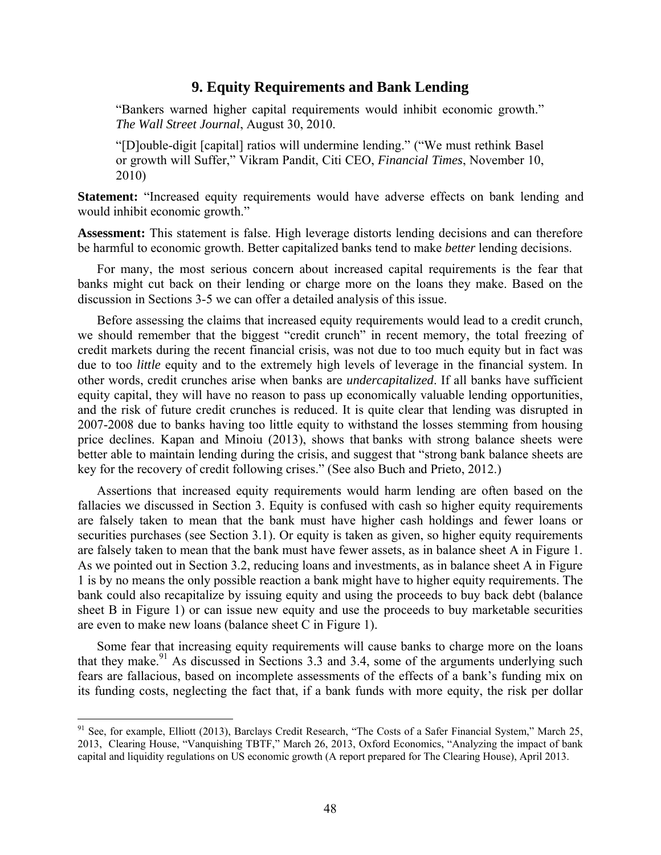## **9. Equity Requirements and Bank Lending**

"Bankers warned higher capital requirements would inhibit economic growth." *The Wall Street Journal*, August 30, 2010.

"[D]ouble-digit [capital] ratios will undermine lending." ("We must rethink Basel or growth will Suffer," Vikram Pandit, Citi CEO, *Financial Times*, November 10, 2010)

**Statement:** "Increased equity requirements would have adverse effects on bank lending and would inhibit economic growth."

**Assessment:** This statement is false. High leverage distorts lending decisions and can therefore be harmful to economic growth. Better capitalized banks tend to make *better* lending decisions.

For many, the most serious concern about increased capital requirements is the fear that banks might cut back on their lending or charge more on the loans they make. Based on the discussion in Sections 3-5 we can offer a detailed analysis of this issue.

Before assessing the claims that increased equity requirements would lead to a credit crunch, we should remember that the biggest "credit crunch" in recent memory, the total freezing of credit markets during the recent financial crisis, was not due to too much equity but in fact was due to too *little* equity and to the extremely high levels of leverage in the financial system. In other words, credit crunches arise when banks are *undercapitalized*. If all banks have sufficient equity capital, they will have no reason to pass up economically valuable lending opportunities, and the risk of future credit crunches is reduced. It is quite clear that lending was disrupted in 2007-2008 due to banks having too little equity to withstand the losses stemming from housing price declines. Kapan and Minoiu (2013), shows that banks with strong balance sheets were better able to maintain lending during the crisis, and suggest that "strong bank balance sheets are key for the recovery of credit following crises." (See also Buch and Prieto, 2012.)

Assertions that increased equity requirements would harm lending are often based on the fallacies we discussed in Section 3. Equity is confused with cash so higher equity requirements are falsely taken to mean that the bank must have higher cash holdings and fewer loans or securities purchases (see Section 3.1). Or equity is taken as given, so higher equity requirements are falsely taken to mean that the bank must have fewer assets, as in balance sheet A in Figure 1. As we pointed out in Section 3.2, reducing loans and investments, as in balance sheet A in Figure 1 is by no means the only possible reaction a bank might have to higher equity requirements. The bank could also recapitalize by issuing equity and using the proceeds to buy back debt (balance sheet B in Figure 1) or can issue new equity and use the proceeds to buy marketable securities are even to make new loans (balance sheet C in Figure 1).

Some fear that increasing equity requirements will cause banks to charge more on the loans that they make.<sup>91</sup> As discussed in Sections 3.3 and 3.4, some of the arguments underlying such fears are fallacious, based on incomplete assessments of the effects of a bank's funding mix on its funding costs, neglecting the fact that, if a bank funds with more equity, the risk per dollar

<u>.</u>

 $91$  See, for example, Elliott (2013), Barclays Credit Research, "The Costs of a Safer Financial System," March 25, 2013, Clearing House, "Vanquishing TBTF," March 26, 2013, Oxford Economics, "Analyzing the impact of bank capital and liquidity regulations on US economic growth (A report prepared for The Clearing House), April 2013.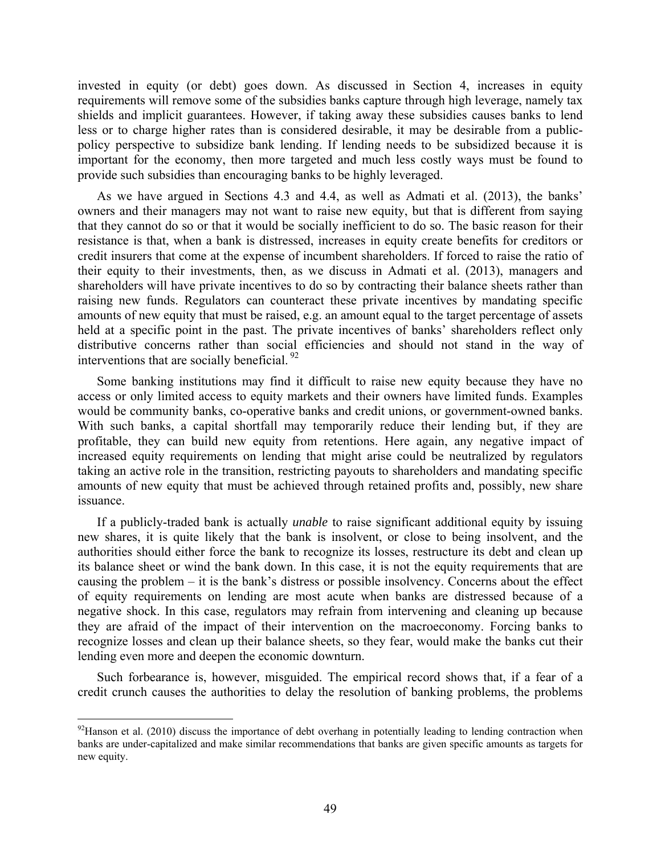invested in equity (or debt) goes down. As discussed in Section 4, increases in equity requirements will remove some of the subsidies banks capture through high leverage, namely tax shields and implicit guarantees. However, if taking away these subsidies causes banks to lend less or to charge higher rates than is considered desirable, it may be desirable from a publicpolicy perspective to subsidize bank lending. If lending needs to be subsidized because it is important for the economy, then more targeted and much less costly ways must be found to provide such subsidies than encouraging banks to be highly leveraged.

As we have argued in Sections 4.3 and 4.4, as well as Admati et al. (2013), the banks' owners and their managers may not want to raise new equity, but that is different from saying that they cannot do so or that it would be socially inefficient to do so. The basic reason for their resistance is that, when a bank is distressed, increases in equity create benefits for creditors or credit insurers that come at the expense of incumbent shareholders. If forced to raise the ratio of their equity to their investments, then, as we discuss in Admati et al. (2013), managers and shareholders will have private incentives to do so by contracting their balance sheets rather than raising new funds. Regulators can counteract these private incentives by mandating specific amounts of new equity that must be raised, e.g. an amount equal to the target percentage of assets held at a specific point in the past. The private incentives of banks' shareholders reflect only distributive concerns rather than social efficiencies and should not stand in the way of interventions that are socially beneficial.<sup>92</sup>

Some banking institutions may find it difficult to raise new equity because they have no access or only limited access to equity markets and their owners have limited funds. Examples would be community banks, co-operative banks and credit unions, or government-owned banks. With such banks, a capital shortfall may temporarily reduce their lending but, if they are profitable, they can build new equity from retentions. Here again, any negative impact of increased equity requirements on lending that might arise could be neutralized by regulators taking an active role in the transition, restricting payouts to shareholders and mandating specific amounts of new equity that must be achieved through retained profits and, possibly, new share issuance.

If a publicly-traded bank is actually *unable* to raise significant additional equity by issuing new shares, it is quite likely that the bank is insolvent, or close to being insolvent, and the authorities should either force the bank to recognize its losses, restructure its debt and clean up its balance sheet or wind the bank down. In this case, it is not the equity requirements that are causing the problem – it is the bank's distress or possible insolvency. Concerns about the effect of equity requirements on lending are most acute when banks are distressed because of a negative shock. In this case, regulators may refrain from intervening and cleaning up because they are afraid of the impact of their intervention on the macroeconomy. Forcing banks to recognize losses and clean up their balance sheets, so they fear, would make the banks cut their lending even more and deepen the economic downturn.

Such forbearance is, however, misguided. The empirical record shows that, if a fear of a credit crunch causes the authorities to delay the resolution of banking problems, the problems

 $92$ Hanson et al. (2010) discuss the importance of debt overhang in potentially leading to lending contraction when banks are under-capitalized and make similar recommendations that banks are given specific amounts as targets for new equity.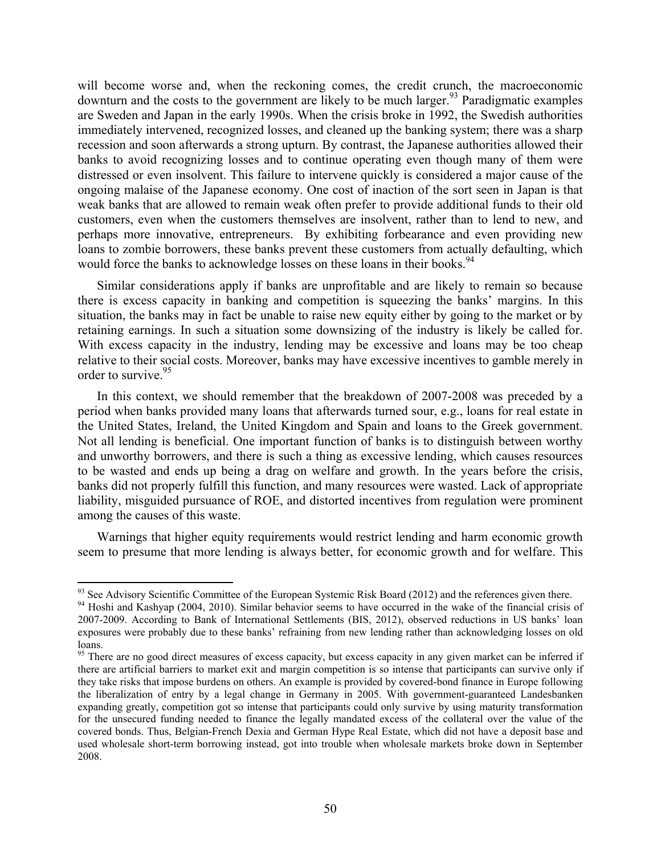will become worse and, when the reckoning comes, the credit crunch, the macroeconomic downturn and the costs to the government are likely to be much larger.<sup>93</sup> Paradigmatic examples are Sweden and Japan in the early 1990s. When the crisis broke in 1992, the Swedish authorities immediately intervened, recognized losses, and cleaned up the banking system; there was a sharp recession and soon afterwards a strong upturn. By contrast, the Japanese authorities allowed their banks to avoid recognizing losses and to continue operating even though many of them were distressed or even insolvent. This failure to intervene quickly is considered a major cause of the ongoing malaise of the Japanese economy. One cost of inaction of the sort seen in Japan is that weak banks that are allowed to remain weak often prefer to provide additional funds to their old customers, even when the customers themselves are insolvent, rather than to lend to new, and perhaps more innovative, entrepreneurs. By exhibiting forbearance and even providing new loans to zombie borrowers, these banks prevent these customers from actually defaulting, which would force the banks to acknowledge losses on these loans in their books.<sup>94</sup>

Similar considerations apply if banks are unprofitable and are likely to remain so because there is excess capacity in banking and competition is squeezing the banks' margins. In this situation, the banks may in fact be unable to raise new equity either by going to the market or by retaining earnings. In such a situation some downsizing of the industry is likely be called for. With excess capacity in the industry, lending may be excessive and loans may be too cheap relative to their social costs. Moreover, banks may have excessive incentives to gamble merely in order to survive.<sup>95</sup>

In this context, we should remember that the breakdown of 2007-2008 was preceded by a period when banks provided many loans that afterwards turned sour, e.g., loans for real estate in the United States, Ireland, the United Kingdom and Spain and loans to the Greek government. Not all lending is beneficial. One important function of banks is to distinguish between worthy and unworthy borrowers, and there is such a thing as excessive lending, which causes resources to be wasted and ends up being a drag on welfare and growth. In the years before the crisis, banks did not properly fulfill this function, and many resources were wasted. Lack of appropriate liability, misguided pursuance of ROE, and distorted incentives from regulation were prominent among the causes of this waste.

Warnings that higher equity requirements would restrict lending and harm economic growth seem to presume that more lending is always better, for economic growth and for welfare. This

<sup>&</sup>lt;sup>93</sup> See Advisory Scientific Committee of the European Systemic Risk Board (2012) and the references given there.

<sup>&</sup>lt;sup>94</sup> Hoshi and Kashyap (2004, 2010). Similar behavior seems to have occurred in the wake of the financial crisis of 2007-2009. According to Bank of International Settlements (BIS, 2012), observed reductions in US banks' loan exposures were probably due to these banks' refraining from new lending rather than acknowledging losses on old loans.

<sup>&</sup>lt;sup>95</sup> There are no good direct measures of excess capacity, but excess capacity in any given market can be inferred if there are artificial barriers to market exit and margin competition is so intense that participants can survive only if they take risks that impose burdens on others. An example is provided by covered-bond finance in Europe following the liberalization of entry by a legal change in Germany in 2005. With government-guaranteed Landesbanken expanding greatly, competition got so intense that participants could only survive by using maturity transformation for the unsecured funding needed to finance the legally mandated excess of the collateral over the value of the covered bonds. Thus, Belgian-French Dexia and German Hype Real Estate, which did not have a deposit base and used wholesale short-term borrowing instead, got into trouble when wholesale markets broke down in September 2008.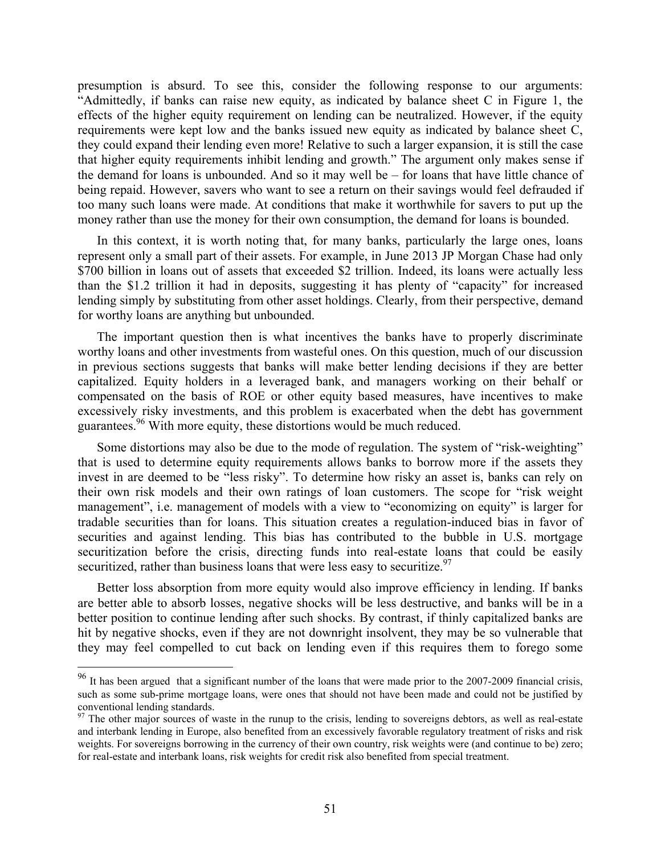presumption is absurd. To see this, consider the following response to our arguments: "Admittedly, if banks can raise new equity, as indicated by balance sheet C in Figure 1, the effects of the higher equity requirement on lending can be neutralized. However, if the equity requirements were kept low and the banks issued new equity as indicated by balance sheet C, they could expand their lending even more! Relative to such a larger expansion, it is still the case that higher equity requirements inhibit lending and growth." The argument only makes sense if the demand for loans is unbounded. And so it may well be – for loans that have little chance of being repaid. However, savers who want to see a return on their savings would feel defrauded if too many such loans were made. At conditions that make it worthwhile for savers to put up the money rather than use the money for their own consumption, the demand for loans is bounded.

In this context, it is worth noting that, for many banks, particularly the large ones, loans represent only a small part of their assets. For example, in June 2013 JP Morgan Chase had only \$700 billion in loans out of assets that exceeded \$2 trillion. Indeed, its loans were actually less than the \$1.2 trillion it had in deposits, suggesting it has plenty of "capacity" for increased lending simply by substituting from other asset holdings. Clearly, from their perspective, demand for worthy loans are anything but unbounded.

The important question then is what incentives the banks have to properly discriminate worthy loans and other investments from wasteful ones. On this question, much of our discussion in previous sections suggests that banks will make better lending decisions if they are better capitalized. Equity holders in a leveraged bank, and managers working on their behalf or compensated on the basis of ROE or other equity based measures, have incentives to make excessively risky investments, and this problem is exacerbated when the debt has government guarantees.96 With more equity, these distortions would be much reduced.

Some distortions may also be due to the mode of regulation. The system of "risk-weighting" that is used to determine equity requirements allows banks to borrow more if the assets they invest in are deemed to be "less risky". To determine how risky an asset is, banks can rely on their own risk models and their own ratings of loan customers. The scope for "risk weight management", i.e. management of models with a view to "economizing on equity" is larger for tradable securities than for loans. This situation creates a regulation-induced bias in favor of securities and against lending. This bias has contributed to the bubble in U.S. mortgage securitization before the crisis, directing funds into real-estate loans that could be easily securitized, rather than business loans that were less easy to securitize.<sup>97</sup>

Better loss absorption from more equity would also improve efficiency in lending. If banks are better able to absorb losses, negative shocks will be less destructive, and banks will be in a better position to continue lending after such shocks. By contrast, if thinly capitalized banks are hit by negative shocks, even if they are not downright insolvent, they may be so vulnerable that they may feel compelled to cut back on lending even if this requires them to forego some

 $96$  It has been argued that a significant number of the loans that were made prior to the 2007-2009 financial crisis, such as some sub-prime mortgage loans, were ones that should not have been made and could not be justified by conventional lending standards.

<sup>&</sup>lt;sup>97</sup> The other major sources of waste in the runup to the crisis, lending to sovereigns debtors, as well as real-estate and interbank lending in Europe, also benefited from an excessively favorable regulatory treatment of risks and risk weights. For sovereigns borrowing in the currency of their own country, risk weights were (and continue to be) zero; for real-estate and interbank loans, risk weights for credit risk also benefited from special treatment.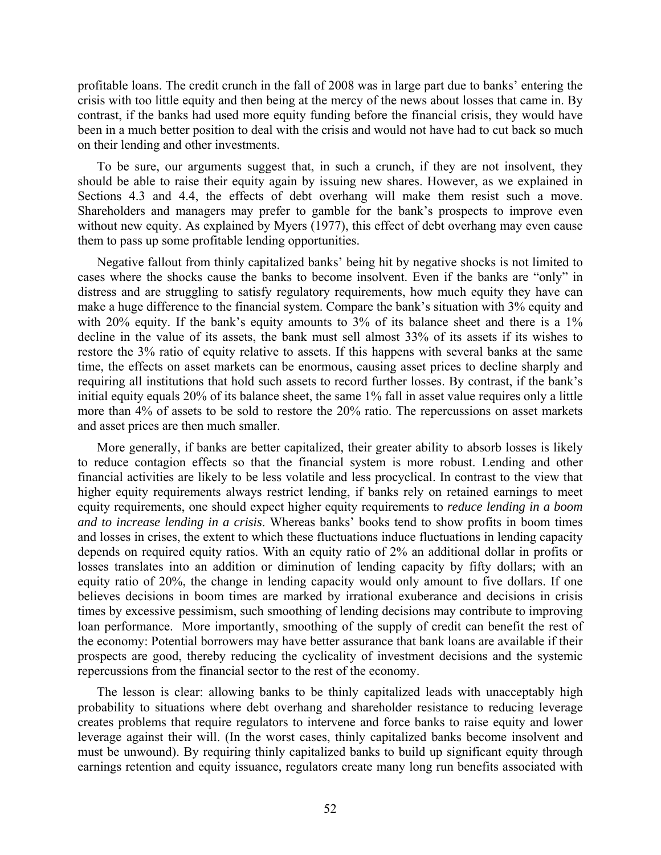profitable loans. The credit crunch in the fall of 2008 was in large part due to banks' entering the crisis with too little equity and then being at the mercy of the news about losses that came in. By contrast, if the banks had used more equity funding before the financial crisis, they would have been in a much better position to deal with the crisis and would not have had to cut back so much on their lending and other investments.

To be sure, our arguments suggest that, in such a crunch, if they are not insolvent, they should be able to raise their equity again by issuing new shares. However, as we explained in Sections 4.3 and 4.4, the effects of debt overhang will make them resist such a move. Shareholders and managers may prefer to gamble for the bank's prospects to improve even without new equity. As explained by Myers (1977), this effect of debt overhang may even cause them to pass up some profitable lending opportunities.

Negative fallout from thinly capitalized banks' being hit by negative shocks is not limited to cases where the shocks cause the banks to become insolvent. Even if the banks are "only" in distress and are struggling to satisfy regulatory requirements, how much equity they have can make a huge difference to the financial system. Compare the bank's situation with 3% equity and with 20% equity. If the bank's equity amounts to 3% of its balance sheet and there is a 1% decline in the value of its assets, the bank must sell almost 33% of its assets if its wishes to restore the 3% ratio of equity relative to assets. If this happens with several banks at the same time, the effects on asset markets can be enormous, causing asset prices to decline sharply and requiring all institutions that hold such assets to record further losses. By contrast, if the bank's initial equity equals 20% of its balance sheet, the same 1% fall in asset value requires only a little more than 4% of assets to be sold to restore the 20% ratio. The repercussions on asset markets and asset prices are then much smaller.

More generally, if banks are better capitalized, their greater ability to absorb losses is likely to reduce contagion effects so that the financial system is more robust. Lending and other financial activities are likely to be less volatile and less procyclical. In contrast to the view that higher equity requirements always restrict lending, if banks rely on retained earnings to meet equity requirements, one should expect higher equity requirements to *reduce lending in a boom and to increase lending in a crisis*. Whereas banks' books tend to show profits in boom times and losses in crises, the extent to which these fluctuations induce fluctuations in lending capacity depends on required equity ratios. With an equity ratio of 2% an additional dollar in profits or losses translates into an addition or diminution of lending capacity by fifty dollars; with an equity ratio of 20%, the change in lending capacity would only amount to five dollars. If one believes decisions in boom times are marked by irrational exuberance and decisions in crisis times by excessive pessimism, such smoothing of lending decisions may contribute to improving loan performance. More importantly, smoothing of the supply of credit can benefit the rest of the economy: Potential borrowers may have better assurance that bank loans are available if their prospects are good, thereby reducing the cyclicality of investment decisions and the systemic repercussions from the financial sector to the rest of the economy.

The lesson is clear: allowing banks to be thinly capitalized leads with unacceptably high probability to situations where debt overhang and shareholder resistance to reducing leverage creates problems that require regulators to intervene and force banks to raise equity and lower leverage against their will. (In the worst cases, thinly capitalized banks become insolvent and must be unwound). By requiring thinly capitalized banks to build up significant equity through earnings retention and equity issuance, regulators create many long run benefits associated with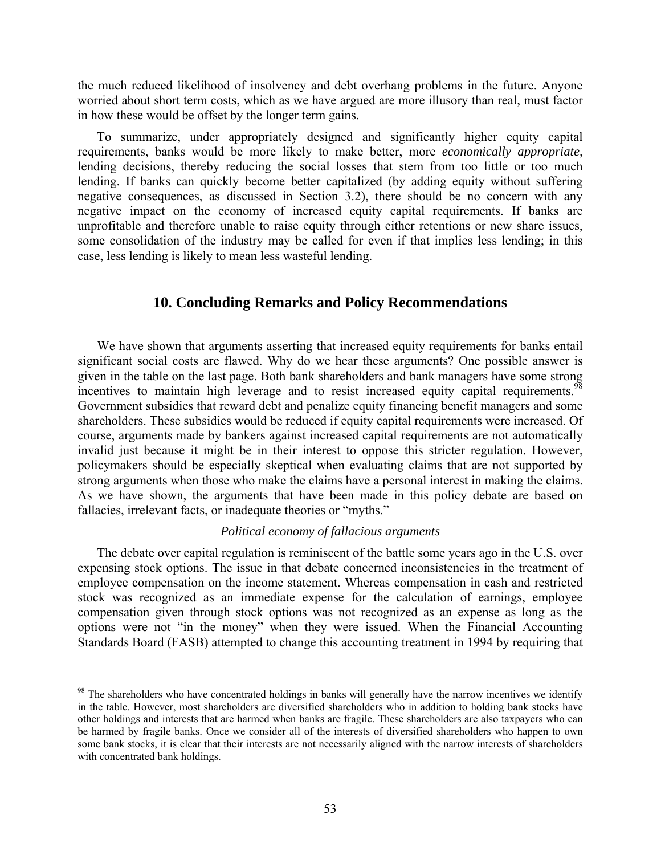the much reduced likelihood of insolvency and debt overhang problems in the future. Anyone worried about short term costs, which as we have argued are more illusory than real, must factor in how these would be offset by the longer term gains.

To summarize, under appropriately designed and significantly higher equity capital requirements, banks would be more likely to make better, more *economically appropriate,* lending decisions, thereby reducing the social losses that stem from too little or too much lending. If banks can quickly become better capitalized (by adding equity without suffering negative consequences, as discussed in Section 3.2), there should be no concern with any negative impact on the economy of increased equity capital requirements. If banks are unprofitable and therefore unable to raise equity through either retentions or new share issues, some consolidation of the industry may be called for even if that implies less lending; in this case, less lending is likely to mean less wasteful lending.

## **10. Concluding Remarks and Policy Recommendations**

We have shown that arguments asserting that increased equity requirements for banks entail significant social costs are flawed. Why do we hear these arguments? One possible answer is given in the table on the last page. Both bank shareholders and bank managers have some strong incentives to maintain high leverage and to resist increased equity capital requirements.<sup>98</sup> Government subsidies that reward debt and penalize equity financing benefit managers and some shareholders. These subsidies would be reduced if equity capital requirements were increased. Of course, arguments made by bankers against increased capital requirements are not automatically invalid just because it might be in their interest to oppose this stricter regulation. However, policymakers should be especially skeptical when evaluating claims that are not supported by strong arguments when those who make the claims have a personal interest in making the claims. As we have shown, the arguments that have been made in this policy debate are based on fallacies, irrelevant facts, or inadequate theories or "myths."

#### *Political economy of fallacious arguments*

The debate over capital regulation is reminiscent of the battle some years ago in the U.S. over expensing stock options. The issue in that debate concerned inconsistencies in the treatment of employee compensation on the income statement. Whereas compensation in cash and restricted stock was recognized as an immediate expense for the calculation of earnings, employee compensation given through stock options was not recognized as an expense as long as the options were not "in the money" when they were issued. When the Financial Accounting Standards Board (FASB) attempted to change this accounting treatment in 1994 by requiring that

<u>.</u>

 $98$  The shareholders who have concentrated holdings in banks will generally have the narrow incentives we identify in the table. However, most shareholders are diversified shareholders who in addition to holding bank stocks have other holdings and interests that are harmed when banks are fragile. These shareholders are also taxpayers who can be harmed by fragile banks. Once we consider all of the interests of diversified shareholders who happen to own some bank stocks, it is clear that their interests are not necessarily aligned with the narrow interests of shareholders with concentrated bank holdings.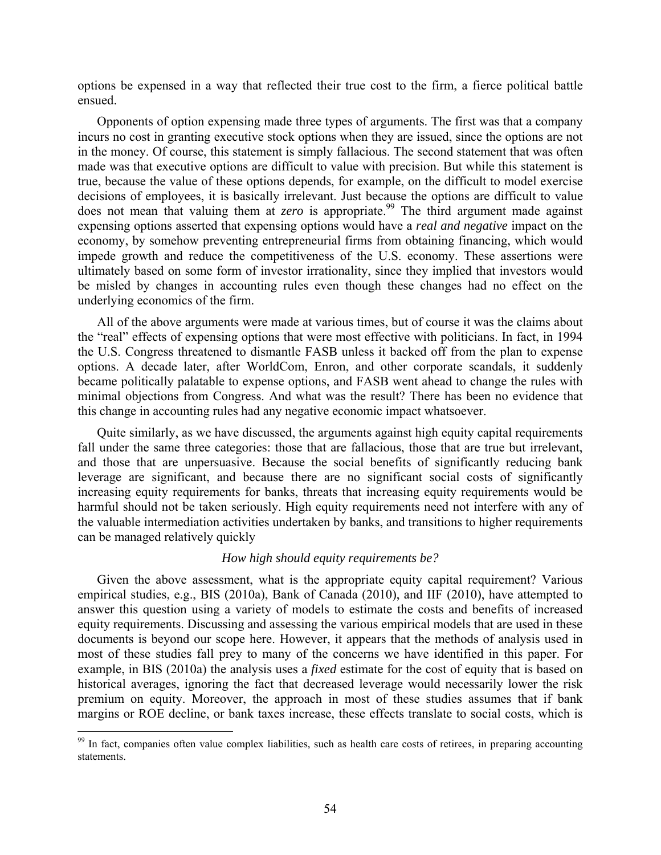options be expensed in a way that reflected their true cost to the firm, a fierce political battle ensued.

Opponents of option expensing made three types of arguments. The first was that a company incurs no cost in granting executive stock options when they are issued, since the options are not in the money. Of course, this statement is simply fallacious. The second statement that was often made was that executive options are difficult to value with precision. But while this statement is true, because the value of these options depends, for example, on the difficult to model exercise decisions of employees, it is basically irrelevant. Just because the options are difficult to value does not mean that valuing them at *zero* is appropriate.<sup>99</sup> The third argument made against expensing options asserted that expensing options would have a *real and negative* impact on the economy, by somehow preventing entrepreneurial firms from obtaining financing, which would impede growth and reduce the competitiveness of the U.S. economy. These assertions were ultimately based on some form of investor irrationality, since they implied that investors would be misled by changes in accounting rules even though these changes had no effect on the underlying economics of the firm.

All of the above arguments were made at various times, but of course it was the claims about the "real" effects of expensing options that were most effective with politicians. In fact, in 1994 the U.S. Congress threatened to dismantle FASB unless it backed off from the plan to expense options. A decade later, after WorldCom, Enron, and other corporate scandals, it suddenly became politically palatable to expense options, and FASB went ahead to change the rules with minimal objections from Congress. And what was the result? There has been no evidence that this change in accounting rules had any negative economic impact whatsoever.

Quite similarly, as we have discussed, the arguments against high equity capital requirements fall under the same three categories: those that are fallacious, those that are true but irrelevant, and those that are unpersuasive. Because the social benefits of significantly reducing bank leverage are significant, and because there are no significant social costs of significantly increasing equity requirements for banks, threats that increasing equity requirements would be harmful should not be taken seriously. High equity requirements need not interfere with any of the valuable intermediation activities undertaken by banks, and transitions to higher requirements can be managed relatively quickly

#### *How high should equity requirements be?*

Given the above assessment, what is the appropriate equity capital requirement? Various empirical studies, e.g., BIS (2010a), Bank of Canada (2010), and IIF (2010), have attempted to answer this question using a variety of models to estimate the costs and benefits of increased equity requirements. Discussing and assessing the various empirical models that are used in these documents is beyond our scope here. However, it appears that the methods of analysis used in most of these studies fall prey to many of the concerns we have identified in this paper. For example, in BIS (2010a) the analysis uses a *fixed* estimate for the cost of equity that is based on historical averages, ignoring the fact that decreased leverage would necessarily lower the risk premium on equity. Moreover, the approach in most of these studies assumes that if bank margins or ROE decline, or bank taxes increase, these effects translate to social costs, which is

1

 $99$  In fact, companies often value complex liabilities, such as health care costs of retirees, in preparing accounting statements.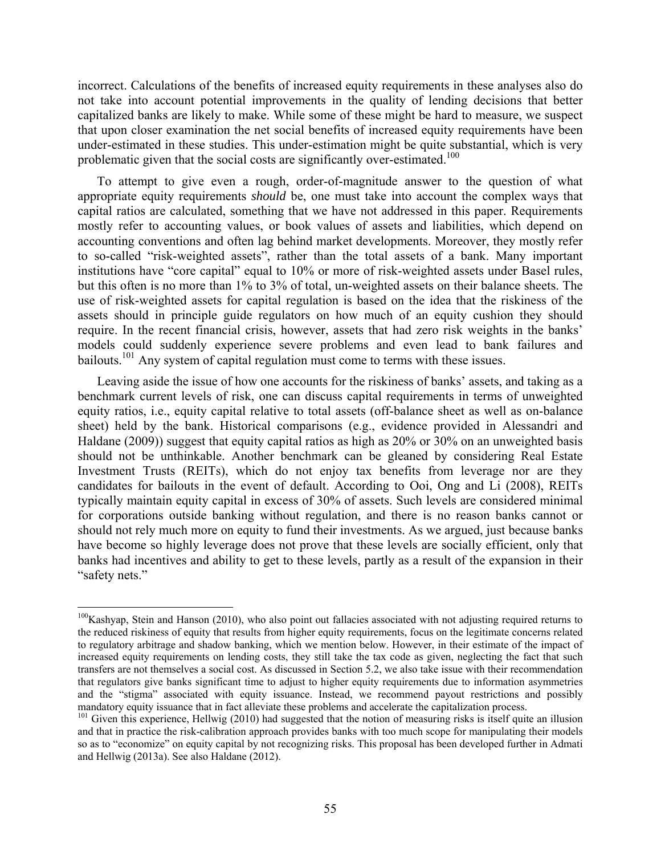incorrect. Calculations of the benefits of increased equity requirements in these analyses also do not take into account potential improvements in the quality of lending decisions that better capitalized banks are likely to make. While some of these might be hard to measure, we suspect that upon closer examination the net social benefits of increased equity requirements have been under-estimated in these studies. This under-estimation might be quite substantial, which is very problematic given that the social costs are significantly over-estimated.<sup>100</sup>

To attempt to give even a rough, order-of-magnitude answer to the question of what appropriate equity requirements *should* be, one must take into account the complex ways that capital ratios are calculated, something that we have not addressed in this paper. Requirements mostly refer to accounting values, or book values of assets and liabilities, which depend on accounting conventions and often lag behind market developments. Moreover, they mostly refer to so-called "risk-weighted assets", rather than the total assets of a bank. Many important institutions have "core capital" equal to 10% or more of risk-weighted assets under Basel rules, but this often is no more than 1% to 3% of total, un-weighted assets on their balance sheets. The use of risk-weighted assets for capital regulation is based on the idea that the riskiness of the assets should in principle guide regulators on how much of an equity cushion they should require. In the recent financial crisis, however, assets that had zero risk weights in the banks' models could suddenly experience severe problems and even lead to bank failures and bailouts.<sup>101</sup> Any system of capital regulation must come to terms with these issues.

Leaving aside the issue of how one accounts for the riskiness of banks' assets, and taking as a benchmark current levels of risk, one can discuss capital requirements in terms of unweighted equity ratios, i.e., equity capital relative to total assets (off-balance sheet as well as on-balance sheet) held by the bank. Historical comparisons (e.g., evidence provided in Alessandri and Haldane (2009)) suggest that equity capital ratios as high as 20% or 30% on an unweighted basis should not be unthinkable. Another benchmark can be gleaned by considering Real Estate Investment Trusts (REITs), which do not enjoy tax benefits from leverage nor are they candidates for bailouts in the event of default. According to Ooi, Ong and Li (2008), REITs typically maintain equity capital in excess of 30% of assets. Such levels are considered minimal for corporations outside banking without regulation, and there is no reason banks cannot or should not rely much more on equity to fund their investments. As we argued, just because banks have become so highly leverage does not prove that these levels are socially efficient, only that banks had incentives and ability to get to these levels, partly as a result of the expansion in their "safety nets."

<sup>&</sup>lt;sup>100</sup>Kashyap, Stein and Hanson (2010), who also point out fallacies associated with not adjusting required returns to the reduced riskiness of equity that results from higher equity requirements, focus on the legitimate concerns related to regulatory arbitrage and shadow banking, which we mention below. However, in their estimate of the impact of increased equity requirements on lending costs, they still take the tax code as given, neglecting the fact that such transfers are not themselves a social cost. As discussed in Section 5.2, we also take issue with their recommendation that regulators give banks significant time to adjust to higher equity requirements due to information asymmetries and the "stigma" associated with equity issuance. Instead, we recommend payout restrictions and possibly mandatory equity issuance that in fact alleviate these problems and accelerate the capitalization process.

<sup>&</sup>lt;sup>101</sup> Given this experience, Hellwig (2010) had suggested that the notion of measuring risks is itself quite an illusion and that in practice the risk-calibration approach provides banks with too much scope for manipulating their models so as to "economize" on equity capital by not recognizing risks. This proposal has been developed further in Admati and Hellwig (2013a). See also Haldane (2012).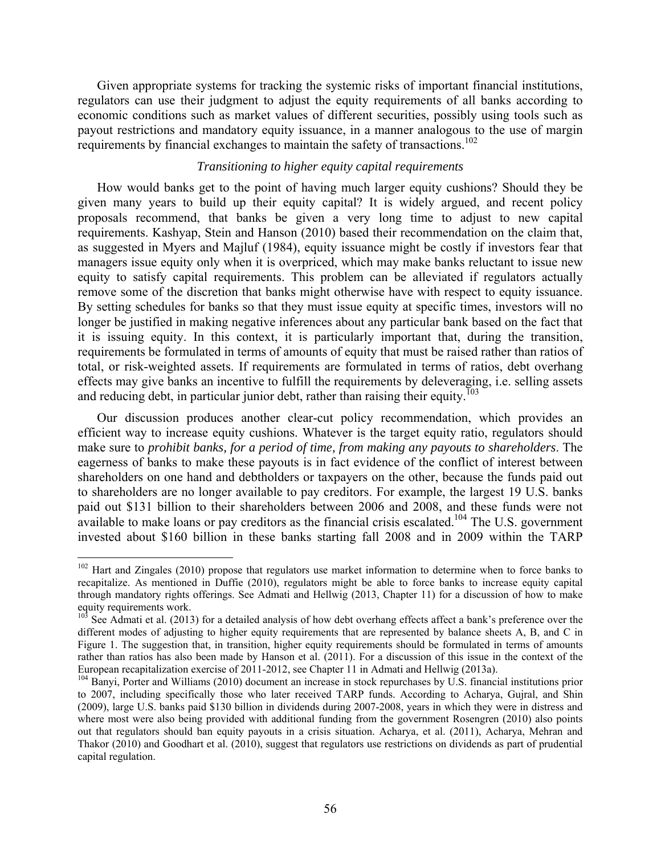Given appropriate systems for tracking the systemic risks of important financial institutions, regulators can use their judgment to adjust the equity requirements of all banks according to economic conditions such as market values of different securities, possibly using tools such as payout restrictions and mandatory equity issuance, in a manner analogous to the use of margin requirements by financial exchanges to maintain the safety of transactions.<sup>102</sup>

### *Transitioning to higher equity capital requirements*

How would banks get to the point of having much larger equity cushions? Should they be given many years to build up their equity capital? It is widely argued, and recent policy proposals recommend, that banks be given a very long time to adjust to new capital requirements. Kashyap, Stein and Hanson (2010) based their recommendation on the claim that, as suggested in Myers and Majluf (1984), equity issuance might be costly if investors fear that managers issue equity only when it is overpriced, which may make banks reluctant to issue new equity to satisfy capital requirements. This problem can be alleviated if regulators actually remove some of the discretion that banks might otherwise have with respect to equity issuance. By setting schedules for banks so that they must issue equity at specific times, investors will no longer be justified in making negative inferences about any particular bank based on the fact that it is issuing equity. In this context, it is particularly important that, during the transition, requirements be formulated in terms of amounts of equity that must be raised rather than ratios of total, or risk-weighted assets. If requirements are formulated in terms of ratios, debt overhang effects may give banks an incentive to fulfill the requirements by deleveraging, i.e. selling assets and reducing debt, in particular junior debt, rather than raising their equity.<sup> $103$ </sup>

Our discussion produces another clear-cut policy recommendation, which provides an efficient way to increase equity cushions. Whatever is the target equity ratio, regulators should make sure to *prohibit banks, for a period of time, from making any payouts to shareholders*. The eagerness of banks to make these payouts is in fact evidence of the conflict of interest between shareholders on one hand and debtholders or taxpayers on the other, because the funds paid out to shareholders are no longer available to pay creditors. For example, the largest 19 U.S. banks paid out \$131 billion to their shareholders between 2006 and 2008, and these funds were not available to make loans or pay creditors as the financial crisis escalated.<sup>104</sup> The U.S. government invested about \$160 billion in these banks starting fall 2008 and in 2009 within the TARP

<sup>&</sup>lt;sup>102</sup> Hart and Zingales (2010) propose that regulators use market information to determine when to force banks to recapitalize. As mentioned in Duffie (2010), regulators might be able to force banks to increase equity capital through mandatory rights offerings. See Admati and Hellwig (2013, Chapter 11) for a discussion of how to make equity requirements work.

 $10\overline{3}$  See Admati et al. (2013) for a detailed analysis of how debt overhang effects affect a bank's preference over the different modes of adjusting to higher equity requirements that are represented by balance sheets A, B, and C in Figure 1. The suggestion that, in transition, higher equity requirements should be formulated in terms of amounts rather than ratios has also been made by Hanson et al. (2011). For a discussion of this issue in the context of the European recapitalization exercise of 2011-2012, see Chapter 11 in Admati and Hellwig (2013a). 104 Banyi, Porter and Williams (2010) document an increase in stock repurchases by U.S. financial institutions prior

to 2007, including specifically those who later received TARP funds. According to Acharya, Gujral, and Shin (2009), large U.S. banks paid \$130 billion in dividends during 2007-2008, years in which they were in distress and where most were also being provided with additional funding from the government Rosengren (2010) also points out that regulators should ban equity payouts in a crisis situation. Acharya, et al. (2011), Acharya, Mehran and Thakor (2010) and Goodhart et al. (2010), suggest that regulators use restrictions on dividends as part of prudential capital regulation.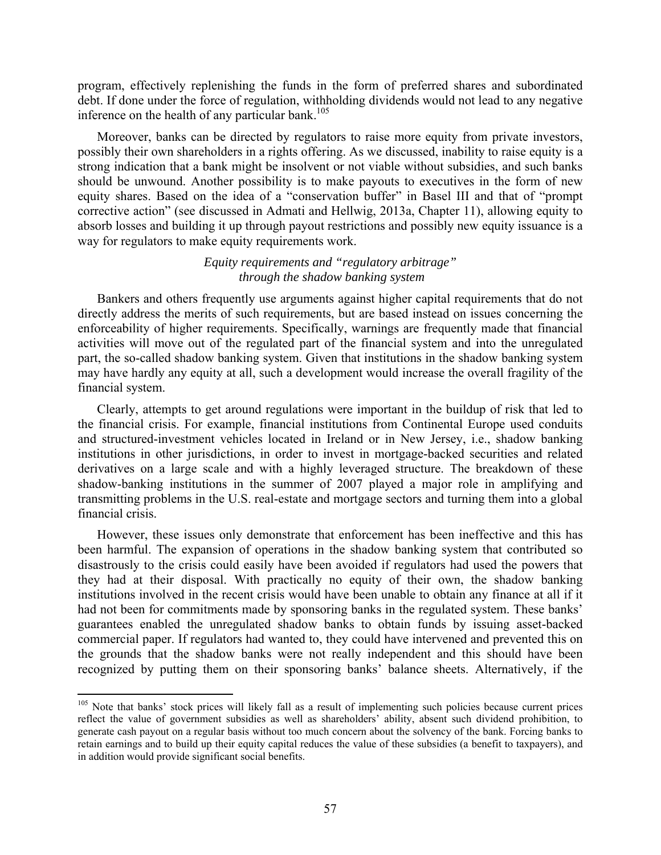program, effectively replenishing the funds in the form of preferred shares and subordinated debt. If done under the force of regulation, withholding dividends would not lead to any negative inference on the health of any particular bank.<sup>105</sup>

Moreover, banks can be directed by regulators to raise more equity from private investors, possibly their own shareholders in a rights offering. As we discussed, inability to raise equity is a strong indication that a bank might be insolvent or not viable without subsidies, and such banks should be unwound. Another possibility is to make payouts to executives in the form of new equity shares. Based on the idea of a "conservation buffer" in Basel III and that of "prompt corrective action" (see discussed in Admati and Hellwig, 2013a, Chapter 11), allowing equity to absorb losses and building it up through payout restrictions and possibly new equity issuance is a way for regulators to make equity requirements work.

### *Equity requirements and "regulatory arbitrage" through the shadow banking system*

Bankers and others frequently use arguments against higher capital requirements that do not directly address the merits of such requirements, but are based instead on issues concerning the enforceability of higher requirements. Specifically, warnings are frequently made that financial activities will move out of the regulated part of the financial system and into the unregulated part, the so-called shadow banking system. Given that institutions in the shadow banking system may have hardly any equity at all, such a development would increase the overall fragility of the financial system.

Clearly, attempts to get around regulations were important in the buildup of risk that led to the financial crisis. For example, financial institutions from Continental Europe used conduits and structured-investment vehicles located in Ireland or in New Jersey, i.e., shadow banking institutions in other jurisdictions, in order to invest in mortgage-backed securities and related derivatives on a large scale and with a highly leveraged structure. The breakdown of these shadow-banking institutions in the summer of 2007 played a major role in amplifying and transmitting problems in the U.S. real-estate and mortgage sectors and turning them into a global financial crisis.

However, these issues only demonstrate that enforcement has been ineffective and this has been harmful. The expansion of operations in the shadow banking system that contributed so disastrously to the crisis could easily have been avoided if regulators had used the powers that they had at their disposal. With practically no equity of their own, the shadow banking institutions involved in the recent crisis would have been unable to obtain any finance at all if it had not been for commitments made by sponsoring banks in the regulated system. These banks' guarantees enabled the unregulated shadow banks to obtain funds by issuing asset-backed commercial paper. If regulators had wanted to, they could have intervened and prevented this on the grounds that the shadow banks were not really independent and this should have been recognized by putting them on their sponsoring banks' balance sheets. Alternatively, if the

<sup>&</sup>lt;sup>105</sup> Note that banks' stock prices will likely fall as a result of implementing such policies because current prices reflect the value of government subsidies as well as shareholders' ability, absent such dividend prohibition, to generate cash payout on a regular basis without too much concern about the solvency of the bank. Forcing banks to retain earnings and to build up their equity capital reduces the value of these subsidies (a benefit to taxpayers), and in addition would provide significant social benefits.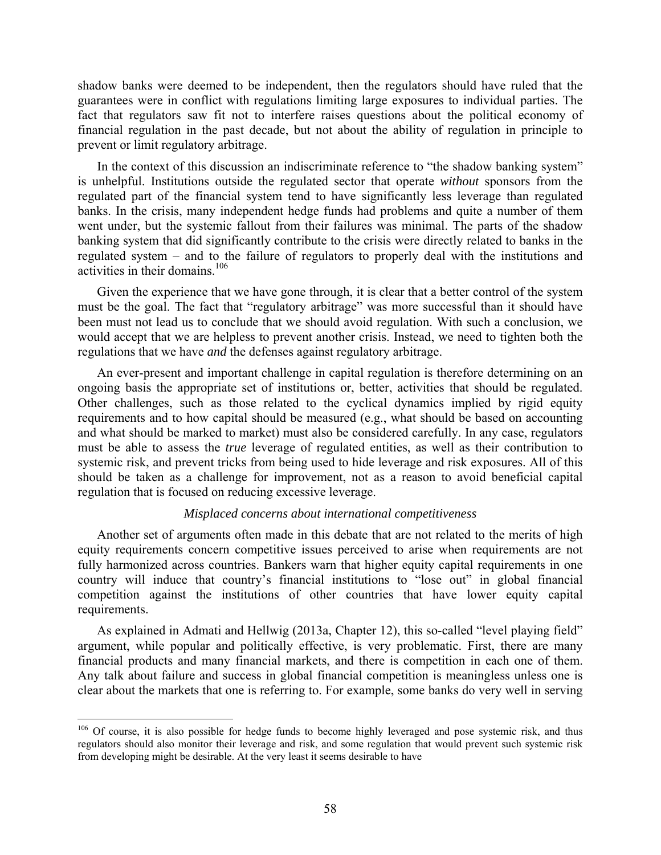shadow banks were deemed to be independent, then the regulators should have ruled that the guarantees were in conflict with regulations limiting large exposures to individual parties. The fact that regulators saw fit not to interfere raises questions about the political economy of financial regulation in the past decade, but not about the ability of regulation in principle to prevent or limit regulatory arbitrage.

In the context of this discussion an indiscriminate reference to "the shadow banking system" is unhelpful. Institutions outside the regulated sector that operate *without* sponsors from the regulated part of the financial system tend to have significantly less leverage than regulated banks. In the crisis, many independent hedge funds had problems and quite a number of them went under, but the systemic fallout from their failures was minimal. The parts of the shadow banking system that did significantly contribute to the crisis were directly related to banks in the regulated system – and to the failure of regulators to properly deal with the institutions and activities in their domains.<sup>106</sup>

Given the experience that we have gone through, it is clear that a better control of the system must be the goal. The fact that "regulatory arbitrage" was more successful than it should have been must not lead us to conclude that we should avoid regulation. With such a conclusion, we would accept that we are helpless to prevent another crisis. Instead, we need to tighten both the regulations that we have *and* the defenses against regulatory arbitrage.

An ever-present and important challenge in capital regulation is therefore determining on an ongoing basis the appropriate set of institutions or, better, activities that should be regulated. Other challenges, such as those related to the cyclical dynamics implied by rigid equity requirements and to how capital should be measured (e.g., what should be based on accounting and what should be marked to market) must also be considered carefully. In any case, regulators must be able to assess the *true* leverage of regulated entities, as well as their contribution to systemic risk, and prevent tricks from being used to hide leverage and risk exposures. All of this should be taken as a challenge for improvement, not as a reason to avoid beneficial capital regulation that is focused on reducing excessive leverage.

#### *Misplaced concerns about international competitiveness*

Another set of arguments often made in this debate that are not related to the merits of high equity requirements concern competitive issues perceived to arise when requirements are not fully harmonized across countries. Bankers warn that higher equity capital requirements in one country will induce that country's financial institutions to "lose out" in global financial competition against the institutions of other countries that have lower equity capital requirements.

As explained in Admati and Hellwig (2013a, Chapter 12), this so-called "level playing field" argument, while popular and politically effective, is very problematic. First, there are many financial products and many financial markets, and there is competition in each one of them. Any talk about failure and success in global financial competition is meaningless unless one is clear about the markets that one is referring to. For example, some banks do very well in serving

<u>.</u>

<sup>&</sup>lt;sup>106</sup> Of course, it is also possible for hedge funds to become highly leveraged and pose systemic risk, and thus regulators should also monitor their leverage and risk, and some regulation that would prevent such systemic risk from developing might be desirable. At the very least it seems desirable to have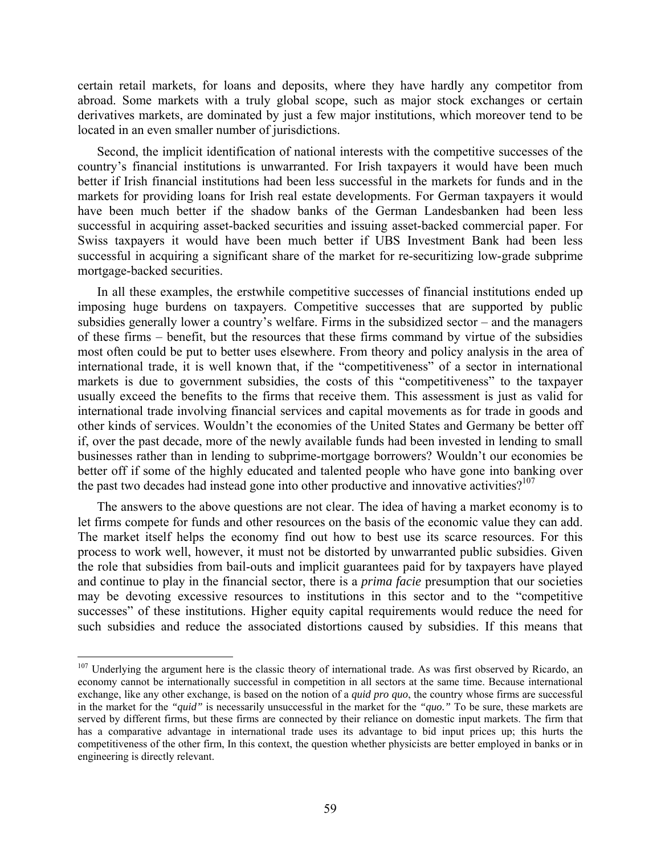certain retail markets, for loans and deposits, where they have hardly any competitor from abroad. Some markets with a truly global scope, such as major stock exchanges or certain derivatives markets, are dominated by just a few major institutions, which moreover tend to be located in an even smaller number of jurisdictions.

Second, the implicit identification of national interests with the competitive successes of the country's financial institutions is unwarranted. For Irish taxpayers it would have been much better if Irish financial institutions had been less successful in the markets for funds and in the markets for providing loans for Irish real estate developments. For German taxpayers it would have been much better if the shadow banks of the German Landesbanken had been less successful in acquiring asset-backed securities and issuing asset-backed commercial paper. For Swiss taxpayers it would have been much better if UBS Investment Bank had been less successful in acquiring a significant share of the market for re-securitizing low-grade subprime mortgage-backed securities.

In all these examples, the erstwhile competitive successes of financial institutions ended up imposing huge burdens on taxpayers. Competitive successes that are supported by public subsidies generally lower a country's welfare. Firms in the subsidized sector – and the managers of these firms – benefit, but the resources that these firms command by virtue of the subsidies most often could be put to better uses elsewhere. From theory and policy analysis in the area of international trade, it is well known that, if the "competitiveness" of a sector in international markets is due to government subsidies, the costs of this "competitiveness" to the taxpayer usually exceed the benefits to the firms that receive them. This assessment is just as valid for international trade involving financial services and capital movements as for trade in goods and other kinds of services. Wouldn't the economies of the United States and Germany be better off if, over the past decade, more of the newly available funds had been invested in lending to small businesses rather than in lending to subprime-mortgage borrowers? Wouldn't our economies be better off if some of the highly educated and talented people who have gone into banking over the past two decades had instead gone into other productive and innovative activities? $107$ 

The answers to the above questions are not clear. The idea of having a market economy is to let firms compete for funds and other resources on the basis of the economic value they can add. The market itself helps the economy find out how to best use its scarce resources. For this process to work well, however, it must not be distorted by unwarranted public subsidies. Given the role that subsidies from bail-outs and implicit guarantees paid for by taxpayers have played and continue to play in the financial sector, there is a *prima facie* presumption that our societies may be devoting excessive resources to institutions in this sector and to the "competitive successes" of these institutions. Higher equity capital requirements would reduce the need for such subsidies and reduce the associated distortions caused by subsidies. If this means that

1

<sup>&</sup>lt;sup>107</sup> Underlying the argument here is the classic theory of international trade. As was first observed by Ricardo, an economy cannot be internationally successful in competition in all sectors at the same time. Because international exchange, like any other exchange, is based on the notion of a *quid pro quo*, the country whose firms are successful in the market for the *"quid"* is necessarily unsuccessful in the market for the *"quo."* To be sure, these markets are served by different firms, but these firms are connected by their reliance on domestic input markets. The firm that has a comparative advantage in international trade uses its advantage to bid input prices up; this hurts the competitiveness of the other firm, In this context, the question whether physicists are better employed in banks or in engineering is directly relevant.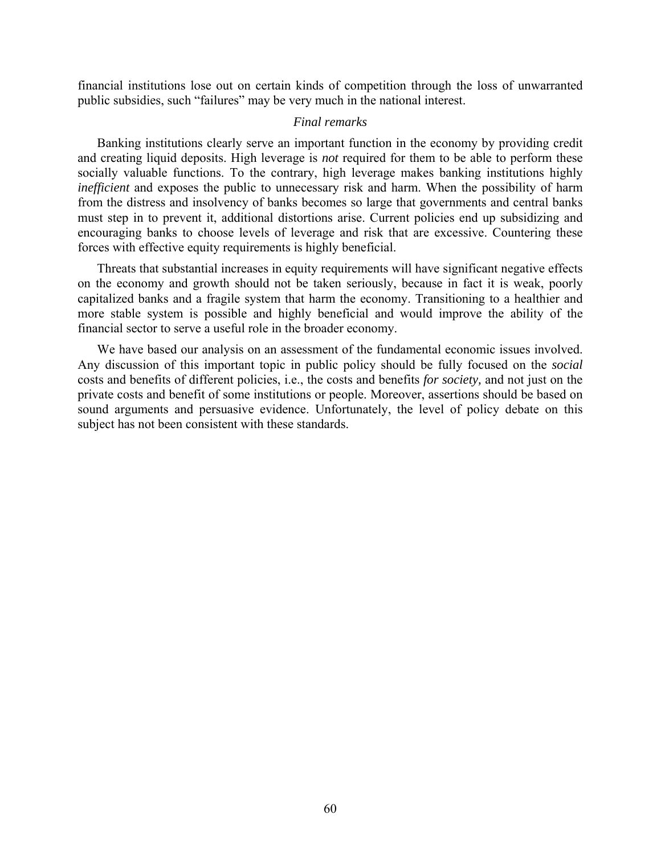financial institutions lose out on certain kinds of competition through the loss of unwarranted public subsidies, such "failures" may be very much in the national interest.

#### *Final remarks*

Banking institutions clearly serve an important function in the economy by providing credit and creating liquid deposits. High leverage is *not* required for them to be able to perform these socially valuable functions. To the contrary, high leverage makes banking institutions highly *inefficient* and exposes the public to unnecessary risk and harm. When the possibility of harm from the distress and insolvency of banks becomes so large that governments and central banks must step in to prevent it, additional distortions arise. Current policies end up subsidizing and encouraging banks to choose levels of leverage and risk that are excessive. Countering these forces with effective equity requirements is highly beneficial.

Threats that substantial increases in equity requirements will have significant negative effects on the economy and growth should not be taken seriously, because in fact it is weak, poorly capitalized banks and a fragile system that harm the economy. Transitioning to a healthier and more stable system is possible and highly beneficial and would improve the ability of the financial sector to serve a useful role in the broader economy.

We have based our analysis on an assessment of the fundamental economic issues involved. Any discussion of this important topic in public policy should be fully focused on the *social* costs and benefits of different policies, i.e., the costs and benefits *for society,* and not just on the private costs and benefit of some institutions or people. Moreover, assertions should be based on sound arguments and persuasive evidence. Unfortunately, the level of policy debate on this subject has not been consistent with these standards.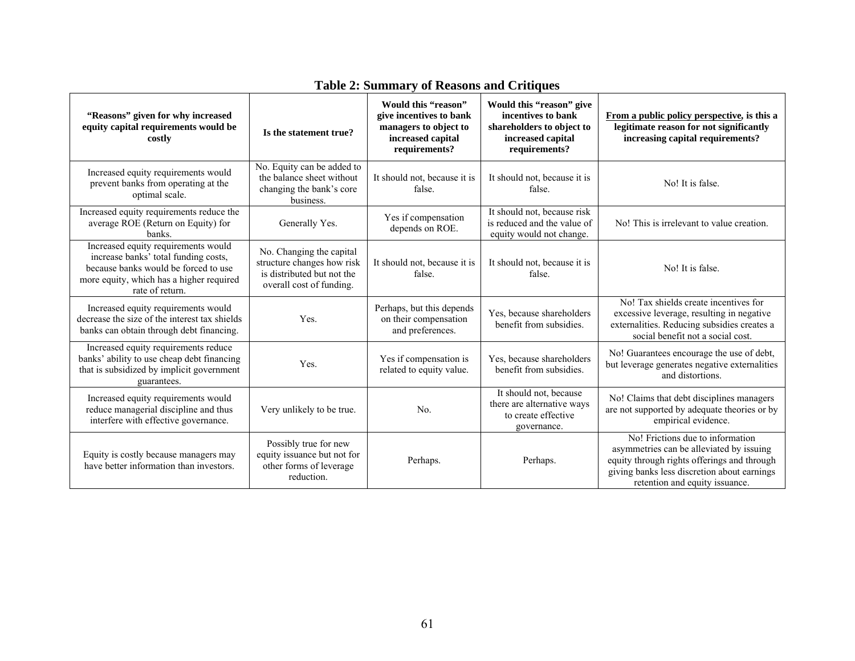| "Reasons" given for why increased<br>equity capital requirements would be<br>costly                                                                                                | Is the statement true?                                                                                           | Would this "reason"<br>give incentives to bank<br>managers to object to<br>increased capital<br>requirements? | Would this "reason" give<br>incentives to bank<br>shareholders to object to<br>increased capital<br>requirements? | From a public policy perspective, is this a<br>legitimate reason for not significantly<br>increasing capital requirements?                                                                                   |
|------------------------------------------------------------------------------------------------------------------------------------------------------------------------------------|------------------------------------------------------------------------------------------------------------------|---------------------------------------------------------------------------------------------------------------|-------------------------------------------------------------------------------------------------------------------|--------------------------------------------------------------------------------------------------------------------------------------------------------------------------------------------------------------|
| Increased equity requirements would<br>prevent banks from operating at the<br>optimal scale.                                                                                       | No. Equity can be added to<br>the balance sheet without<br>changing the bank's core<br>business.                 | It should not, because it is<br>false.                                                                        | It should not, because it is<br>false.                                                                            | No! It is false.                                                                                                                                                                                             |
| Increased equity requirements reduce the<br>average ROE (Return on Equity) for<br>banks.                                                                                           | Generally Yes.                                                                                                   | Yes if compensation<br>depends on ROE.                                                                        | It should not, because risk<br>is reduced and the value of<br>equity would not change.                            | No! This is irrelevant to value creation.                                                                                                                                                                    |
| Increased equity requirements would<br>increase banks' total funding costs,<br>because banks would be forced to use<br>more equity, which has a higher required<br>rate of return. | No. Changing the capital<br>structure changes how risk<br>is distributed but not the<br>overall cost of funding. | It should not, because it is<br>false.                                                                        | It should not, because it is<br>false.                                                                            | No! It is false.                                                                                                                                                                                             |
| Increased equity requirements would<br>decrease the size of the interest tax shields<br>banks can obtain through debt financing.                                                   | Yes.                                                                                                             | Perhaps, but this depends<br>on their compensation<br>and preferences.                                        | Yes, because shareholders<br>benefit from subsidies.                                                              | No! Tax shields create incentives for<br>excessive leverage, resulting in negative<br>externalities. Reducing subsidies creates a<br>social benefit not a social cost.                                       |
| Increased equity requirements reduce<br>banks' ability to use cheap debt financing<br>that is subsidized by implicit government<br>guarantees.                                     | Yes.                                                                                                             | Yes if compensation is<br>related to equity value.                                                            | Yes, because shareholders<br>benefit from subsidies.                                                              | No! Guarantees encourage the use of debt,<br>but leverage generates negative externalities<br>and distortions.                                                                                               |
| Increased equity requirements would<br>reduce managerial discipline and thus<br>interfere with effective governance.                                                               | Very unlikely to be true.                                                                                        | No.                                                                                                           | It should not, because<br>there are alternative ways<br>to create effective<br>governance.                        | No! Claims that debt disciplines managers<br>are not supported by adequate theories or by<br>empirical evidence.                                                                                             |
| Equity is costly because managers may<br>have better information than investors.                                                                                                   | Possibly true for new<br>equity issuance but not for<br>other forms of leverage<br>reduction.                    | Perhaps.                                                                                                      | Perhaps.                                                                                                          | No! Frictions due to information<br>asymmetries can be alleviated by issuing<br>equity through rights offerings and through<br>giving banks less discretion about earnings<br>retention and equity issuance. |

# **Table 2: Summary of Reasons and Critiques**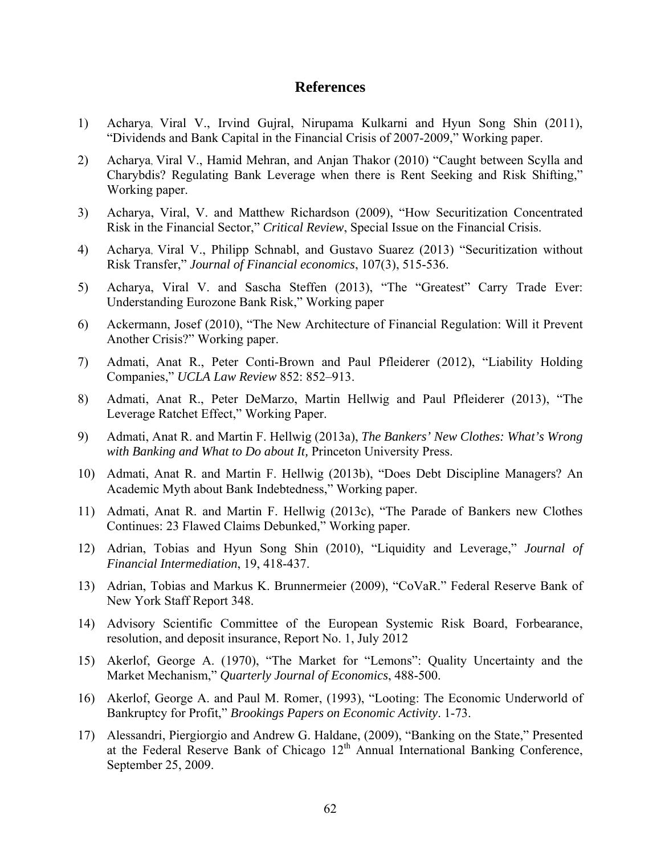#### **References**

- 1) Acharya, Viral V., Irvind Gujral, Nirupama Kulkarni and Hyun Song Shin (2011), "Dividends and Bank Capital in the Financial Crisis of 2007-2009," Working paper.
- 2) Acharya, Viral V., Hamid Mehran, and Anjan Thakor (2010) "Caught between Scylla and Charybdis? Regulating Bank Leverage when there is Rent Seeking and Risk Shifting," Working paper.
- 3) Acharya, Viral, V. and Matthew Richardson (2009), "How Securitization Concentrated Risk in the Financial Sector," *Critical Review*, Special Issue on the Financial Crisis.
- 4) Acharya, Viral V., Philipp Schnabl, and Gustavo Suarez (2013) "Securitization without Risk Transfer," *Journal of Financial economics*, 107(3), 515-536.
- 5) Acharya, Viral V. and Sascha Steffen (2013), "The "Greatest" Carry Trade Ever: Understanding Eurozone Bank Risk," Working paper
- 6) Ackermann, Josef (2010), "The New Architecture of Financial Regulation: Will it Prevent Another Crisis?" Working paper.
- 7) Admati, Anat R., Peter Conti-Brown and Paul Pfleiderer (2012), "Liability Holding Companies," *UCLA Law Review* 852: 852–913.
- 8) Admati, Anat R., Peter DeMarzo, Martin Hellwig and Paul Pfleiderer (2013), "The Leverage Ratchet Effect," Working Paper.
- 9) Admati, Anat R. and Martin F. Hellwig (2013a), *The Bankers' New Clothes: What's Wrong with Banking and What to Do about It,* Princeton University Press.
- 10) Admati, Anat R. and Martin F. Hellwig (2013b), "Does Debt Discipline Managers? An Academic Myth about Bank Indebtedness," Working paper.
- 11) Admati, Anat R. and Martin F. Hellwig (2013c), "The Parade of Bankers new Clothes Continues: 23 Flawed Claims Debunked," Working paper.
- 12) Adrian, Tobias and Hyun Song Shin (2010), "Liquidity and Leverage," *Journal of Financial Intermediation*, 19, 418-437.
- 13) Adrian, Tobias and Markus K. Brunnermeier (2009), "CoVaR." Federal Reserve Bank of New York Staff Report 348.
- 14) Advisory Scientific Committee of the European Systemic Risk Board, Forbearance, resolution, and deposit insurance, Report No. 1, July 2012
- 15) Akerlof, George A. (1970), "The Market for "Lemons": Quality Uncertainty and the Market Mechanism," *Quarterly Journal of Economics*, 488-500.
- 16) Akerlof, George A. and Paul M. Romer, (1993), "Looting: The Economic Underworld of Bankruptcy for Profit," *Brookings Papers on Economic Activity*. 1-73.
- 17) Alessandri, Piergiorgio and Andrew G. Haldane, (2009), "Banking on the State," Presented at the Federal Reserve Bank of Chicago 12<sup>th</sup> Annual International Banking Conference, September 25, 2009.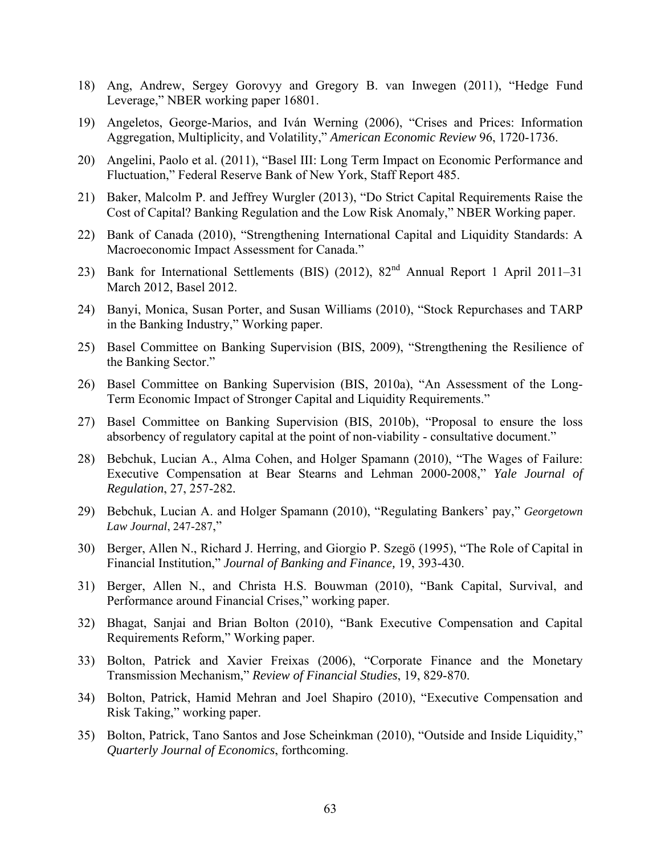- 18) Ang, Andrew, Sergey Gorovyy and Gregory B. van Inwegen (2011), "Hedge Fund Leverage," NBER working paper 16801.
- 19) Angeletos, George-Marios, and Iván Werning (2006), "Crises and Prices: Information Aggregation, Multiplicity, and Volatility," *American Economic Review* 96, 1720-1736.
- 20) Angelini, Paolo et al. (2011), "Basel III: Long Term Impact on Economic Performance and Fluctuation," Federal Reserve Bank of New York, Staff Report 485.
- 21) Baker, Malcolm P. and Jeffrey Wurgler (2013), "Do Strict Capital Requirements Raise the Cost of Capital? Banking Regulation and the Low Risk Anomaly," NBER Working paper.
- 22) Bank of Canada (2010), "Strengthening International Capital and Liquidity Standards: A Macroeconomic Impact Assessment for Canada."
- 23) Bank for International Settlements (BIS) (2012), 82<sup>nd</sup> Annual Report 1 April 2011–31 March 2012, Basel 2012.
- 24) Banyi, Monica, Susan Porter, and Susan Williams (2010), "Stock Repurchases and TARP in the Banking Industry," Working paper.
- 25) Basel Committee on Banking Supervision (BIS, 2009), "Strengthening the Resilience of the Banking Sector."
- 26) Basel Committee on Banking Supervision (BIS, 2010a), "An Assessment of the Long-Term Economic Impact of Stronger Capital and Liquidity Requirements."
- 27) Basel Committee on Banking Supervision (BIS, 2010b), "Proposal to ensure the loss absorbency of regulatory capital at the point of non-viability - consultative document."
- 28) Bebchuk, Lucian A., Alma Cohen, and Holger Spamann (2010), "The Wages of Failure: Executive Compensation at Bear Stearns and Lehman 2000-2008," *Yale Journal of Regulation*, 27, 257-282*.*
- 29) Bebchuk, Lucian A. and Holger Spamann (2010), "Regulating Bankers' pay," *Georgetown Law Journal*, 247-287,"
- 30) Berger, Allen N., Richard J. Herring, and Giorgio P. Szegö (1995), "The Role of Capital in Financial Institution," *Journal of Banking and Finance,* 19, 393-430.
- 31) Berger, Allen N., and Christa H.S. Bouwman (2010), "Bank Capital, Survival, and Performance around Financial Crises," working paper.
- 32) Bhagat, Sanjai and Brian Bolton (2010), "Bank Executive Compensation and Capital Requirements Reform," Working paper.
- 33) Bolton, Patrick and Xavier Freixas (2006), "Corporate Finance and the Monetary Transmission Mechanism," *Review of Financial Studies*, 19, 829-870.
- 34) Bolton, Patrick, Hamid Mehran and Joel Shapiro (2010), "Executive Compensation and Risk Taking," working paper.
- 35) Bolton, Patrick, Tano Santos and Jose Scheinkman (2010), "Outside and Inside Liquidity," *Quarterly Journal of Economics*, forthcoming.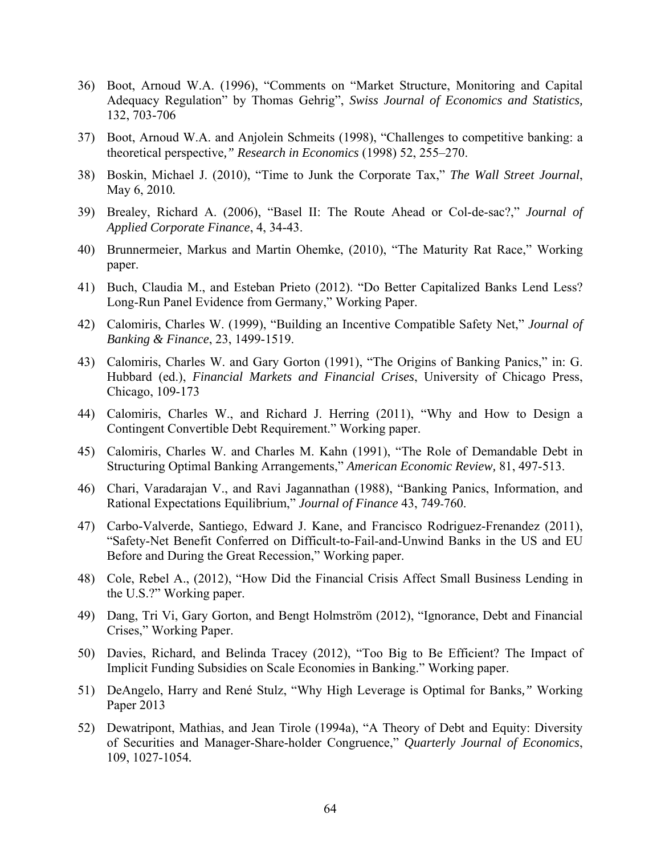- 36) Boot, Arnoud W.A. (1996), "Comments on "Market Structure, Monitoring and Capital Adequacy Regulation" by Thomas Gehrig", *Swiss Journal of Economics and Statistics,* 132, 703-706
- 37) Boot, Arnoud W.A. and Anjolein Schmeits (1998), "Challenges to competitive banking: a theoretical perspective*," Research in Economics* (1998) 52, 255–270.
- 38) Boskin, Michael J. (2010), "Time to Junk the Corporate Tax," *The Wall Street Journal*, May 6, 2010**.**
- 39) Brealey, Richard A. (2006), "Basel II: The Route Ahead or Col-de-sac?," *Journal of Applied Corporate Finance*, 4, 34-43.
- 40) Brunnermeier, Markus and Martin Ohemke, (2010), "The Maturity Rat Race," Working paper.
- 41) Buch, Claudia M., and Esteban Prieto (2012). "Do Better Capitalized Banks Lend Less? Long-Run Panel Evidence from Germany," Working Paper.
- 42) Calomiris, Charles W. (1999), "Building an Incentive Compatible Safety Net," *Journal of Banking & Finance*, 23, 1499-1519.
- 43) Calomiris, Charles W. and Gary Gorton (1991), "The Origins of Banking Panics," in: G. Hubbard (ed.), *Financial Markets and Financial Crises*, University of Chicago Press, Chicago, 109-173
- 44) Calomiris, Charles W., and Richard J. Herring (2011), "Why and How to Design a Contingent Convertible Debt Requirement." Working paper.
- 45) Calomiris, Charles W. and Charles M. Kahn (1991), "The Role of Demandable Debt in Structuring Optimal Banking Arrangements," *American Economic Review,* 81, 497-513.
- 46) Chari, Varadarajan V., and Ravi Jagannathan (1988), "Banking Panics, Information, and Rational Expectations Equilibrium," *Journal of Finance* 43, 749-760.
- 47) Carbo-Valverde, Santiego, Edward J. Kane, and Francisco Rodriguez-Frenandez (2011), "Safety-Net Benefit Conferred on Difficult-to-Fail-and-Unwind Banks in the US and EU Before and During the Great Recession," Working paper.
- 48) Cole, Rebel A., (2012), "How Did the Financial Crisis Affect Small Business Lending in the U.S.?" Working paper.
- 49) Dang, Tri Vi, Gary Gorton, and Bengt Holmström (2012), "Ignorance, Debt and Financial Crises," Working Paper.
- 50) Davies, Richard, and Belinda Tracey (2012), "Too Big to Be Efficient? The Impact of Implicit Funding Subsidies on Scale Economies in Banking." Working paper.
- 51) DeAngelo, Harry and René Stulz, "Why High Leverage is Optimal for Banks*,"* Working Paper 2013
- 52) Dewatripont, Mathias, and Jean Tirole (1994a), "A Theory of Debt and Equity: Diversity of Securities and Manager-Share-holder Congruence," *Quarterly Journal of Economics*, 109, 1027-1054*.*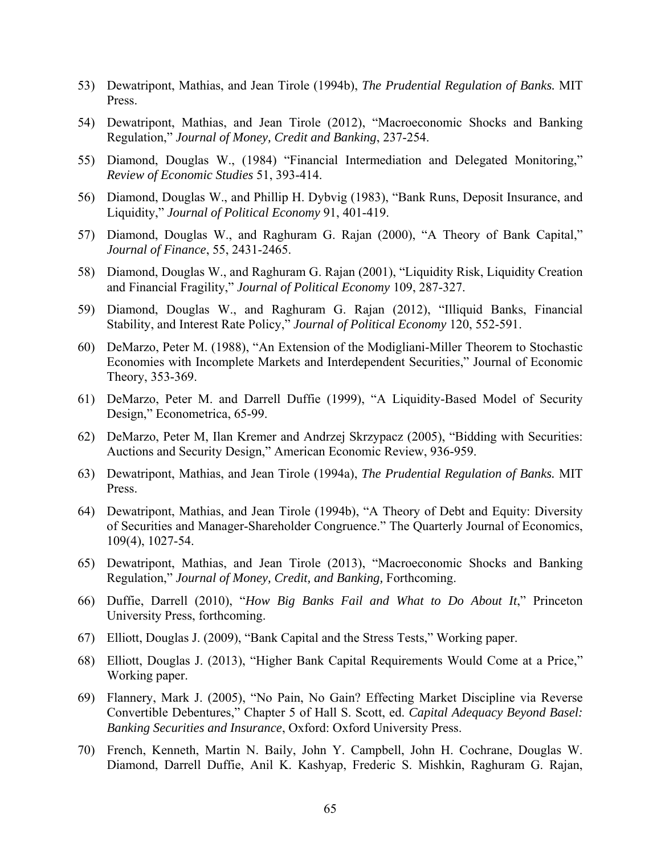- 53) Dewatripont, Mathias, and Jean Tirole (1994b), *The Prudential Regulation of Banks.* MIT Press.
- 54) Dewatripont, Mathias, and Jean Tirole (2012), "Macroeconomic Shocks and Banking Regulation," *Journal of Money, Credit and Banking*, 237-254.
- 55) Diamond, Douglas W., (1984) "Financial Intermediation and Delegated Monitoring," *Review of Economic Studies* 51, 393-414.
- 56) Diamond, Douglas W., and Phillip H. Dybvig (1983), "Bank Runs, Deposit Insurance, and Liquidity," *Journal of Political Economy* 91, 401-419.
- 57) Diamond, Douglas W., and Raghuram G. Rajan (2000), "A Theory of Bank Capital," *Journal of Finance*, 55, 2431-2465.
- 58) Diamond, Douglas W., and Raghuram G. Rajan (2001), "Liquidity Risk, Liquidity Creation and Financial Fragility," *Journal of Political Economy* 109, 287-327.
- 59) Diamond, Douglas W., and Raghuram G. Rajan (2012), "Illiquid Banks, Financial Stability, and Interest Rate Policy," *Journal of Political Economy* 120, 552-591.
- 60) DeMarzo, Peter M. (1988), "An Extension of the Modigliani-Miller Theorem to Stochastic Economies with Incomplete Markets and Interdependent Securities," Journal of Economic Theory, 353-369.
- 61) DeMarzo, Peter M. and Darrell Duffie (1999), "A Liquidity-Based Model of Security Design," Econometrica, 65-99.
- 62) DeMarzo, Peter M, Ilan Kremer and Andrzej Skrzypacz (2005), "Bidding with Securities: Auctions and Security Design," American Economic Review, 936-959.
- 63) Dewatripont, Mathias, and Jean Tirole (1994a), *The Prudential Regulation of Banks.* MIT Press.
- 64) Dewatripont, Mathias, and Jean Tirole (1994b), "A Theory of Debt and Equity: Diversity of Securities and Manager-Shareholder Congruence." The Quarterly Journal of Economics, 109(4), 1027-54.
- 65) Dewatripont, Mathias, and Jean Tirole (2013), "Macroeconomic Shocks and Banking Regulation," *Journal of Money, Credit, and Banking,* Forthcoming.
- 66) Duffie, Darrell (2010), "*How Big Banks Fail and What to Do About It*," Princeton University Press, forthcoming.
- 67) Elliott, Douglas J. (2009), "Bank Capital and the Stress Tests," Working paper.
- 68) Elliott, Douglas J. (2013), "Higher Bank Capital Requirements Would Come at a Price," Working paper.
- 69) Flannery, Mark J. (2005), "No Pain, No Gain? Effecting Market Discipline via Reverse Convertible Debentures," Chapter 5 of Hall S. Scott, ed. *Capital Adequacy Beyond Basel: Banking Securities and Insurance*, Oxford: Oxford University Press.
- 70) French, Kenneth, Martin N. Baily, John Y. Campbell, John H. Cochrane, Douglas W. Diamond, Darrell Duffie, Anil K. Kashyap, Frederic S. Mishkin, Raghuram G. Rajan,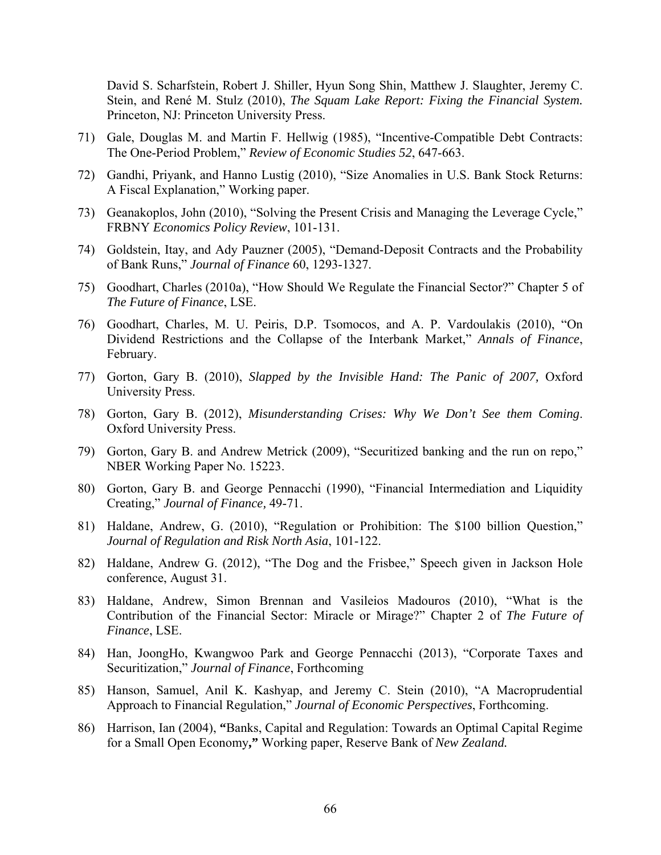David S. Scharfstein, Robert J. Shiller, Hyun Song Shin, Matthew J. Slaughter, Jeremy C. Stein, and René M. Stulz (2010), *The Squam Lake Report: Fixing the Financial System.* Princeton, NJ: Princeton University Press.

- 71) Gale, Douglas M. and Martin F. Hellwig (1985), "Incentive-Compatible Debt Contracts: The One-Period Problem," *Review of Economic Studies 52*, 647-663.
- 72) Gandhi, Priyank, and Hanno Lustig (2010), "Size Anomalies in U.S. Bank Stock Returns: A Fiscal Explanation," Working paper.
- 73) Geanakoplos, John (2010), "Solving the Present Crisis and Managing the Leverage Cycle," FRBNY *Economics Policy Review*, 101-131.
- 74) Goldstein, Itay, and Ady Pauzner (2005), "Demand-Deposit Contracts and the Probability of Bank Runs," *Journal of Finance* 60, 1293-1327.
- 75) Goodhart, Charles (2010a), "How Should We Regulate the Financial Sector?" Chapter 5 of *The Future of Finance*, LSE.
- 76) Goodhart, Charles, M. U. Peiris, D.P. Tsomocos, and A. P. Vardoulakis (2010), "On Dividend Restrictions and the Collapse of the Interbank Market," *Annals of Finance*, February.
- 77) Gorton, Gary B. (2010), *Slapped by the Invisible Hand: The Panic of 2007,* Oxford University Press.
- 78) Gorton, Gary B. (2012), *Misunderstanding Crises: Why We Don't See them Coming*. Oxford University Press.
- 79) Gorton, Gary B. and Andrew Metrick (2009), "Securitized banking and the run on repo," NBER Working Paper No. 15223.
- 80) Gorton, Gary B. and George Pennacchi (1990), "Financial Intermediation and Liquidity Creating," *Journal of Finance,* 49-71.
- 81) Haldane, Andrew, G. (2010), "Regulation or Prohibition: The \$100 billion Question," *Journal of Regulation and Risk North Asia*, 101-122.
- 82) Haldane, Andrew G. (2012), "The Dog and the Frisbee," Speech given in Jackson Hole conference, August 31.
- 83) Haldane, Andrew, Simon Brennan and Vasileios Madouros (2010), "What is the Contribution of the Financial Sector: Miracle or Mirage?" Chapter 2 of *The Future of Finance*, LSE.
- 84) Han, JoongHo, Kwangwoo Park and George Pennacchi (2013), "Corporate Taxes and Securitization," *Journal of Finance*, Forthcoming
- 85) Hanson, Samuel, Anil K. Kashyap, and Jeremy C. Stein (2010), "A Macroprudential Approach to Financial Regulation," *Journal of Economic Perspectives*, Forthcoming.
- 86) Harrison, Ian (2004), **"**Banks, Capital and Regulation: Towards an Optimal Capital Regime for a Small Open Economy**,"** Working paper, Reserve Bank of *New Zealand.*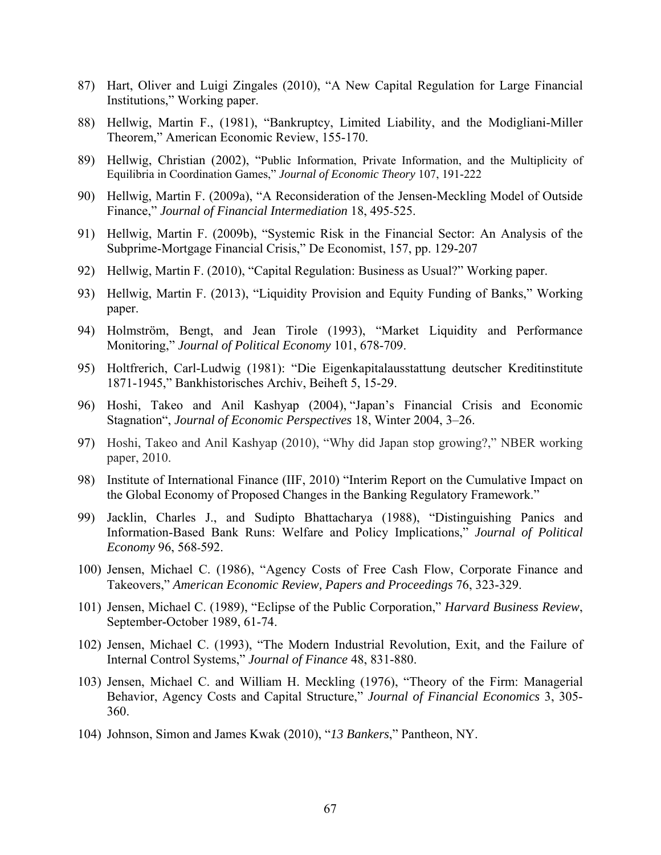- 87) Hart, Oliver and Luigi Zingales (2010), "A New Capital Regulation for Large Financial Institutions," Working paper.
- 88) Hellwig, Martin F., (1981), "Bankruptcy, Limited Liability, and the Modigliani-Miller Theorem," American Economic Review, 155-170.
- 89) Hellwig, Christian (2002), "Public Information, Private Information, and the Multiplicity of Equilibria in Coordination Games," *Journal of Economic Theory* 107, 191-222
- 90) Hellwig, Martin F. (2009a), "A Reconsideration of the Jensen-Meckling Model of Outside Finance," *Journal of Financial Intermediation* 18, 495-525.
- 91) Hellwig, Martin F. (2009b), "Systemic Risk in the Financial Sector: An Analysis of the Subprime-Mortgage Financial Crisis," De Economist, 157, pp. 129-207
- 92) Hellwig, Martin F. (2010), "Capital Regulation: Business as Usual?" Working paper.
- 93) Hellwig, Martin F. (2013), "Liquidity Provision and Equity Funding of Banks," Working paper.
- 94) Holmström, Bengt, and Jean Tirole (1993), "Market Liquidity and Performance Monitoring," *Journal of Political Economy* 101, 678-709.
- 95) Holtfrerich, Carl-Ludwig (1981): "Die Eigenkapitalausstattung deutscher Kreditinstitute 1871-1945," Bankhistorisches Archiv, Beiheft 5, 15-29.
- 96) Hoshi, Takeo and Anil Kashyap (2004), "Japan's Financial Crisis and Economic Stagnation", *Journal of Economic Perspectives* 18, Winter 2004, 3–26.
- 97) Hoshi, Takeo and Anil Kashyap (2010), "Why did Japan stop growing?," NBER working paper, 2010.
- 98) Institute of International Finance (IIF, 2010) "Interim Report on the Cumulative Impact on the Global Economy of Proposed Changes in the Banking Regulatory Framework."
- 99) Jacklin, Charles J., and Sudipto Bhattacharya (1988), "Distinguishing Panics and Information-Based Bank Runs: Welfare and Policy Implications," *Journal of Political Economy* 96, 568-592.
- 100) Jensen, Michael C. (1986), "Agency Costs of Free Cash Flow, Corporate Finance and Takeovers," *American Economic Review, Papers and Proceedings* 76, 323-329.
- 101) Jensen, Michael C. (1989), "Eclipse of the Public Corporation," *Harvard Business Review*, September-October 1989, 61-74.
- 102) Jensen, Michael C. (1993), "The Modern Industrial Revolution, Exit, and the Failure of Internal Control Systems," *Journal of Finance* 48, 831-880.
- 103) Jensen, Michael C. and William H. Meckling (1976), "Theory of the Firm: Managerial Behavior, Agency Costs and Capital Structure," *Journal of Financial Economics* 3, 305- 360.
- 104) Johnson, Simon and James Kwak (2010), "*13 Bankers*," Pantheon, NY.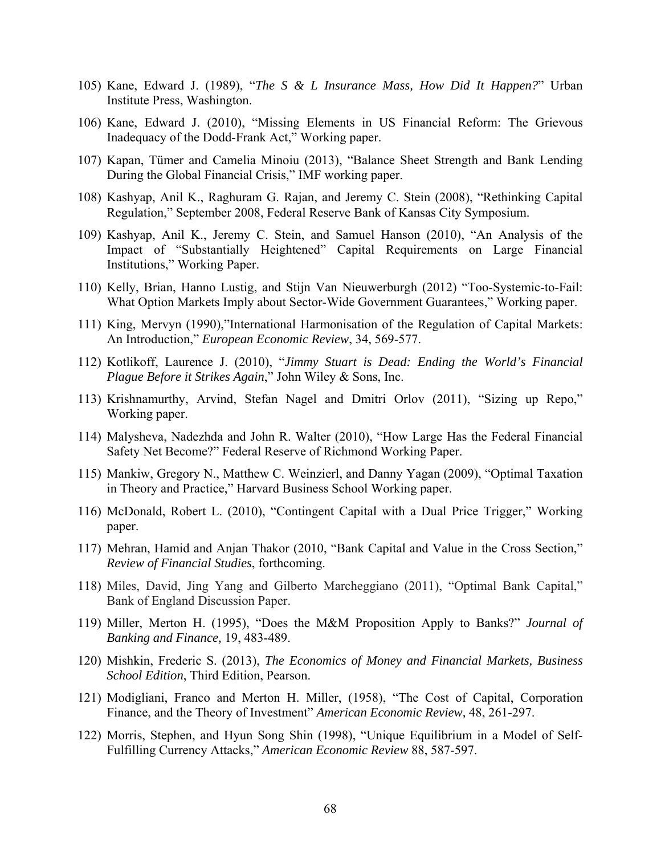- 105) Kane, Edward J. (1989), "*The S & L Insurance Mass, How Did It Happen?*" Urban Institute Press, Washington.
- 106) Kane, Edward J. (2010), "Missing Elements in US Financial Reform: The Grievous Inadequacy of the Dodd-Frank Act," Working paper.
- 107) Kapan, Tümer and Camelia Minoiu (2013), "Balance Sheet Strength and Bank Lending During the Global Financial Crisis," IMF working paper.
- 108) Kashyap, Anil K., Raghuram G. Rajan, and Jeremy C. Stein (2008), "Rethinking Capital Regulation," September 2008, Federal Reserve Bank of Kansas City Symposium.
- 109) Kashyap, Anil K., Jeremy C. Stein, and Samuel Hanson (2010), "An Analysis of the Impact of "Substantially Heightened" Capital Requirements on Large Financial Institutions," Working Paper.
- 110) Kelly, Brian, Hanno Lustig, and Stijn Van Nieuwerburgh (2012) "Too-Systemic-to-Fail: What Option Markets Imply about Sector-Wide Government Guarantees," Working paper.
- 111) King, Mervyn (1990),"International Harmonisation of the Regulation of Capital Markets: An Introduction," *European Economic Review*, 34, 569-577.
- 112) Kotlikoff, Laurence J. (2010), "*Jimmy Stuart is Dead: Ending the World's Financial Plague Before it Strikes Again*," John Wiley & Sons, Inc.
- 113) Krishnamurthy, Arvind, Stefan Nagel and Dmitri Orlov (2011), "Sizing up Repo," Working paper.
- 114) Malysheva, Nadezhda and John R. Walter (2010), "How Large Has the Federal Financial Safety Net Become?" Federal Reserve of Richmond Working Paper.
- 115) Mankiw, Gregory N., Matthew C. Weinzierl, and Danny Yagan (2009), "Optimal Taxation in Theory and Practice," Harvard Business School Working paper.
- 116) McDonald, Robert L. (2010), "Contingent Capital with a Dual Price Trigger," Working paper.
- 117) Mehran, Hamid and Anjan Thakor (2010, "Bank Capital and Value in the Cross Section," *Review of Financial Studies*, forthcoming.
- 118) Miles, David, Jing Yang and Gilberto Marcheggiano (2011), "Optimal Bank Capital," Bank of England Discussion Paper.
- 119) Miller, Merton H. (1995), "Does the M&M Proposition Apply to Banks?" *Journal of Banking and Finance,* 19, 483-489.
- 120) Mishkin, Frederic S. (2013), *The Economics of Money and Financial Markets, Business School Edition*, Third Edition, Pearson.
- 121) Modigliani, Franco and Merton H. Miller, (1958), "The Cost of Capital, Corporation Finance, and the Theory of Investment" *American Economic Review,* 48, 261-297.
- 122) Morris, Stephen, and Hyun Song Shin (1998), "Unique Equilibrium in a Model of Self-Fulfilling Currency Attacks," *American Economic Review* 88, 587-597.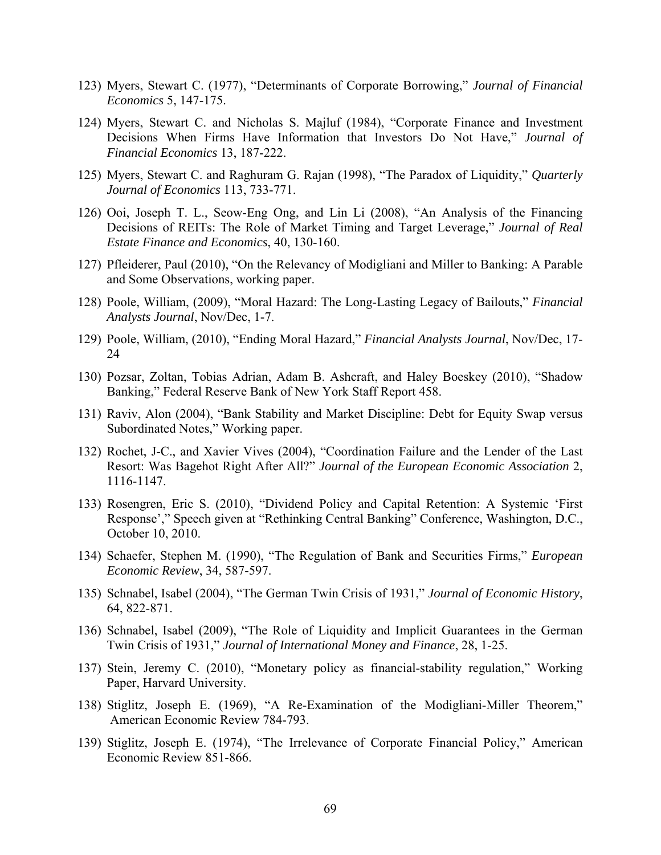- 123) Myers, Stewart C. (1977), "Determinants of Corporate Borrowing," *Journal of Financial Economics* 5, 147-175.
- 124) Myers, Stewart C. and Nicholas S. Majluf (1984), "Corporate Finance and Investment Decisions When Firms Have Information that Investors Do Not Have," *Journal of Financial Economics* 13, 187-222.
- 125) Myers, Stewart C. and Raghuram G. Rajan (1998), "The Paradox of Liquidity," *Quarterly Journal of Economics* 113, 733-771.
- 126) Ooi, Joseph T. L., Seow-Eng Ong, and Lin Li (2008), "An Analysis of the Financing Decisions of REITs: The Role of Market Timing and Target Leverage," *Journal of Real Estate Finance and Economics*, 40, 130-160.
- 127) Pfleiderer, Paul (2010), "On the Relevancy of Modigliani and Miller to Banking: A Parable and Some Observations, working paper.
- 128) Poole, William, (2009), "Moral Hazard: The Long-Lasting Legacy of Bailouts," *Financial Analysts Journal*, Nov/Dec, 1-7.
- 129) Poole, William, (2010), "Ending Moral Hazard," *Financial Analysts Journal*, Nov/Dec, 17- 24
- 130) Pozsar, Zoltan, Tobias Adrian, Adam B. Ashcraft, and Haley Boeskey (2010), "Shadow Banking," Federal Reserve Bank of New York Staff Report 458.
- 131) Raviv, Alon (2004), "Bank Stability and Market Discipline: Debt for Equity Swap versus Subordinated Notes," Working paper.
- 132) Rochet, J-C., and Xavier Vives (2004), "Coordination Failure and the Lender of the Last Resort: Was Bagehot Right After All?" *Journal of the European Economic Association* 2, 1116-1147.
- 133) Rosengren, Eric S. (2010), "Dividend Policy and Capital Retention: A Systemic 'First Response'," Speech given at "Rethinking Central Banking" Conference, Washington, D.C., October 10, 2010.
- 134) Schaefer, Stephen M. (1990), "The Regulation of Bank and Securities Firms," *European Economic Review*, 34, 587-597.
- 135) Schnabel, Isabel (2004), "The German Twin Crisis of 1931," *Journal of Economic History*, 64, 822-871.
- 136) Schnabel, Isabel (2009), "The Role of Liquidity and Implicit Guarantees in the German Twin Crisis of 1931," *Journal of International Money and Finance*, 28, 1-25.
- 137) Stein, Jeremy C. (2010), "Monetary policy as financial-stability regulation," Working Paper, Harvard University.
- 138) Stiglitz, Joseph E. (1969), "A Re-Examination of the Modigliani-Miller Theorem," American Economic Review 784-793.
- 139) Stiglitz, Joseph E. (1974), "The Irrelevance of Corporate Financial Policy," American Economic Review 851-866.